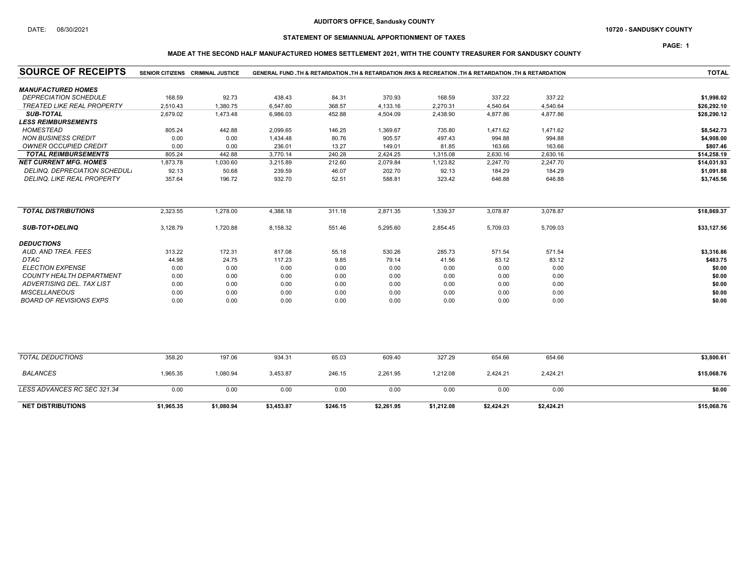### DATE: 08/30/2021 10720 - SANDUSKY COUNTY

## STATEMENT OF SEMIANNUAL APPORTIONMENT OF TAXES

PAGE: 1

## MADE AT THE SECOND HALF MANUFACTURED HOMES SETTLEMENT 2021, WITH THE COUNTY TREASURER FOR SANDUSKY COUNTY

| <b>SOURCE OF RECEIPTS</b>         |            | SENIOR CITIZENS CRIMINAL JUSTICE | GENERAL FUND TH & RETARDATION TH & RETARDATION RKS & RECREATION TH & RETARDATION TH & RETARDATION |          |            |            |            |            | <b>TOTAL</b> |
|-----------------------------------|------------|----------------------------------|---------------------------------------------------------------------------------------------------|----------|------------|------------|------------|------------|--------------|
| <b>MANUFACTURED HOMES</b>         |            |                                  |                                                                                                   |          |            |            |            |            |              |
| <b>DEPRECIATION SCHEDULE</b>      | 168.59     | 92.73                            | 438.43                                                                                            | 84.31    | 370.93     | 168.59     | 337.22     | 337.22     | \$1,998.02   |
| <b>TREATED LIKE REAL PROPERTY</b> | 2,510.43   | 1,380.75                         | 6,547.60                                                                                          | 368.57   | 4,133.16   | 2,270.31   | 4,540.64   | 4,540.64   | \$26,292.10  |
| <b>SUB-TOTAL</b>                  | 2,679.02   | 1,473.48                         | 6,986.03                                                                                          | 452.88   | 4,504.09   | 2,438.90   | 4,877.86   | 4,877.86   | \$28,290.12  |
| <b>LESS REIMBURSEMENTS</b>        |            |                                  |                                                                                                   |          |            |            |            |            |              |
| <b>HOMESTEAD</b>                  | 805.24     | 442.88                           | 2,099.65                                                                                          | 146.25   | 1,369.67   | 735.80     | 1,471.62   | 1,471.62   | \$8,542.73   |
| <b>NON BUSINESS CREDIT</b>        | 0.00       | 0.00                             | 1,434.48                                                                                          | 80.76    | 905.57     | 497.43     | 994.88     | 994.88     | \$4,908.00   |
| <b>OWNER OCCUPIED CREDIT</b>      | 0.00       | 0.00                             | 236.01                                                                                            | 13.27    | 149.01     | 81.85      | 163.66     | 163.66     | \$807.46     |
| <b>TOTAL REIMBURSEMENTS</b>       | 805.24     | 442.88                           | 3,770.14                                                                                          | 240.28   | 2,424.25   | 1,315.08   | 2,630.16   | 2,630.16   | \$14,258.19  |
| <b>NET CURRENT MFG. HOMES</b>     | 1,873.78   | 1,030.60                         | 3,215.89                                                                                          | 212.60   | 2,079.84   | 1,123.82   | 2,247.70   | 2,247.70   | \$14,031.93  |
| DELINQ, DEPRECIATION SCHEDUL.     | 92.13      | 50.68                            | 239.59                                                                                            | 46.07    | 202.70     | 92.13      | 184.29     | 184.29     | \$1,091.88   |
| DELINQ. LIKE REAL PROPERTY        | 357.64     | 196.72                           | 932.70                                                                                            | 52.51    | 588.81     | 323.42     | 646.88     | 646.88     | \$3,745.56   |
| <b>TOTAL DISTRIBUTIONS</b>        | 2,323.55   | 1,278.00                         | 4,388.18                                                                                          | 311.18   | 2,871.35   | 1,539.37   | 3,078.87   | 3,078.87   | \$18,869.37  |
|                                   |            |                                  |                                                                                                   |          |            |            |            |            |              |
| <b>SUB-TOT+DELINQ</b>             | 3,128.79   | 1,720.88                         | 8,158.32                                                                                          | 551.46   | 5,295.60   | 2,854.45   | 5,709.03   | 5,709.03   | \$33,127.56  |
| <b>DEDUCTIONS</b>                 |            |                                  |                                                                                                   |          |            |            |            |            |              |
| AUD. AND TREA. FEES               | 313.22     | 172.31                           | 817.08                                                                                            | 55.18    | 530.26     | 285.73     | 571.54     | 571.54     | \$3,316.86   |
| DTAC                              | 44.98      | 24.75                            | 117.23                                                                                            | 9.85     | 79.14      | 41.56      | 83.12      | 83.12      | \$483.75     |
| <b>ELECTION EXPENSE</b>           | 0.00       | 0.00                             | 0.00                                                                                              | 0.00     | 0.00       | 0.00       | 0.00       | 0.00       | \$0.00       |
| <b>COUNTY HEALTH DEPARTMENT</b>   | 0.00       | 0.00                             | 0.00                                                                                              | 0.00     | 0.00       | 0.00       | 0.00       | 0.00       | \$0.00       |
| ADVERTISING DEL. TAX LIST         | 0.00       | 0.00                             | 0.00                                                                                              | 0.00     | 0.00       | 0.00       | 0.00       | 0.00       | \$0.00       |
| <b>MISCELLANEOUS</b>              | 0.00       | 0.00                             | 0.00                                                                                              | 0.00     | 0.00       | 0.00       | 0.00       | 0.00       | \$0.00       |
| <b>BOARD OF REVISIONS EXPS</b>    | 0.00       | 0.00                             | 0.00                                                                                              | 0.00     | 0.00       | 0.00       | 0.00       | 0.00       | \$0.00       |
|                                   |            |                                  |                                                                                                   |          |            |            |            |            |              |
| <b>TOTAL DEDUCTIONS</b>           | 358.20     | 197.06                           | 934.31                                                                                            | 65.03    | 609.40     | 327.29     | 654.66     | 654.66     | \$3,800.61   |
| <b>BALANCES</b>                   | 1,965.35   | 1,080.94                         | 3,453.87                                                                                          | 246.15   | 2,261.95   | 1,212.08   | 2,424.21   | 2,424.21   | \$15,068.76  |
| LESS ADVANCES RC SEC 321.34       | 0.00       | 0.00                             | 0.00                                                                                              | 0.00     | 0.00       | 0.00       | 0.00       | 0.00       | \$0.00       |
| <b>NET DISTRIBUTIONS</b>          | \$1,965.35 | \$1,080.94                       | \$3,453.87                                                                                        | \$246.15 | \$2,261.95 | \$1,212.08 | \$2,424.21 | \$2,424.21 | \$15,068.76  |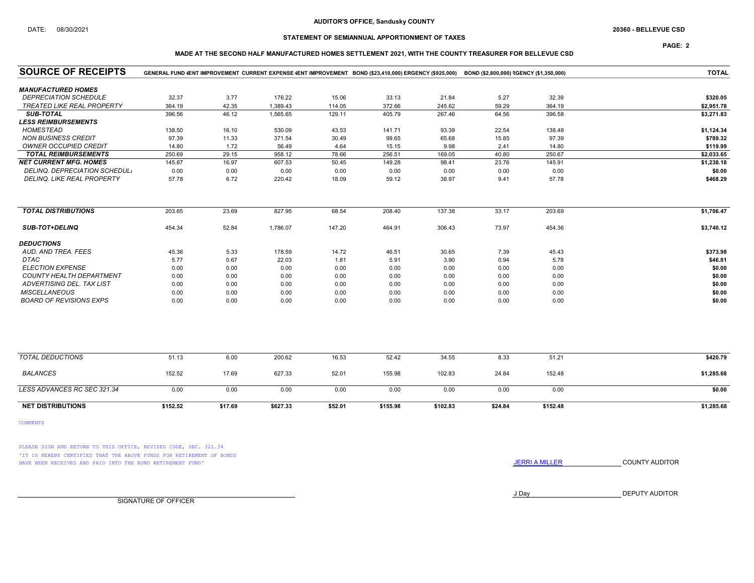### AUDITOR'S OFFICE, Sandusky COUNTY

## STATEMENT OF SEMIANNUAL APPORTIONMENT OF TAXES

## PAGE: 2

### MADE AT THE SECOND HALF MANUFACTURED HOMES SETTLEMENT 2021, WITH THE COUNTY TREASURER FOR BELLEVUE CSD

| <b>SOURCE OF RECEIPTS</b>         | GENERAL FUND (ENT IMPROVEMENT CURRENT EXPENSE (ENT IMPROVEMENT BOND (\$23,410,000) ERGENCY (\$925,000) | <b>TOTAL</b> |          |         |          |          |         |          |            |
|-----------------------------------|--------------------------------------------------------------------------------------------------------|--------------|----------|---------|----------|----------|---------|----------|------------|
| <b>MANUFACTURED HOMES</b>         |                                                                                                        |              |          |         |          |          |         |          |            |
| <b>DEPRECIATION SCHEDULE</b>      | 32.37                                                                                                  | 3.77         | 176.22   | 15.06   | 33.13    | 21.84    | 5.27    | 32.39    | \$320.05   |
| <b>TREATED LIKE REAL PROPERTY</b> | 364.19                                                                                                 | 42.35        | 1,389.43 | 114.05  | 372.66   | 245.62   | 59.29   | 364.19   | \$2,951.78 |
| <b>SUB-TOTAL</b>                  | 396.56                                                                                                 | 46.12        | 1,565.65 | 129.11  | 405.79   | 267.46   | 64.56   | 396.58   | \$3,271.83 |
| <b>LESS REIMBURSEMENTS</b>        |                                                                                                        |              |          |         |          |          |         |          |            |
| <b>HOMESTEAD</b>                  | 138.50                                                                                                 | 16.10        | 530.09   | 43.53   | 141.71   | 93.39    | 22.54   | 138.48   | \$1,124.34 |
| <b>NON BUSINESS CREDIT</b>        | 97.39                                                                                                  | 11.33        | 371.54   | 30.49   | 99.65    | 65.68    | 15.85   | 97.39    | \$789.32   |
| <b>OWNER OCCUPIED CREDIT</b>      | 14.80                                                                                                  | 1.72         | 56.49    | 4.64    | 15.15    | 9.98     | 2.41    | 14.80    | \$119.99   |
| <b>TOTAL REIMBURSEMENTS</b>       | 250.69                                                                                                 | 29.15        | 958.12   | 78.66   | 256.51   | 169.05   | 40.80   | 250.67   | \$2,033.65 |
| <b>NET CURRENT MFG. HOMES</b>     | 145.87                                                                                                 | 16.97        | 607.53   | 50.45   | 149.28   | 98.41    | 23.76   | 145.91   | \$1,238.18 |
| DELINQ. DEPRECIATION SCHEDUL.     | 0.00                                                                                                   | 0.00         | 0.00     | 0.00    | 0.00     | 0.00     | 0.00    | 0.00     | \$0.00     |
| DELINQ. LIKE REAL PROPERTY        | 57.78                                                                                                  | 6.72         | 220.42   | 18.09   | 59.12    | 38.97    | 9.41    | 57.78    | \$468.29   |
| <b>TOTAL DISTRIBUTIONS</b>        | 203.65                                                                                                 | 23.69        | 827.95   | 68.54   | 208.40   | 137.38   | 33.17   | 203.69   | \$1,706.47 |
|                                   |                                                                                                        |              |          |         |          |          |         |          |            |
| SUB-TOT+DELINQ                    | 454.34                                                                                                 | 52.84        | 1,786.07 | 147.20  | 464.91   | 306.43   | 73.97   | 454.36   | \$3,740.12 |
| <b>DEDUCTIONS</b>                 |                                                                                                        |              |          |         |          |          |         |          |            |
| AUD. AND TREA. FEES               | 45.36                                                                                                  | 5.33         | 178.59   | 14.72   | 46.51    | 30.65    | 7.39    | 45.43    | \$373.98   |
| DTAC                              | 5.77                                                                                                   | 0.67         | 22.03    | 1.81    | 5.91     | 3.90     | 0.94    | 5.78     | \$46.81    |
| <b>ELECTION EXPENSE</b>           | 0.00                                                                                                   | 0.00         | 0.00     | 0.00    | 0.00     | 0.00     | 0.00    | 0.00     | \$0.00     |
| <b>COUNTY HEALTH DEPARTMENT</b>   | 0.00                                                                                                   | 0.00         | 0.00     | 0.00    | 0.00     | 0.00     | 0.00    | 0.00     | \$0.00     |
| ADVERTISING DEL. TAX LIST         | 0.00                                                                                                   | 0.00         | 0.00     | 0.00    | 0.00     | 0.00     | 0.00    | 0.00     | \$0.00     |
| <b>MISCELLANEOUS</b>              | 0.00                                                                                                   | 0.00         | 0.00     | 0.00    | 0.00     | 0.00     | 0.00    | 0.00     | \$0.00     |
| <b>BOARD OF REVISIONS EXPS</b>    | 0.00                                                                                                   | 0.00         | 0.00     | 0.00    | 0.00     | 0.00     | 0.00    | 0.00     | \$0.00     |
|                                   |                                                                                                        |              |          |         |          |          |         |          |            |
| <b>TOTAL DEDUCTIONS</b>           | 51.13                                                                                                  | 6.00         | 200.62   | 16.53   | 52.42    | 34.55    | 8.33    | 51.21    | \$420.79   |
| <b>BALANCES</b>                   | 152.52                                                                                                 | 17.69        | 627.33   | 52.01   | 155.98   | 102.83   | 24.84   | 152.48   | \$1,285.68 |
| LESS ADVANCES RC SEC 321.34       | 0.00                                                                                                   | 0.00         | 0.00     | 0.00    | 0.00     | 0.00     | 0.00    | 0.00     | \$0.00     |
| <b>NET DISTRIBUTIONS</b>          | \$152.52                                                                                               | \$17.69      | \$627.33 | \$52.01 | \$155.98 | \$102.83 | \$24.84 | \$152.48 | \$1,285.68 |

COMMENTS

PLEASE SIGN AND RETURN TO THIS OFFICE, REVISED CODE, SEC. 321.34 'IT IS HEREBY CERTIFIED THAT THE ABOVE FUNDS FOR RETIREMENT OF BONDS HAVE BEEN RECEIVED AND PAID INTO THE BOND RETIREMENT FUND' **SECULTS** THE COUNTY AUDITOR

J Day DEPUTY AUDITOR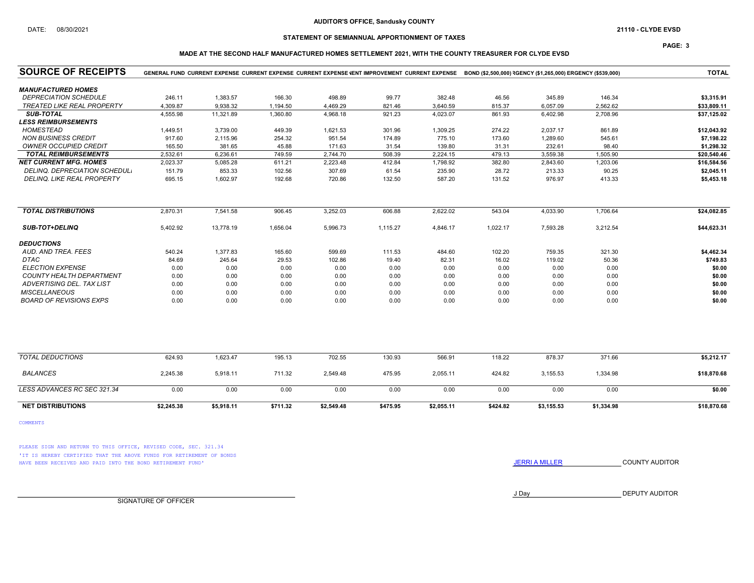### AUDITOR'S OFFICE, Sandusky COUNTY

## STATEMENT OF SEMIANNUAL APPORTIONMENT OF TAXES

### PAGE: 3

### MADE AT THE SECOND HALF MANUFACTURED HOMES SETTLEMENT 2021, WITH THE COUNTY TREASURER FOR CLYDE EVSD

| <b>SOURCE OF RECEIPTS</b>         |            |            |          |            | GENERAL FUND CURRENT EXPENSE CURRENT EXPENSE CURRENT EXPENSE VENT IMPROVEMENT CURRENT EXPENSE BOND (\$2,500,000) RGENCY (\$1,265,000) ERGENCY (\$539,000) | <b>TOTAL</b> |          |            |            |             |
|-----------------------------------|------------|------------|----------|------------|-----------------------------------------------------------------------------------------------------------------------------------------------------------|--------------|----------|------------|------------|-------------|
| <b>MANUFACTURED HOMES</b>         |            |            |          |            |                                                                                                                                                           |              |          |            |            |             |
| <b>DEPRECIATION SCHEDULE</b>      | 246.11     | 1,383.57   | 166.30   | 498.89     | 99.77                                                                                                                                                     | 382.48       | 46.56    | 345.89     | 146.34     | \$3,315.91  |
| <b>TREATED LIKE REAL PROPERTY</b> | 4.309.87   | 9.938.32   | 1,194.50 | 4,469.29   | 821.46                                                                                                                                                    | 3,640.59     | 815.37   | 6.057.09   | 2.562.62   | \$33,809.11 |
| <b>SUB-TOTAL</b>                  | 4,555.98   | 11,321.89  | 1,360.80 | 4,968.18   | 921.23                                                                                                                                                    | 4,023.07     | 861.93   | 6,402.98   | 2,708.96   | \$37,125.02 |
| <b>LESS REIMBURSEMENTS</b>        |            |            |          |            |                                                                                                                                                           |              |          |            |            |             |
| <b>HOMESTEAD</b>                  | 1,449.51   | 3,739.00   | 449.39   | 1,621.53   | 301.96                                                                                                                                                    | 1,309.25     | 274.22   | 2,037.17   | 861.89     | \$12,043.92 |
| <b>NON BUSINESS CREDIT</b>        | 917.60     | 2,115.96   | 254.32   | 951.54     | 174.89                                                                                                                                                    | 775.10       | 173.60   | 1,289.60   | 545.61     | \$7,198.22  |
| <b>OWNER OCCUPIED CREDIT</b>      | 165.50     | 381.65     | 45.88    | 171.63     | 31.54                                                                                                                                                     | 139.80       | 31.31    | 232.61     | 98.40      | \$1,298.32  |
| <b>TOTAL REIMBURSEMENTS</b>       | 2,532.61   | 6,236.61   | 749.59   | 2,744.70   | 508.39                                                                                                                                                    | 2,224.15     | 479.13   | 3,559.38   | 1,505.90   | \$20.540.46 |
| <b>NET CURRENT MFG. HOMES</b>     | 2,023.37   | 5,085.28   | 611.21   | 2,223.48   | 412.84                                                                                                                                                    | 1,798.92     | 382.80   | 2,843.60   | 1.203.06   | \$16.584.56 |
| DELINQ. DEPRECIATION SCHEDUL.     | 151.79     | 853.33     | 102.56   | 307.69     | 61.54                                                                                                                                                     | 235.90       | 28.72    | 213.33     | 90.25      | \$2,045.11  |
| <b>DELINQ. LIKE REAL PROPERTY</b> | 695.15     | 1,602.97   | 192.68   | 720.86     | 132.50                                                                                                                                                    | 587.20       | 131.52   | 976.97     | 413.33     | \$5,453.18  |
| <b>TOTAL DISTRIBUTIONS</b>        | 2,870.31   | 7,541.58   | 906.45   | 3,252.03   | 606.88                                                                                                                                                    | 2,622.02     | 543.04   | 4,033.90   | 1.706.64   | \$24,082.85 |
|                                   |            |            |          |            |                                                                                                                                                           |              |          |            |            |             |
| <b>SUB-TOT+DELINQ</b>             | 5,402.92   | 13,778.19  | 1,656.04 | 5,996.73   | 1,115.27                                                                                                                                                  | 4,846.17     | 1,022.17 | 7,593.28   | 3,212.54   | \$44,623.31 |
| <b>DEDUCTIONS</b>                 |            |            |          |            |                                                                                                                                                           |              |          |            |            |             |
| AUD, AND TREA, FEES               | 540.24     | 1,377.83   | 165.60   | 599.69     | 111.53                                                                                                                                                    | 484.60       | 102.20   | 759.35     | 321.30     | \$4,462.34  |
| <b>DTAC</b>                       | 84.69      | 245.64     | 29.53    | 102.86     | 19.40                                                                                                                                                     | 82.31        | 16.02    | 119.02     | 50.36      | \$749.83    |
| <b>ELECTION EXPENSE</b>           | 0.00       | 0.00       | 0.00     | 0.00       | 0.00                                                                                                                                                      | 0.00         | 0.00     | 0.00       | 0.00       | \$0.00      |
| <b>COUNTY HEALTH DEPARTMENT</b>   | 0.00       | 0.00       | 0.00     | 0.00       | 0.00                                                                                                                                                      | 0.00         | 0.00     | 0.00       | 0.00       | \$0.00      |
| <b>ADVERTISING DEL. TAX LIST</b>  | 0.00       | 0.00       | 0.00     | 0.00       | 0.00                                                                                                                                                      | 0.00         | 0.00     | 0.00       | 0.00       | \$0.00      |
| <b>MISCELLANEOUS</b>              | 0.00       | 0.00       | 0.00     | 0.00       | 0.00                                                                                                                                                      | 0.00         | 0.00     | 0.00       | 0.00       | \$0.00      |
| <b>BOARD OF REVISIONS EXPS</b>    | 0.00       | 0.00       | 0.00     | 0.00       | 0.00                                                                                                                                                      | 0.00         | 0.00     | 0.00       | 0.00       | \$0.00      |
|                                   |            |            |          |            |                                                                                                                                                           |              |          |            |            |             |
| <b>TOTAL DEDUCTIONS</b>           | 624.93     | 1,623.47   | 195.13   | 702.55     | 130.93                                                                                                                                                    | 566.91       | 118.22   | 878.37     | 371.66     | \$5,212.17  |
| <b>BALANCES</b>                   | 2,245.38   | 5,918.11   | 711.32   | 2,549.48   | 475.95                                                                                                                                                    | 2,055.11     | 424.82   | 3,155.53   | 1,334.98   | \$18,870.68 |
| LESS ADVANCES RC SEC 321.34       | 0.00       | 0.00       | 0.00     | 0.00       | 0.00                                                                                                                                                      | 0.00         | 0.00     | 0.00       | 0.00       | \$0.00      |
| <b>NET DISTRIBUTIONS</b>          | \$2,245.38 | \$5.918.11 | \$711.32 | \$2,549.48 | \$475.95                                                                                                                                                  | \$2,055.11   | \$424.82 | \$3.155.53 | \$1,334.98 | \$18.870.68 |

COMMENTS

PLEASE SIGN AND RETURN TO THIS OFFICE, REVISED CODE, SEC. 321.34 'IT IS HEREBY CERTIFIED THAT THE ABOVE FUNDS FOR RETIREMENT OF BONDS HAVE BEEN RECEIVED AND PAID INTO THE BOND RETIREMENT FUND' **SECULTS** THE COUNTY AUDITOR

J Day DEPUTY AUDITOR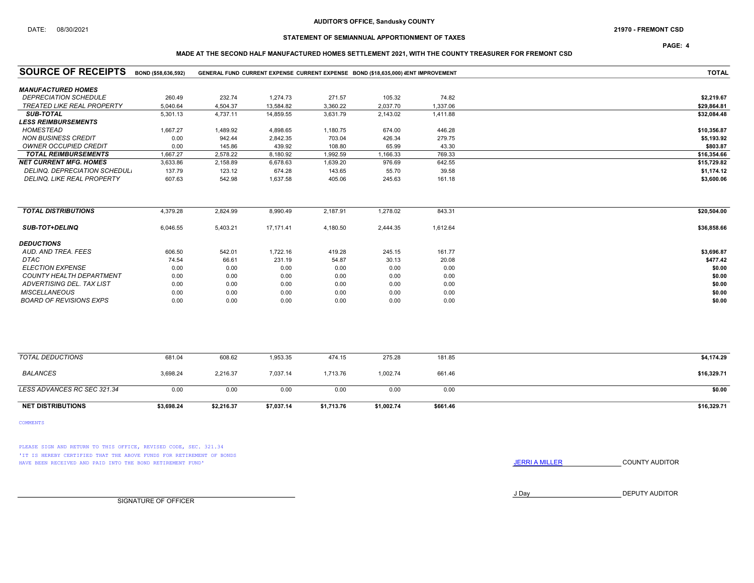PAGE: 4

### MADE AT THE SECOND HALF MANUFACTURED HOMES SETTLEMENT 2021, WITH THE COUNTY TREASURER FOR FREMONT CSD

| <b>SOURCE OF RECEIPTS</b>         | BOND (\$58,636,592) |            |            |            | GENERAL FUND CURRENT EXPENSE CURRENT EXPENSE BOND (\$18,635,000) VENT IMPROVEMENT |          | <b>TOTAL</b> |
|-----------------------------------|---------------------|------------|------------|------------|-----------------------------------------------------------------------------------|----------|--------------|
| <b>MANUFACTURED HOMES</b>         |                     |            |            |            |                                                                                   |          |              |
| <b>DEPRECIATION SCHEDULE</b>      | 260.49              | 232.74     | 1,274.73   | 271.57     | 105.32                                                                            | 74.82    | \$2,219.67   |
| <b>TREATED LIKE REAL PROPERTY</b> | 5,040.64            | 4,504.37   | 13.584.82  | 3,360.22   | 2,037.70                                                                          | 1,337.06 | \$29,864.81  |
| <b>SUB-TOTAL</b>                  | 5,301.13            | 4,737.11   | 14,859.55  | 3,631.79   | 2,143.02                                                                          | 1,411.88 | \$32,084.48  |
| <b>LESS REIMBURSEMENTS</b>        |                     |            |            |            |                                                                                   |          |              |
| <b>HOMESTEAD</b>                  | 1,667.27            | 1,489.92   | 4,898.65   | 1,180.75   | 674.00                                                                            | 446.28   | \$10,356.87  |
| <b>NON BUSINESS CREDIT</b>        | 0.00                | 942.44     | 2,842.35   | 703.04     | 426.34                                                                            | 279.75   | \$5,193.92   |
| <b>OWNER OCCUPIED CREDIT</b>      | 0.00                | 145.86     | 439.92     | 108.80     | 65.99                                                                             | 43.30    | \$803.87     |
| <b>TOTAL REIMBURSEMENTS</b>       | 1,667.27            | 2,578.22   | 8,180.92   | 1,992.59   | 1,166.33                                                                          | 769.33   | \$16,354.66  |
| <b>NET CURRENT MFG. HOMES</b>     | 3,633.86            | 2,158.89   | 6,678.63   | 1,639.20   | 976.69                                                                            | 642.55   | \$15,729.82  |
| DELINQ. DEPRECIATION SCHEDUL.     | 137.79              | 123.12     | 674.28     | 143.65     | 55.70                                                                             | 39.58    | \$1,174.12   |
| DELINQ. LIKE REAL PROPERTY        | 607.63              | 542.98     | 1,637.58   | 405.06     | 245.63                                                                            | 161.18   | \$3,600.06   |
|                                   |                     |            |            |            |                                                                                   |          |              |
| <b>TOTAL DISTRIBUTIONS</b>        | 4,379.28            | 2,824.99   | 8,990.49   | 2,187.91   | 1,278.02                                                                          | 843.31   | \$20,504.00  |
| <b>SUB-TOT+DELINQ</b>             | 6,046.55            | 5,403.21   | 17,171.41  | 4,180.50   | 2,444.35                                                                          | 1,612.64 | \$36,858.66  |
| <b>DEDUCTIONS</b>                 |                     |            |            |            |                                                                                   |          |              |
| AUD. AND TREA. FEES               | 606.50              | 542.01     | 1,722.16   | 419.28     | 245.15                                                                            | 161.77   | \$3,696.87   |
| DTAC                              | 74.54               | 66.61      | 231.19     | 54.87      | 30.13                                                                             | 20.08    | \$477.42     |
| <b>ELECTION EXPENSE</b>           | 0.00                | 0.00       | 0.00       | 0.00       | 0.00                                                                              | 0.00     | \$0.00       |
| COUNTY HEALTH DEPARTMENT          | 0.00                | 0.00       | 0.00       | 0.00       | 0.00                                                                              | 0.00     | \$0.00       |
| ADVERTISING DEL. TAX LIST         | 0.00                | 0.00       | 0.00       | 0.00       | 0.00                                                                              | 0.00     | \$0.00       |
| <b>MISCELLANEOUS</b>              | 0.00                | 0.00       | 0.00       | 0.00       | 0.00                                                                              | 0.00     | \$0.00       |
| <b>BOARD OF REVISIONS EXPS</b>    | 0.00                | 0.00       | 0.00       | 0.00       | 0.00                                                                              | 0.00     | \$0.00       |
|                                   |                     |            |            |            |                                                                                   |          |              |
| <b>TOTAL DEDUCTIONS</b>           | 681.04              | 608.62     | 1,953.35   | 474.15     | 275.28                                                                            | 181.85   | \$4,174.29   |
| <b>BALANCES</b>                   | 3,698.24            | 2,216.37   | 7,037.14   | 1,713.76   | 1,002.74                                                                          | 661.46   | \$16,329.71  |
| LESS ADVANCES RC SEC 321.34       | 0.00                | 0.00       | 0.00       | 0.00       | 0.00                                                                              | 0.00     | \$0.00       |
| <b>NET DISTRIBUTIONS</b>          | \$3.698.24          | \$2,216.37 | \$7,037.14 | \$1,713.76 | \$1,002.74                                                                        | \$661.46 | \$16,329.71  |

COMMENTS

PLEASE SIGN AND RETURN TO THIS OFFICE, REVISED CODE, SEC. 321.34 'IT IS HEREBY CERTIFIED THAT THE ABOVE FUNDS FOR RETIREMENT OF BONDS HAVE BEEN RECEIVED AND PAID INTO THE BOND RETIREMENT FUND' **SECULTS** THE COUNTY AUDITOR

J Day DEPUTY AUDITOR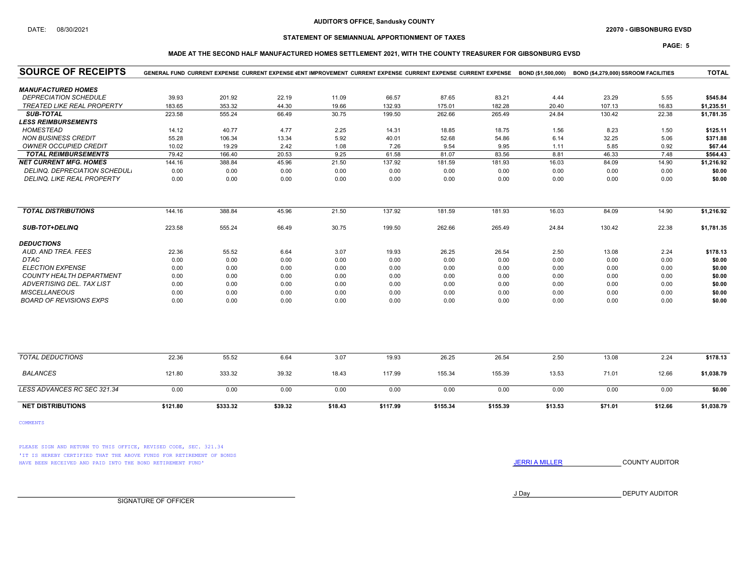### AUDITOR'S OFFICE, Sandusky COUNTY

### DATE: 08/30/2021 22070 - GIBSONBURG EVSD

PAGE: 5

## STATEMENT OF SEMIANNUAL APPORTIONMENT OF TAXES

## MADE AT THE SECOND HALF MANUFACTURED HOMES SETTLEMENT 2021, WITH THE COUNTY TREASURER FOR GIBSONBURG EVSD

| <b>SOURCE OF RECEIPTS</b>            |          | GENERAL FUND CURRENT EXPENSE CURRENT EXPENSE JENT IMPROVEMENT CURRENT EXPENSE CURRENT EXPENSE CURRENT EXPENSE BOND (\$1,500,000) |         |         |          |          |          |         | BOND (\$4,279,000) SSROOM FACILITIES |         | <b>TOTAL</b> |
|--------------------------------------|----------|----------------------------------------------------------------------------------------------------------------------------------|---------|---------|----------|----------|----------|---------|--------------------------------------|---------|--------------|
| <b>MANUFACTURED HOMES</b>            |          |                                                                                                                                  |         |         |          |          |          |         |                                      |         |              |
| <b>DEPRECIATION SCHEDULE</b>         | 39.93    | 201.92                                                                                                                           | 22.19   | 11.09   | 66.57    | 87.65    | 83.21    | 4.44    | 23.29                                | 5.55    | \$545.84     |
| <b>TREATED LIKE REAL PROPERTY</b>    | 183.65   | 353.32                                                                                                                           | 44.30   | 19.66   | 132.93   | 175.01   | 182.28   | 20.40   | 107.13                               | 16.83   | \$1,235.51   |
| <b>SUB-TOTAL</b>                     | 223.58   | 555.24                                                                                                                           | 66.49   | 30.75   | 199.50   | 262.66   | 265.49   | 24.84   | 130.42                               | 22.38   | \$1,781.35   |
| <b>LESS REIMBURSEMENTS</b>           |          |                                                                                                                                  |         |         |          |          |          |         |                                      |         |              |
| <b>HOMESTEAD</b>                     | 14.12    | 40.77                                                                                                                            | 4.77    | 2.25    | 14.31    | 18.85    | 18.75    | 1.56    | 8.23                                 | 1.50    | \$125.11     |
| <b>NON BUSINESS CREDIT</b>           | 55.28    | 106.34                                                                                                                           | 13.34   | 5.92    | 40.01    | 52.68    | 54.86    | 6.14    | 32.25                                | 5.06    | \$371.88     |
| <b>OWNER OCCUPIED CREDIT</b>         | 10.02    | 19.29                                                                                                                            | 2.42    | 1.08    | 7.26     | 9.54     | 9.95     | 1.11    | 5.85                                 | 0.92    | \$67.44      |
| <b>TOTAL REIMBURSEMENTS</b>          | 79.42    | 166.40                                                                                                                           | 20.53   | 9.25    | 61.58    | 81.07    | 83.56    | 8.81    | 46.33                                | 7.48    | \$564.43     |
| <b>NET CURRENT MFG. HOMES</b>        | 144.16   | 388.84                                                                                                                           | 45.96   | 21.50   | 137.92   | 181.59   | 181.93   | 16.03   | 84.09                                | 14.90   | \$1,216.92   |
| <b>DELINQ. DEPRECIATION SCHEDUL.</b> | 0.00     | 0.00                                                                                                                             | 0.00    | 0.00    | 0.00     | 0.00     | 0.00     | 0.00    | 0.00                                 | 0.00    | \$0.00       |
| DELINQ. LIKE REAL PROPERTY           | 0.00     | 0.00                                                                                                                             | 0.00    | 0.00    | 0.00     | 0.00     | 0.00     | 0.00    | 0.00                                 | 0.00    | \$0.00       |
| <b>TOTAL DISTRIBUTIONS</b>           | 144.16   | 388.84                                                                                                                           | 45.96   | 21.50   | 137.92   | 181.59   | 181.93   | 16.03   | 84.09                                | 14.90   | \$1,216.92   |
| <b>SUB-TOT+DELINQ</b>                | 223.58   | 555.24                                                                                                                           | 66.49   | 30.75   | 199.50   | 262.66   | 265.49   | 24.84   | 130.42                               | 22.38   | \$1,781.35   |
| <b>DEDUCTIONS</b>                    |          |                                                                                                                                  |         |         |          |          |          |         |                                      |         |              |
| AUD. AND TREA. FEES                  | 22.36    | 55.52                                                                                                                            | 6.64    | 3.07    | 19.93    | 26.25    | 26.54    | 2.50    | 13.08                                | 2.24    | \$178.13     |
| DTAC                                 | 0.00     | 0.00                                                                                                                             | 0.00    | 0.00    | 0.00     | 0.00     | 0.00     | 0.00    | 0.00                                 | 0.00    | \$0.00       |
| <b>ELECTION EXPENSE</b>              | 0.00     | 0.00                                                                                                                             | 0.00    | 0.00    | 0.00     | 0.00     | 0.00     | 0.00    | 0.00                                 | 0.00    | \$0.00       |
| <b>COUNTY HEALTH DEPARTMENT</b>      | 0.00     | 0.00                                                                                                                             | 0.00    | 0.00    | 0.00     | 0.00     | 0.00     | 0.00    | 0.00                                 | 0.00    | \$0.00       |
| ADVERTISING DEL. TAX LIST            | 0.00     | 0.00                                                                                                                             | 0.00    | 0.00    | 0.00     | 0.00     | 0.00     | 0.00    | 0.00                                 | 0.00    | \$0.00       |
| <b>MISCELLANEOUS</b>                 | 0.00     | 0.00                                                                                                                             | 0.00    | 0.00    | 0.00     | 0.00     | 0.00     | 0.00    | 0.00                                 | 0.00    | \$0.00       |
| <b>BOARD OF REVISIONS EXPS</b>       | 0.00     | 0.00                                                                                                                             | 0.00    | 0.00    | 0.00     | 0.00     | 0.00     | 0.00    | 0.00                                 | 0.00    | \$0.00       |
|                                      |          |                                                                                                                                  |         |         |          |          |          |         |                                      |         |              |
| <b>TOTAL DEDUCTIONS</b>              | 22.36    | 55.52                                                                                                                            | 6.64    | 3.07    | 19.93    | 26.25    | 26.54    | 2.50    | 13.08                                | 2.24    | \$178.13     |
| <b>BALANCES</b>                      | 121.80   | 333.32                                                                                                                           | 39.32   | 18.43   | 117.99   | 155.34   | 155.39   | 13.53   | 71.01                                | 12.66   | \$1,038.79   |
| LESS ADVANCES RC SEC 321.34          | 0.00     | 0.00                                                                                                                             | 0.00    | 0.00    | 0.00     | 0.00     | 0.00     | 0.00    | 0.00                                 | 0.00    | \$0.00       |
| <b>NET DISTRIBUTIONS</b>             | \$121.80 | \$333.32                                                                                                                         | \$39.32 | \$18.43 | \$117.99 | \$155.34 | \$155.39 | \$13.53 | \$71.01                              | \$12.66 | \$1,038.79   |

COMMENTS

PLEASE SIGN AND RETURN TO THIS OFFICE, REVISED CODE, SEC. 321.34 'IT IS HEREBY CERTIFIED THAT THE ABOVE FUNDS FOR RETIREMENT OF BONDS HAVE BEEN RECEIVED AND PAID INTO THE BOND RETIREMENT FUND' **SECULTS** THE COUNTY AUDITOR

J Day DEPUTY AUDITOR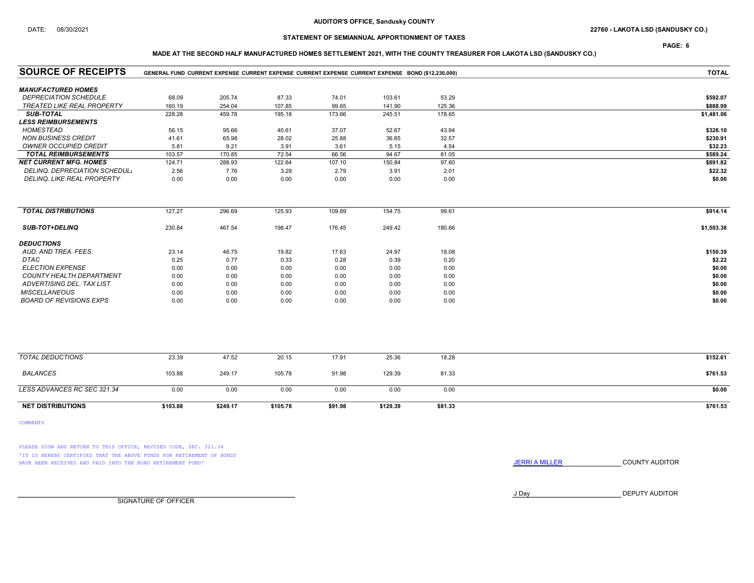PAGE: 6

## MADE AT THE SECOND HALF MANUFACTURED HOMES SETTLEMENT 2021, WITH THE COUNTY TREASURER FOR LAKOTA LSD (SANDUSKY CO.)

| <b>SOURCE OF RECEIPTS</b>         | GENERAL FUND CURRENT EXPENSE CURRENT EXPENSE CURRENT EXPENSE CURRENT EXPENSE BOND (\$12,230,000) | <b>TOTAL</b> |          |         |          |         |            |
|-----------------------------------|--------------------------------------------------------------------------------------------------|--------------|----------|---------|----------|---------|------------|
| <b>MANUFACTURED HOMES</b>         |                                                                                                  |              |          |         |          |         |            |
| <b>DEPRECIATION SCHEDULE</b>      | 68.09                                                                                            | 205.74       | 87.33    | 74.01   | 103.61   | 53.29   | \$592.07   |
| <b>TREATED LIKE REAL PROPERTY</b> | 160.19                                                                                           | 254.04       | 107.85   | 99.65   | 141.90   | 125.36  | \$888.99   |
| <b>SUB-TOTAL</b>                  | 228.28                                                                                           | 459.78       | 195.18   | 173.66  | 245.51   | 178.65  | \$1,481.06 |
| <b>LESS REIMBURSEMENTS</b>        |                                                                                                  |              |          |         |          |         |            |
| <b>HOMESTEAD</b>                  | 56.15                                                                                            | 95.66        | 40.61    | 37.07   | 52.67    | 43.94   | \$326.10   |
| <b>NON BUSINESS CREDIT</b>        | 41.61                                                                                            | 65.98        | 28.02    | 25.88   | 36.85    | 32.57   | \$230.91   |
| <b>OWNER OCCUPIED CREDIT</b>      | 5.81                                                                                             | 9.21         | 3.91     | 3.61    | 5.15     | 4.54    | \$32.23    |
| <b>TOTAL REIMBURSEMENTS</b>       | 103.57                                                                                           | 170.85       | 72.54    | 66.56   | 94.67    | 81.05   | \$589.24   |
| <b>NET CURRENT MFG. HOMES</b>     | 124.71                                                                                           | 288.93       | 122.64   | 107.10  | 150.84   | 97.60   | \$891.82   |
| DELINQ. DEPRECIATION SCHEDUL.     | 2.56                                                                                             | 7.76         | 3.29     | 2.79    | 3.91     | 2.01    | \$22.32    |
| DELINQ. LIKE REAL PROPERTY        | 0.00                                                                                             | 0.00         | 0.00     | 0.00    | 0.00     | 0.00    | \$0.00     |
| <b>TOTAL DISTRIBUTIONS</b>        | 127.27                                                                                           | 296.69       | 125.93   | 109.89  | 154.75   | 99.61   | \$914.14   |
|                                   |                                                                                                  |              |          |         |          |         |            |
| <b>SUB-TOT+DELINQ</b>             | 230.84                                                                                           | 467.54       | 198.47   | 176.45  | 249.42   | 180.66  | \$1,503.38 |
| <b>DEDUCTIONS</b>                 |                                                                                                  |              |          |         |          |         |            |
| AUD. AND TREA. FEES               | 23.14                                                                                            | 46.75        | 19.82    | 17.63   | 24.97    | 18.08   | \$150.39   |
| <b>DTAC</b>                       | 0.25                                                                                             | 0.77         | 0.33     | 0.28    | 0.39     | 0.20    | \$2.22     |
| <b>ELECTION EXPENSE</b>           | 0.00                                                                                             | 0.00         | 0.00     | 0.00    | 0.00     | 0.00    | \$0.00     |
| <b>COUNTY HEALTH DEPARTMENT</b>   | 0.00                                                                                             | 0.00         | 0.00     | 0.00    | 0.00     | 0.00    | \$0.00     |
| ADVERTISING DEL. TAX LIST         | 0.00                                                                                             | 0.00         | 0.00     | 0.00    | 0.00     | 0.00    | \$0.00     |
| <b>MISCELLANEOUS</b>              | 0.00                                                                                             | 0.00         | 0.00     | 0.00    | 0.00     | 0.00    | \$0.00     |
| <b>BOARD OF REVISIONS EXPS</b>    | 0.00                                                                                             | 0.00         | 0.00     | 0.00    | 0.00     | 0.00    | \$0.00     |
|                                   |                                                                                                  |              |          |         |          |         |            |
| <b>TOTAL DEDUCTIONS</b>           | 23.39                                                                                            | 47.52        | 20.15    | 17.91   | 25.36    | 18.28   | \$152.61   |
| <b>BALANCES</b>                   | 103.88                                                                                           | 249.17       | 105.78   | 91.98   | 129.39   | 81.33   | \$761.53   |
| LESS ADVANCES RC SEC 321.34       | 0.00                                                                                             | 0.00         | 0.00     | 0.00    | 0.00     | 0.00    | \$0.00     |
| <b>NET DISTRIBUTIONS</b>          | \$103.88                                                                                         | \$249.17     | \$105.78 | \$91.98 | \$129.39 | \$81.33 | \$761.53   |

COMMENTS

PLEASE SIGN AND RETURN TO THIS OFFICE, REVISED CODE, SEC. 321.34 'IT IS HEREBY CERTIFIED THAT THE ABOVE FUNDS FOR RETIREMENT OF BONDS HAVE BEEN RECEIVED AND PAID INTO THE BOND RETIREMENT FUND' **SECULTS** THE COUNTY AUDITOR

J Day DEPUTY AUDITOR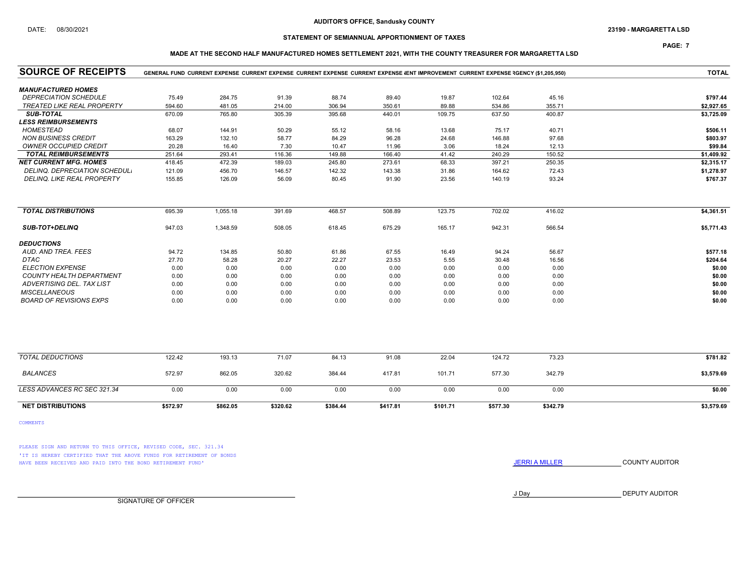### DATE: 08/30/2021 23190 - MARGARETTA LSD

## STATEMENT OF SEMIANNUAL APPORTIONMENT OF TAXES

## PAGE: 7

### MADE AT THE SECOND HALF MANUFACTURED HOMES SETTLEMENT 2021, WITH THE COUNTY TREASURER FOR MARGARETTA LSD

| <b>SOURCE OF RECEIPTS</b>       |          | GENERAL FUND CURRENT EXPENSE CURRENT EXPENSE CURRENT EXPENSE CURRENT EXPENSE (ENT IMPROVEMENT CURRENT EXPENSE RGENCY (\$1,205,950) |          |          |          |          |          |          | <b>TOTAL</b> |
|---------------------------------|----------|------------------------------------------------------------------------------------------------------------------------------------|----------|----------|----------|----------|----------|----------|--------------|
| <b>MANUFACTURED HOMES</b>       |          |                                                                                                                                    |          |          |          |          |          |          |              |
| <b>DEPRECIATION SCHEDULE</b>    | 75.49    | 284.75                                                                                                                             | 91.39    | 88.74    | 89.40    | 19.87    | 102.64   | 45.16    | \$797.44     |
| TREATED LIKE REAL PROPERTY      | 594.60   | 481.05                                                                                                                             | 214.00   | 306.94   | 350.61   | 89.88    | 534.86   | 355.71   | \$2,927.65   |
| <b>SUB-TOTAL</b>                | 670.09   | 765.80                                                                                                                             | 305.39   | 395.68   | 440.01   | 109.75   | 637.50   | 400.87   | \$3,725.09   |
| <b>LESS REIMBURSEMENTS</b>      |          |                                                                                                                                    |          |          |          |          |          |          |              |
| <b>HOMESTEAD</b>                | 68.07    | 144.91                                                                                                                             | 50.29    | 55.12    | 58.16    | 13.68    | 75.17    | 40.71    | \$506.11     |
| <b>NON BUSINESS CREDIT</b>      | 163.29   | 132.10                                                                                                                             | 58.77    | 84.29    | 96.28    | 24.68    | 146.88   | 97.68    | \$803.97     |
| <b>OWNER OCCUPIED CREDIT</b>    | 20.28    | 16.40                                                                                                                              | 7.30     | 10.47    | 11.96    | 3.06     | 18.24    | 12.13    | \$99.84      |
| <b>TOTAL REIMBURSEMENTS</b>     | 251.64   | 293.41                                                                                                                             | 116.36   | 149.88   | 166.40   | 41.42    | 240.29   | 150.52   | \$1,409.92   |
| <b>NET CURRENT MFG. HOMES</b>   | 418.45   | 472.39                                                                                                                             | 189.03   | 245.80   | 273.61   | 68.33    | 397.21   | 250.35   | \$2,315.17   |
| DELINQ. DEPRECIATION SCHEDUL.   | 121.09   | 456.70                                                                                                                             | 146.57   | 142.32   | 143.38   | 31.86    | 164.62   | 72.43    | \$1,278.97   |
| DELINQ. LIKE REAL PROPERTY      | 155.85   | 126.09                                                                                                                             | 56.09    | 80.45    | 91.90    | 23.56    | 140.19   | 93.24    | \$767.37     |
|                                 |          |                                                                                                                                    |          |          |          |          |          |          |              |
| <b>TOTAL DISTRIBUTIONS</b>      | 695.39   | 1,055.18                                                                                                                           | 391.69   | 468.57   | 508.89   | 123.75   | 702.02   | 416.02   | \$4,361.51   |
| <b>SUB-TOT+DELINQ</b>           | 947.03   | 1,348.59                                                                                                                           | 508.05   | 618.45   | 675.29   | 165.17   | 942.31   | 566.54   | \$5,771.43   |
| <b>DEDUCTIONS</b>               |          |                                                                                                                                    |          |          |          |          |          |          |              |
| AUD. AND TREA. FEES             | 94.72    | 134.85                                                                                                                             | 50.80    | 61.86    | 67.55    | 16.49    | 94.24    | 56.67    | \$577.18     |
| <b>DTAC</b>                     | 27.70    | 58.28                                                                                                                              | 20.27    | 22.27    | 23.53    | 5.55     | 30.48    | 16.56    | \$204.64     |
| <b>ELECTION EXPENSE</b>         | 0.00     | 0.00                                                                                                                               | 0.00     | 0.00     | 0.00     | 0.00     | 0.00     | 0.00     | \$0.00       |
| <b>COUNTY HEALTH DEPARTMENT</b> | 0.00     | 0.00                                                                                                                               | 0.00     | 0.00     | 0.00     | 0.00     | 0.00     | 0.00     | \$0.00       |
| ADVERTISING DEL. TAX LIST       | 0.00     | 0.00                                                                                                                               | 0.00     | 0.00     | 0.00     | 0.00     | 0.00     | 0.00     | \$0.00       |
| <b>MISCELLANEOUS</b>            | 0.00     | 0.00                                                                                                                               | 0.00     | 0.00     | 0.00     | 0.00     | 0.00     | 0.00     | \$0.00       |
| <b>BOARD OF REVISIONS EXPS</b>  | 0.00     | 0.00                                                                                                                               | 0.00     | 0.00     | 0.00     | 0.00     | 0.00     | 0.00     | \$0.00       |
|                                 |          |                                                                                                                                    |          |          |          |          |          |          |              |
| <b>TOTAL DEDUCTIONS</b>         | 122.42   | 193.13                                                                                                                             | 71.07    | 84.13    | 91.08    | 22.04    | 124.72   | 73.23    | \$781.82     |
| <b>BALANCES</b>                 | 572.97   | 862.05                                                                                                                             | 320.62   | 384.44   | 417.81   | 101.71   | 577.30   | 342.79   | \$3,579.69   |
| LESS ADVANCES RC SEC 321.34     | 0.00     | 0.00                                                                                                                               | 0.00     | 0.00     | 0.00     | 0.00     | 0.00     | 0.00     | \$0.00       |
| <b>NET DISTRIBUTIONS</b>        | \$572.97 | \$862.05                                                                                                                           | \$320.62 | \$384.44 | \$417.81 | \$101.71 | \$577.30 | \$342.79 | \$3,579.69   |

COMMENTS

PLEASE SIGN AND RETURN TO THIS OFFICE, REVISED CODE, SEC. 321.34 'IT IS HEREBY CERTIFIED THAT THE ABOVE FUNDS FOR RETIREMENT OF BONDS HAVE BEEN RECEIVED AND PAID INTO THE BOND RETIREMENT FUND' **SECULTS** THE COUNTY AUDITOR

J Day DEPUTY AUDITOR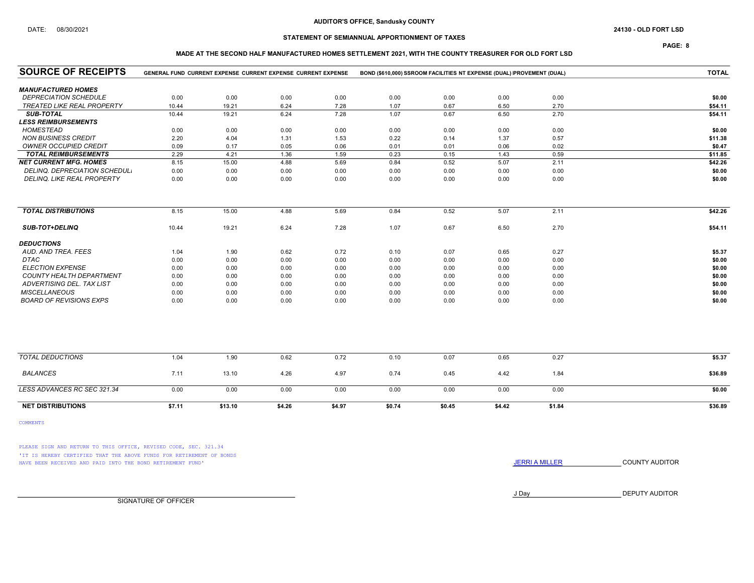### AUDITOR'S OFFICE, Sandusky COUNTY

### STATEMENT OF SEMIANNUAL APPORTIONMENT OF TAXES

PAGE: 8

### MADE AT THE SECOND HALF MANUFACTURED HOMES SETTLEMENT 2021, WITH THE COUNTY TREASURER FOR OLD FORT LSD

| <b>SOURCE OF RECEIPTS</b>         | GENERAL FUND CURRENT EXPENSE CURRENT EXPENSE CURRENT EXPENSE<br>BOND (\$610,000) SSROOM FACILITIES NT EXPENSE (DUAL) IPROVEMENT (DUAL) |         |        |        |        |        |        |        | <b>TOTAL</b> |
|-----------------------------------|----------------------------------------------------------------------------------------------------------------------------------------|---------|--------|--------|--------|--------|--------|--------|--------------|
| <b>MANUFACTURED HOMES</b>         |                                                                                                                                        |         |        |        |        |        |        |        |              |
| <b>DEPRECIATION SCHEDULE</b>      | 0.00                                                                                                                                   | 0.00    | 0.00   | 0.00   | 0.00   | 0.00   | 0.00   | 0.00   | \$0.00       |
| <b>TREATED LIKE REAL PROPERTY</b> | 10.44                                                                                                                                  | 19.21   | 6.24   | 7.28   | 1.07   | 0.67   | 6.50   | 2.70   | \$54.11      |
| <b>SUB-TOTAL</b>                  | 10.44                                                                                                                                  | 19.21   | 6.24   | 7.28   | 1.07   | 0.67   | 6.50   | 2.70   | \$54.11      |
| <b>LESS REIMBURSEMENTS</b>        |                                                                                                                                        |         |        |        |        |        |        |        |              |
| <b>HOMESTEAD</b>                  | 0.00                                                                                                                                   | 0.00    | 0.00   | 0.00   | 0.00   | 0.00   | 0.00   | 0.00   | \$0.00       |
| <b>NON BUSINESS CREDIT</b>        | 2.20                                                                                                                                   | 4.04    | 1.31   | 1.53   | 0.22   | 0.14   | 1.37   | 0.57   | \$11.38      |
| <b>OWNER OCCUPIED CREDIT</b>      | 0.09                                                                                                                                   | 0.17    | 0.05   | 0.06   | 0.01   | 0.01   | 0.06   | 0.02   | \$0.47       |
| <b>TOTAL REIMBURSEMENTS</b>       | 2.29                                                                                                                                   | 4.21    | 1.36   | 1.59   | 0.23   | 0.15   | 1.43   | 0.59   | \$11.85      |
| <b>NET CURRENT MFG. HOMES</b>     | 8.15                                                                                                                                   | 15.00   | 4.88   | 5.69   | 0.84   | 0.52   | 5.07   | 2.11   | \$42.26      |
| DELINQ. DEPRECIATION SCHEDUL.     | 0.00                                                                                                                                   | 0.00    | 0.00   | 0.00   | 0.00   | 0.00   | 0.00   | 0.00   | \$0.00       |
| DELINQ. LIKE REAL PROPERTY        | 0.00                                                                                                                                   | 0.00    | 0.00   | 0.00   | 0.00   | 0.00   | 0.00   | 0.00   | \$0.00       |
|                                   |                                                                                                                                        |         |        |        |        |        |        |        |              |
| <b>TOTAL DISTRIBUTIONS</b>        | 8.15                                                                                                                                   | 15.00   | 4.88   | 5.69   | 0.84   | 0.52   | 5.07   | 2.11   | \$42.26      |
| <b>SUB-TOT+DELINQ</b>             | 10.44                                                                                                                                  | 19.21   | 6.24   | 7.28   | 1.07   | 0.67   | 6.50   | 2.70   | \$54.11      |
| <b>DEDUCTIONS</b>                 |                                                                                                                                        |         |        |        |        |        |        |        |              |
| AUD, AND TREA, FEES               | 1.04                                                                                                                                   | 1.90    | 0.62   | 0.72   | 0.10   | 0.07   | 0.65   | 0.27   | \$5.37       |
| <b>DTAC</b>                       | 0.00                                                                                                                                   | 0.00    | 0.00   | 0.00   | 0.00   | 0.00   | 0.00   | 0.00   | \$0.00       |
| <b>ELECTION EXPENSE</b>           | 0.00                                                                                                                                   | 0.00    | 0.00   | 0.00   | 0.00   | 0.00   | 0.00   | 0.00   | \$0.00       |
| COUNTY HEALTH DEPARTMENT          | 0.00                                                                                                                                   | 0.00    | 0.00   | 0.00   | 0.00   | 0.00   | 0.00   | 0.00   | \$0.00       |
| ADVERTISING DEL. TAX LIST         | 0.00                                                                                                                                   | 0.00    | 0.00   | 0.00   | 0.00   | 0.00   | 0.00   | 0.00   | \$0.00       |
| <b>MISCELLANEOUS</b>              | 0.00                                                                                                                                   | 0.00    | 0.00   | 0.00   | 0.00   | 0.00   | 0.00   | 0.00   | \$0.00       |
| <b>BOARD OF REVISIONS EXPS</b>    | 0.00                                                                                                                                   | 0.00    | 0.00   | 0.00   | 0.00   | 0.00   | 0.00   | 0.00   | \$0.00       |
|                                   |                                                                                                                                        |         |        |        |        |        |        |        |              |
| <b>TOTAL DEDUCTIONS</b>           | 1.04                                                                                                                                   | 1.90    | 0.62   | 0.72   | 0.10   | 0.07   | 0.65   | 0.27   | \$5.37       |
| <b>BALANCES</b>                   | 7.11                                                                                                                                   | 13.10   | 4.26   | 4.97   | 0.74   | 0.45   | 4.42   | 1.84   | \$36.89      |
| LESS ADVANCES RC SEC 321.34       | 0.00                                                                                                                                   | 0.00    | 0.00   | 0.00   | 0.00   | 0.00   | 0.00   | 0.00   | \$0.00       |
| <b>NET DISTRIBUTIONS</b>          | \$7.11                                                                                                                                 | \$13.10 | \$4.26 | \$4.97 | \$0.74 | \$0.45 | \$4.42 | \$1.84 | \$36.89      |

COMMENTS

PLEASE SIGN AND RETURN TO THIS OFFICE, REVISED CODE, SEC. 321.34 'IT IS HEREBY CERTIFIED THAT THE ABOVE FUNDS FOR RETIREMENT OF BONDS HAVE BEEN RECEIVED AND PAID INTO THE BOND RETIREMENT FUND' **SECULTS** THE COUNTY AUDITOR

J Day DEPUTY AUDITOR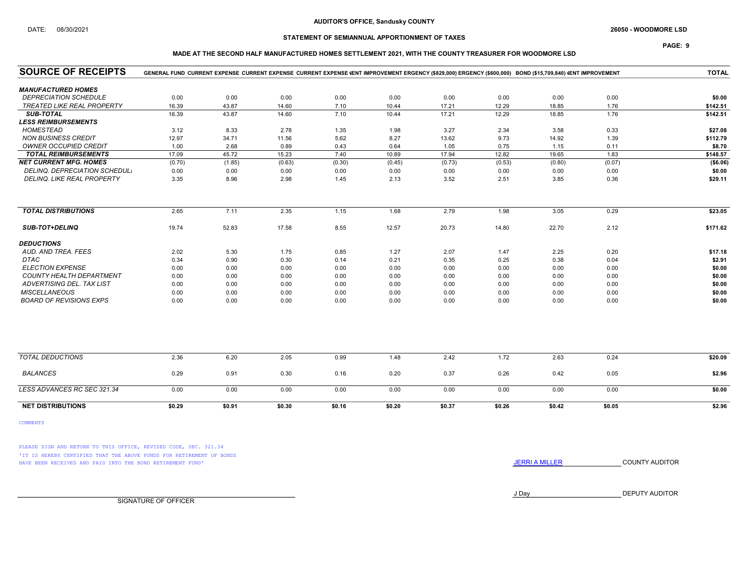### AUDITOR'S OFFICE, Sandusky COUNTY

## DATE: 08/30/2021 26050 - WOODMORE LSD

## STATEMENT OF SEMIANNUAL APPORTIONMENT OF TAXES

## PAGE: 9

### MADE AT THE SECOND HALF MANUFACTURED HOMES SETTLEMENT 2021, WITH THE COUNTY TREASURER FOR WOODMORE LSD

| <b>SOURCE OF RECEIPTS</b><br>GENERAL FUND CURRENT EXPENSE CURRENT EXPENSE CURRENT EXPENSE (ENT IMPROVEMENT ERGENCY (\$829,000) ERGENCY (\$600,000) BOND (\$15,709,840) (ENT IMPROVEMENT |        |        |        |        |        |        |        | <b>TOTAL</b> |        |           |
|-----------------------------------------------------------------------------------------------------------------------------------------------------------------------------------------|--------|--------|--------|--------|--------|--------|--------|--------------|--------|-----------|
| <b>MANUFACTURED HOMES</b>                                                                                                                                                               |        |        |        |        |        |        |        |              |        |           |
| <b>DEPRECIATION SCHEDULE</b>                                                                                                                                                            | 0.00   | 0.00   | 0.00   | 0.00   | 0.00   | 0.00   | 0.00   | 0.00         | 0.00   | \$0.00    |
| <b>TREATED LIKE REAL PROPERTY</b>                                                                                                                                                       | 16.39  | 43.87  | 14.60  | 7.10   | 10.44  | 17.21  | 12.29  | 18.85        | 1.76   | \$142.51  |
| <b>SUB-TOTAL</b>                                                                                                                                                                        | 16.39  | 43.87  | 14.60  | 7.10   | 10.44  | 17.21  | 12.29  | 18.85        | 1.76   | \$142.51  |
| <b>LESS REIMBURSEMENTS</b>                                                                                                                                                              |        |        |        |        |        |        |        |              |        |           |
| <b>HOMESTEAD</b>                                                                                                                                                                        | 3.12   | 8.33   | 2.78   | 1.35   | 1.98   | 3.27   | 2.34   | 3.58         | 0.33   | \$27.08   |
| <b>NON BUSINESS CREDIT</b>                                                                                                                                                              | 12.97  | 34.71  | 11.56  | 5.62   | 8.27   | 13.62  | 9.73   | 14.92        | 1.39   | \$112.79  |
| <b>OWNER OCCUPIED CREDIT</b>                                                                                                                                                            | 1.00   | 2.68   | 0.89   | 0.43   | 0.64   | 1.05   | 0.75   | 1.15         | 0.11   | \$8.70    |
| <b>TOTAL REIMBURSEMENTS</b>                                                                                                                                                             | 17.09  | 45.72  | 15.23  | 7.40   | 10.89  | 17.94  | 12.82  | 19.65        | 1.83   | \$148.57  |
| <b>NET CURRENT MFG. HOMES</b>                                                                                                                                                           | (0.70) | (1.85) | (0.63) | (0.30) | (0.45) | (0.73) | (0.53) | (0.80)       | (0.07) | ( \$6.06) |
| DELINQ. DEPRECIATION SCHEDUL.                                                                                                                                                           | 0.00   | 0.00   | 0.00   | 0.00   | 0.00   | 0.00   | 0.00   | 0.00         | 0.00   | \$0.00    |
| DELINQ. LIKE REAL PROPERTY                                                                                                                                                              | 3.35   | 8.96   | 2.98   | 1.45   | 2.13   | 3.52   | 2.51   | 3.85         | 0.36   | \$29.11   |
| <b>TOTAL DISTRIBUTIONS</b>                                                                                                                                                              | 2.65   | 7.11   | 2.35   | 1.15   | 1.68   | 2.79   | 1.98   | 3.05         | 0.29   | \$23.05   |
|                                                                                                                                                                                         |        |        |        |        |        |        |        |              |        |           |
| <b>SUB-TOT+DELINQ</b>                                                                                                                                                                   | 19.74  | 52.83  | 17.58  | 8.55   | 12.57  | 20.73  | 14.80  | 22.70        | 2.12   | \$171.62  |
| <b>DEDUCTIONS</b>                                                                                                                                                                       |        |        |        |        |        |        |        |              |        |           |
| AUD. AND TREA. FEES                                                                                                                                                                     | 2.02   | 5.30   | 1.75   | 0.85   | 1.27   | 2.07   | 1.47   | 2.25         | 0.20   | \$17.18   |
| <b>DTAC</b>                                                                                                                                                                             | 0.34   | 0.90   | 0.30   | 0.14   | 0.21   | 0.35   | 0.25   | 0.38         | 0.04   | \$2.91    |
| <b>ELECTION EXPENSE</b>                                                                                                                                                                 | 0.00   | 0.00   | 0.00   | 0.00   | 0.00   | 0.00   | 0.00   | 0.00         | 0.00   | \$0.00    |
| <b>COUNTY HEALTH DEPARTMENT</b>                                                                                                                                                         | 0.00   | 0.00   | 0.00   | 0.00   | 0.00   | 0.00   | 0.00   | 0.00         | 0.00   | \$0.00    |
| ADVERTISING DEL. TAX LIST                                                                                                                                                               | 0.00   | 0.00   | 0.00   | 0.00   | 0.00   | 0.00   | 0.00   | 0.00         | 0.00   | \$0.00    |
| <b>MISCELLANEOUS</b>                                                                                                                                                                    | 0.00   | 0.00   | 0.00   | 0.00   | 0.00   | 0.00   | 0.00   | 0.00         | 0.00   | \$0.00    |
| <b>BOARD OF REVISIONS EXPS</b>                                                                                                                                                          | 0.00   | 0.00   | 0.00   | 0.00   | 0.00   | 0.00   | 0.00   | 0.00         | 0.00   | \$0.00    |
|                                                                                                                                                                                         |        |        |        |        |        |        |        |              |        |           |
| <b>TOTAL DEDUCTIONS</b>                                                                                                                                                                 | 2.36   | 6.20   | 2.05   | 0.99   | 1.48   | 2.42   | 1.72   | 2.63         | 0.24   | \$20.09   |
| <b>BALANCES</b>                                                                                                                                                                         | 0.29   | 0.91   | 0.30   | 0.16   | 0.20   | 0.37   | 0.26   | 0.42         | 0.05   | \$2.96    |
| LESS ADVANCES RC SEC 321.34                                                                                                                                                             | 0.00   | 0.00   | 0.00   | 0.00   | 0.00   | 0.00   | 0.00   | 0.00         | 0.00   | \$0.00    |
| <b>NET DISTRIBUTIONS</b>                                                                                                                                                                | \$0.29 | \$0.91 | \$0.30 | \$0.16 | \$0.20 | \$0.37 | \$0.26 | \$0.42       | \$0.05 | \$2.96    |
| <b>COMMENTS</b>                                                                                                                                                                         |        |        |        |        |        |        |        |              |        |           |

PLEASE SIGN AND RETURN TO THIS OFFICE, REVISED CODE, SEC. 321.34 'IT IS HEREBY CERTIFIED THAT THE ABOVE FUNDS FOR RETIREMENT OF BONDS

HAVE BEEN RECEIVED AND PAID INTO THE BOND RETIREMENT FUND' **SECULTS** THE COUNTY AUDITOR

J Day DEPUTY AUDITOR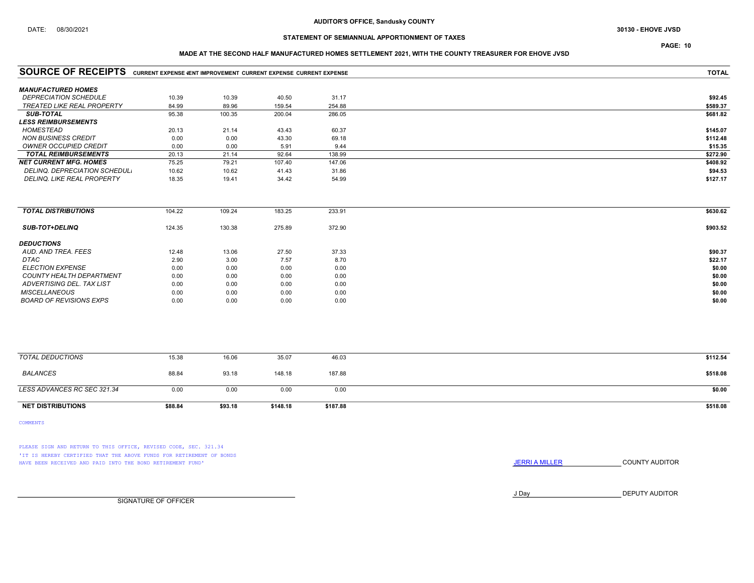### MADE AT THE SECOND HALF MANUFACTURED HOMES SETTLEMENT 2021, WITH THE COUNTY TREASURER FOR EHOVE JVSD

| <b>SOURCE OF RECEIPTS</b> CURRENT EXPENSE VENT IMPROVEMENT CURRENT EXPENSE CURRENT EXPENSE |        |        |        | <b>TOTAL</b> |          |
|--------------------------------------------------------------------------------------------|--------|--------|--------|--------------|----------|
| <b>MANUFACTURED HOMES</b>                                                                  |        |        |        |              |          |
| <b>DEPRECIATION SCHEDULE</b>                                                               | 10.39  | 10.39  | 40.50  | 31.17        | \$92.45  |
| <b>TREATED LIKE REAL PROPERTY</b>                                                          | 84.99  | 89.96  | 159.54 | 254.88       | \$589.37 |
| <b>SUB-TOTAL</b>                                                                           | 95.38  | 100.35 | 200.04 | 286.05       | \$681.82 |
| <b>LESS REIMBURSEMENTS</b>                                                                 |        |        |        |              |          |
| <b>HOMESTEAD</b>                                                                           | 20.13  | 21.14  | 43.43  | 60.37        | \$145.07 |
| <b>NON BUSINESS CREDIT</b>                                                                 | 0.00   | 0.00   | 43.30  | 69.18        | \$112.48 |
| OWNER OCCUPIED CREDIT                                                                      | 0.00   | 0.00   | 5.91   | 9.44         | \$15.35  |
| <b>TOTAL REIMBURSEMENTS</b>                                                                | 20.13  | 21.14  | 92.64  | 138.99       | \$272.90 |
| <b>NET CURRENT MFG. HOMES</b>                                                              | 75.25  | 79.21  | 107.40 | 147.06       | \$408.92 |
| DELINQ. DEPRECIATION SCHEDUL.                                                              | 10.62  | 10.62  | 41.43  | 31.86        | \$94.53  |
| DELINQ. LIKE REAL PROPERTY                                                                 | 18.35  | 19.41  | 34.42  | 54.99        | \$127.17 |
| <b>TOTAL DISTRIBUTIONS</b>                                                                 | 104.22 | 109.24 | 183.25 | 233.91       | \$630.62 |
| <b>SUB-TOT+DELINQ</b>                                                                      | 124.35 | 130.38 | 275.89 | 372.90       | \$903.52 |
| <b>DEDUCTIONS</b>                                                                          |        |        |        |              |          |
| AUD. AND TREA. FEES                                                                        | 12.48  | 13.06  | 27.50  | 37.33        | \$90.37  |
| <b>DTAC</b>                                                                                | 2.90   | 3.00   | 7.57   | 8.70         | \$22.17  |
| <b>ELECTION EXPENSE</b>                                                                    | 0.00   | 0.00   | 0.00   | 0.00         | \$0.00   |
| COUNTY HEALTH DEPARTMENT                                                                   | 0.00   | 0.00   | 0.00   | 0.00         | \$0.00   |
| ADVERTISING DEL. TAX LIST                                                                  | 0.00   | 0.00   | 0.00   | 0.00         | \$0.00   |
| <b>MISCELLANEOUS</b>                                                                       | 0.00   | 0.00   | 0.00   | 0.00         | \$0.00   |
| <b>BOARD OF REVISIONS EXPS</b>                                                             | 0.00   | 0.00   | 0.00   | 0.00         | \$0.00   |
|                                                                                            |        |        |        |              |          |
| <b>TOTAL DEDUCTIONS</b>                                                                    | 15.38  | 16.06  | 35.07  | 46.03        | \$112.54 |
| <b>BALANCES</b>                                                                            | 88.84  | 93.18  | 148.18 | 187.88       | \$518.08 |
| LESS ADVANCES RC SEC 321.34                                                                | 0.00   | 0.00   | 0.00   | 0.00         | \$0.00   |

NET DISTRIBUTIONS \$88.84 \$93.18 \$148.18 \$187.88 \$518.08 \$518.08

COMMENTS

PLEASE SIGN AND RETURN TO THIS OFFICE, REVISED CODE, SEC. 321.34 'IT IS HEREBY CERTIFIED THAT THE ABOVE FUNDS FOR RETIREMENT OF BONDS

HAVE BEEN RECEIVED AND PAID INTO THE BOND RETIREMENT FUND' **SECULTS** THE COUNTY AUDITOR

J Day DEPUTY AUDITOR

SIGNATURE OF OFFICER

PAGE: 10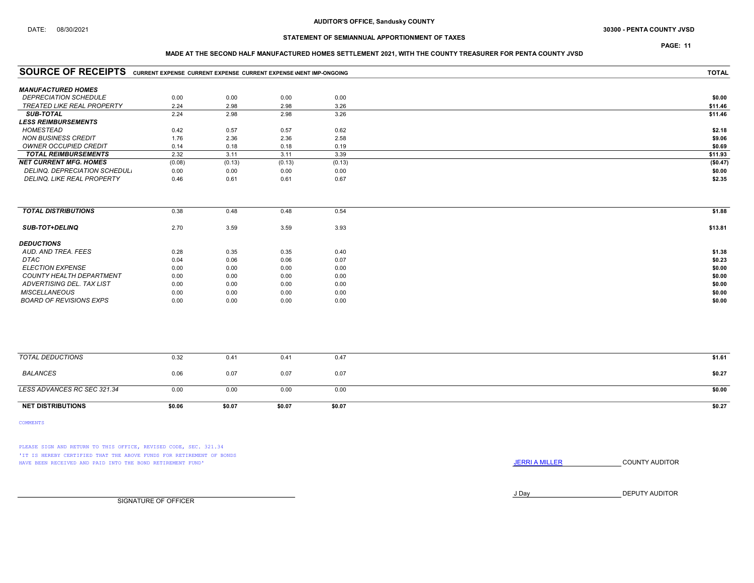## DATE: 08/30/2021 30300 - PENTA COUNTY JVSD

## STATEMENT OF SEMIANNUAL APPORTIONMENT OF TAXES

## PAGE: 11

### MADE AT THE SECOND HALF MANUFACTURED HOMES SETTLEMENT 2021, WITH THE COUNTY TREASURER FOR PENTA COUNTY JVSD

| <b>SOURCE OF RECEIPTS</b> CURRENT EXPENSE CURRENT EXPENSE CURRENT EXPENSE WENT IMP-ONGOING |        |        | <b>TOTAL</b> |        |          |
|--------------------------------------------------------------------------------------------|--------|--------|--------------|--------|----------|
| <b>MANUFACTURED HOMES</b>                                                                  |        |        |              |        |          |
| <b>DEPRECIATION SCHEDULE</b>                                                               | 0.00   | 0.00   | 0.00         | 0.00   | \$0.00   |
| TREATED LIKE REAL PROPERTY                                                                 | 2.24   | 2.98   | 2.98         | 3.26   | \$11.46  |
| <b>SUB-TOTAL</b>                                                                           | 2.24   | 2.98   | 2.98         | 3.26   | \$11.46  |
| <b>LESS REIMBURSEMENTS</b>                                                                 |        |        |              |        |          |
| HOMESTEAD                                                                                  | 0.42   | 0.57   | 0.57         | 0.62   | \$2.18   |
| <b>NON BUSINESS CREDIT</b>                                                                 | 1.76   | 2.36   | 2.36         | 2.58   | \$9.06   |
| OWNER OCCUPIED CREDIT                                                                      | 0.14   | 0.18   | 0.18         | 0.19   | \$0.69   |
| <b>TOTAL REIMBURSEMENTS</b>                                                                | 2.32   | 3.11   | 3.11         | 3.39   | \$11.93  |
| <b>NET CURRENT MFG. HOMES</b>                                                              | (0.08) | (0.13) | (0.13)       | (0.13) | (\$0.47) |
| DELINQ. DEPRECIATION SCHEDUL.                                                              | 0.00   | 0.00   | 0.00         | 0.00   | \$0.00   |
| <b>DELINQ. LIKE REAL PROPERTY</b>                                                          | 0.46   | 0.61   | 0.61         | 0.67   | \$2.35   |
|                                                                                            |        |        |              |        |          |
| <b>TOTAL DISTRIBUTIONS</b>                                                                 | 0.38   | 0.48   | 0.48         | 0.54   | \$1.88   |
| SUB-TOT+DELINQ                                                                             | 2.70   | 3.59   | 3.59         | 3.93   | \$13.81  |
| <b>DEDUCTIONS</b>                                                                          |        |        |              |        |          |
| AUD. AND TREA. FEES                                                                        | 0.28   | 0.35   | 0.35         | 0.40   | \$1.38   |
| <b>DTAC</b>                                                                                | 0.04   | 0.06   | 0.06         | 0.07   | \$0.23   |
| <b>ELECTION EXPENSE</b>                                                                    | 0.00   | 0.00   | 0.00         | 0.00   | \$0.00   |
| <b>COUNTY HEALTH DEPARTMENT</b>                                                            | 0.00   | 0.00   | 0.00         | 0.00   | \$0.00   |
| ADVERTISING DEL. TAX LIST                                                                  | 0.00   | 0.00   | 0.00         | 0.00   | \$0.00   |
| <b>MISCELLANEOUS</b>                                                                       | 0.00   | 0.00   | 0.00         | 0.00   | \$0.00   |
| <b>BOARD OF REVISIONS EXPS</b>                                                             | 0.00   | 0.00   | 0.00         | 0.00   | \$0.00   |
|                                                                                            |        |        |              |        |          |
| <b>TOTAL DEDUCTIONS</b>                                                                    | 0.32   | 0.41   | 0.41         | 0.47   | \$1.61   |
| <b>BALANCES</b>                                                                            | 0.06   | 0.07   | 0.07         | 0.07   | \$0.27   |
| LESS ADVANCES RC SEC 321.34                                                                | 0.00   | 0.00   | 0.00         | 0.00   | \$0.00   |
| <b>NET DISTRIBUTIONS</b>                                                                   | \$0.06 | \$0.07 | \$0.07       | \$0.07 | \$0.27   |

COMMENTS

PLEASE SIGN AND RETURN TO THIS OFFICE, REVISED CODE, SEC. 321.34 'IT IS HEREBY CERTIFIED THAT THE ABOVE FUNDS FOR RETIREMENT OF BONDS HAVE BEEN RECEIVED AND PAID INTO THE BOND RETIREMENT FUND' **SECULTS** THE COUNTY AUDITOR

J Day DEPUTY AUDITOR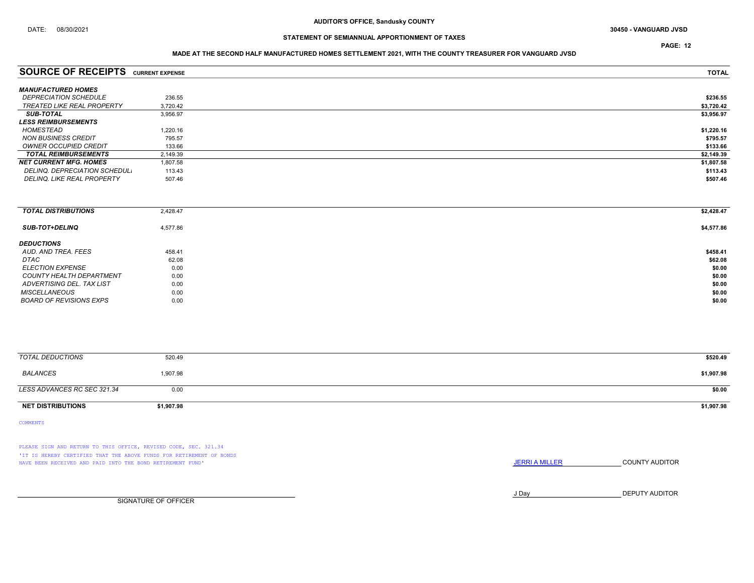### MADE AT THE SECOND HALF MANUFACTURED HOMES SETTLEMENT 2021, WITH THE COUNTY TREASURER FOR VANGUARD JVSD

| <b>SOURCE OF RECEIPTS</b>         | <b>CURRENT EXPENSE</b> | <b>TOTAL</b> |
|-----------------------------------|------------------------|--------------|
| <b>MANUFACTURED HOMES</b>         |                        |              |
|                                   |                        |              |
| <b>DEPRECIATION SCHEDULE</b>      | 236.55                 | \$236.55     |
| <b>TREATED LIKE REAL PROPERTY</b> | 3.720.42               | \$3,720.42   |
| <b>SUB-TOTAL</b>                  | 3,956.97               | \$3,956.97   |
| <b>LESS REIMBURSEMENTS</b>        |                        |              |
| HOMESTEAD                         | 1,220.16               | \$1,220.16   |
| NON BUSINESS CREDIT               | 795.57                 | \$795.57     |
| OWNER OCCUPIED CREDIT             | 133.66                 | \$133.66     |
| <b>TOTAL REIMBURSEMENTS</b>       | 2.149.39               | \$2,149.39   |
| <b>NET CURRENT MFG. HOMES</b>     | 1,807.58               | \$1,807.58   |
| DELINQ, DEPRECIATION SCHEDUL.     | 113.43                 | \$113.43     |
| <b>DELINQ. LIKE REAL PROPERTY</b> | 507.46                 | \$507.46     |
|                                   |                        |              |

| <b>TOTAL DISTRIBUTIONS</b> | 2,428.47 | \$2,428.47 |
|----------------------------|----------|------------|
| <b>SUB-TOT+DELINQ</b>      | 4,577.86 | \$4,577.86 |
| <b>DEDUCTIONS</b>          |          |            |
| AUD. AND TREA. FEES        | 458.41   | \$458.41   |
| DTAC                       | 62.08    | \$62.08    |
| <b>ELECTION EXPENSE</b>    | 0.00     | \$0.00     |
| COUNTY HEALTH DEPARTMENT   | 0.00     | \$0.00     |
| ADVERTISING DEL. TAX LIST  | 0.00     | \$0.00     |
| <b>MISCELLANEOUS</b>       | 0.00     | \$0.00     |
| BOARD OF REVISIONS EXPS    | 0.00     | \$0.00     |

| TOTAL DEDUCTIONS            | 520.49     | \$520.49   |
|-----------------------------|------------|------------|
| BALANCES                    | 1,907.98   | \$1,907.98 |
| LESS ADVANCES RC SEC 321.34 | 0.00       | \$0.00     |
| <b>NET DISTRIBUTIONS</b>    | \$1,907.98 | \$1,907.98 |

COMMENTS

PLEASE SIGN AND RETURN TO THIS OFFICE, REVISED CODE, SEC. 321.34 'IT IS HEREBY CERTIFIED THAT THE ABOVE FUNDS FOR RETIREMENT OF BONDS HAVE BEEN RECEIVED AND PAID INTO THE BOND RETIREMENT FUND' **JERRIA MILLER COUNTY AUDITOR** 

J Day DEPUTY AUDITOR

SIGNATURE OF OFFICER

PAGE: 12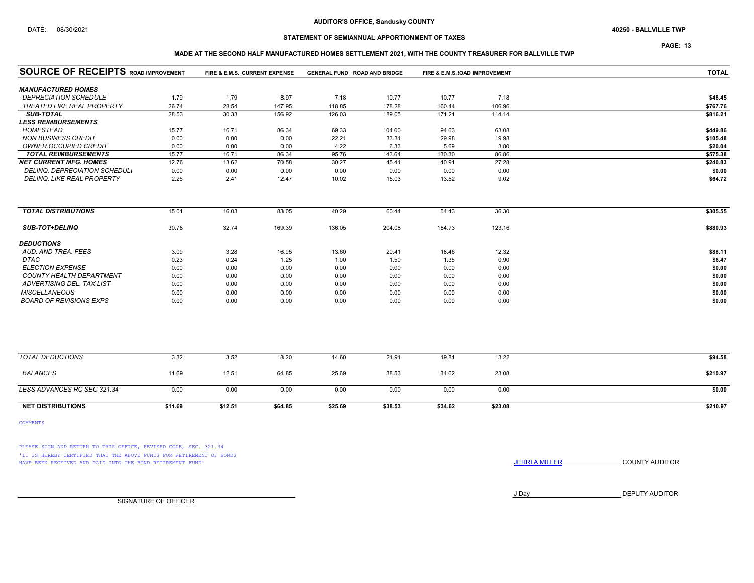### AUDITOR'S OFFICE, Sandusky COUNTY

## STATEMENT OF SEMIANNUAL APPORTIONMENT OF TAXES

PAGE: 13

### MADE AT THE SECOND HALF MANUFACTURED HOMES SETTLEMENT 2021, WITH THE COUNTY TREASURER FOR BALLVILLE TWP

| <b>SOURCE OF RECEIPTS ROAD IMPROVEMENT</b> |         | FIRE & E.M.S. CURRENT EXPENSE |         | <b>GENERAL FUND ROAD AND BRIDGE</b> |         | FIRE & E.M.S. (OAD IMPROVEMENT |         | <b>TOTAL</b> |
|--------------------------------------------|---------|-------------------------------|---------|-------------------------------------|---------|--------------------------------|---------|--------------|
| <b>MANUFACTURED HOMES</b>                  |         |                               |         |                                     |         |                                |         |              |
| <b>DEPRECIATION SCHEDULE</b>               | 1.79    | 1.79                          | 8.97    | 7.18                                | 10.77   | 10.77                          | 7.18    | \$48.45      |
| <b>TREATED LIKE REAL PROPERTY</b>          | 26.74   | 28.54                         | 147.95  | 118.85                              | 178.28  | 160.44                         | 106.96  | \$767.76     |
| <b>SUB-TOTAL</b>                           | 28.53   | 30.33                         | 156.92  | 126.03                              | 189.05  | 171.21                         | 114.14  | \$816.21     |
| <b>LESS REIMBURSEMENTS</b>                 |         |                               |         |                                     |         |                                |         |              |
| HOMESTEAD                                  | 15.77   | 16.71                         | 86.34   | 69.33                               | 104.00  | 94.63                          | 63.08   | \$449.86     |
| <b>NON BUSINESS CREDIT</b>                 | 0.00    | 0.00                          | 0.00    | 22.21                               | 33.31   | 29.98                          | 19.98   | \$105.48     |
| <b>OWNER OCCUPIED CREDIT</b>               | 0.00    | 0.00                          | 0.00    | 4.22                                | 6.33    | 5.69                           | 3.80    | \$20.04      |
| <b>TOTAL REIMBURSEMENTS</b>                | 15.77   | 16.71                         | 86.34   | 95.76                               | 143.64  | 130.30                         | 86.86   | \$575.38     |
| <b>NET CURRENT MFG. HOMES</b>              | 12.76   | 13.62                         | 70.58   | 30.27                               | 45.41   | 40.91                          | 27.28   | \$240.83     |
| DELINQ. DEPRECIATION SCHEDUL.              | 0.00    | 0.00                          | 0.00    | 0.00                                | 0.00    | 0.00                           | 0.00    | \$0.00       |
| DELINQ. LIKE REAL PROPERTY                 | 2.25    | 2.41                          | 12.47   | 10.02                               | 15.03   | 13.52                          | 9.02    | \$64.72      |
|                                            |         |                               |         |                                     |         |                                |         |              |
| <b>TOTAL DISTRIBUTIONS</b>                 | 15.01   | 16.03                         | 83.05   | 40.29                               | 60.44   | 54.43                          | 36.30   | \$305.55     |
| <b>SUB-TOT+DELINQ</b>                      | 30.78   | 32.74                         | 169.39  | 136.05                              | 204.08  | 184.73                         | 123.16  | \$880.93     |
| <b>DEDUCTIONS</b>                          |         |                               |         |                                     |         |                                |         |              |
| AUD, AND TREA, FEES                        | 3.09    | 3.28                          | 16.95   | 13.60                               | 20.41   | 18.46                          | 12.32   | \$88.11      |
| <b>DTAC</b>                                | 0.23    | 0.24                          | 1.25    | 1.00                                | 1.50    | 1.35                           | 0.90    | \$6.47       |
| <b>ELECTION EXPENSE</b>                    | 0.00    | 0.00                          | 0.00    | 0.00                                | 0.00    | 0.00                           | 0.00    | \$0.00       |
| COUNTY HEALTH DEPARTMENT                   | 0.00    | 0.00                          | 0.00    | 0.00                                | 0.00    | 0.00                           | 0.00    | \$0.00       |
| ADVERTISING DEL. TAX LIST                  | 0.00    | 0.00                          | 0.00    | 0.00                                | 0.00    | 0.00                           | 0.00    | \$0.00       |
| <b>MISCELLANEOUS</b>                       | 0.00    | 0.00                          | 0.00    | 0.00                                | 0.00    | 0.00                           | 0.00    | \$0.00       |
| <b>BOARD OF REVISIONS EXPS</b>             | 0.00    | 0.00                          | 0.00    | 0.00                                | 0.00    | 0.00                           | 0.00    | \$0.00       |
|                                            |         |                               |         |                                     |         |                                |         |              |
| <b>TOTAL DEDUCTIONS</b>                    | 3.32    | 3.52                          | 18.20   | 14.60                               | 21.91   | 19.81                          | 13.22   | \$94.58      |
| <b>BALANCES</b>                            | 11.69   | 12.51                         | 64.85   | 25.69                               | 38.53   | 34.62                          | 23.08   | \$210.97     |
| LESS ADVANCES RC SEC 321.34                | 0.00    | 0.00                          | 0.00    | 0.00                                | 0.00    | 0.00                           | 0.00    | \$0.00       |
| <b>NET DISTRIBUTIONS</b>                   | \$11.69 | \$12.51                       | \$64.85 | \$25.69                             | \$38.53 | \$34.62                        | \$23.08 | \$210.97     |

COMMENTS

PLEASE SIGN AND RETURN TO THIS OFFICE, REVISED CODE, SEC. 321.34 'IT IS HEREBY CERTIFIED THAT THE ABOVE FUNDS FOR RETIREMENT OF BONDS HAVE BEEN RECEIVED AND PAID INTO THE BOND RETIREMENT FUND' **SECULTS** THE COUNTY AUDITOR

J Day DEPUTY AUDITOR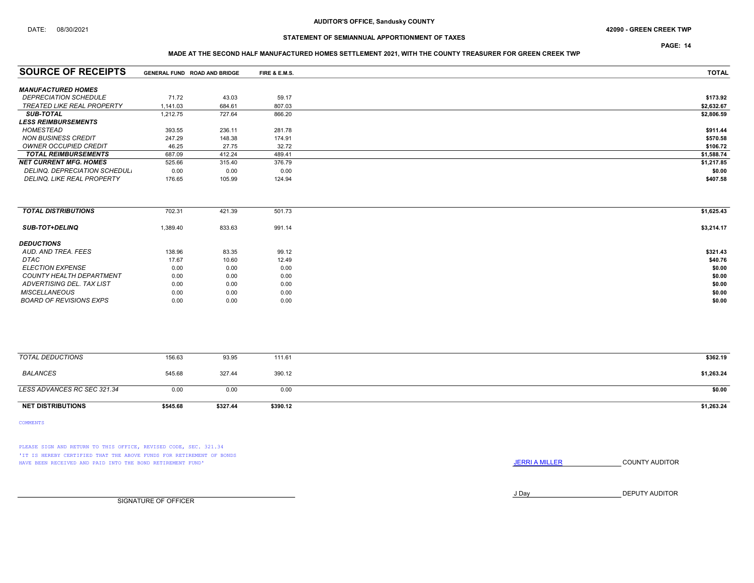### DATE: 08/30/2021 42090 - GREEN CREEK TWP

## STATEMENT OF SEMIANNUAL APPORTIONMENT OF TAXES

PAGE: 14

### MADE AT THE SECOND HALF MANUFACTURED HOMES SETTLEMENT 2021, WITH THE COUNTY TREASURER FOR GREEN CREEK TWP

| <b>SOURCE OF RECEIPTS</b>           |          | GENERAL FUND ROAD AND BRIDGE | FIRE & E.M.S. | <b>TOTAL</b> |
|-------------------------------------|----------|------------------------------|---------------|--------------|
|                                     |          |                              |               |              |
| <b>MANUFACTURED HOMES</b>           |          |                              |               |              |
| <i><b>DEPRECIATION SCHEDULE</b></i> | 71.72    | 43.03                        | 59.17         | \$173.92     |
| <b>TREATED LIKE REAL PROPERTY</b>   | 1.141.03 | 684.61                       | 807.03        | \$2,632.67   |
| <b>SUB-TOTAL</b>                    | 1.212.75 | 727.64                       | 866.20        | \$2,806.59   |
| <b>LESS REIMBURSEMENTS</b>          |          |                              |               |              |
| HOMESTEAD                           | 393.55   | 236.11                       | 281.78        | \$911.44     |
| <b>NON BUSINESS CREDIT</b>          | 247.29   | 148.38                       | 174.91        | \$570.58     |
| OWNER OCCUPIED CREDIT               | 46.25    | 27.75                        | 32.72         | \$106.72     |
| <b>TOTAL REIMBURSEMENTS</b>         | 687.09   | 412.24                       | 489.41        | \$1,588.74   |
| <b>NET CURRENT MFG. HOMES</b>       | 525.66   | 315.40                       | 376.79        | \$1,217.85   |
| DELINQ. DEPRECIATION SCHEDUL.       | 0.00     | 0.00                         | 0.00          | \$0.00       |
| DELINQ. LIKE REAL PROPERTY          | 176.65   | 105.99                       | 124.94        | \$407.58     |
|                                     |          |                              |               |              |

| <b>TOTAL DISTRIBUTIONS</b>     | 702.31   | 421.39 | 501.73 | \$1,625.43 |
|--------------------------------|----------|--------|--------|------------|
| <b>SUB-TOT+DELINQ</b>          | 1,389.40 | 833.63 | 991.14 | \$3,214.17 |
| <b>DEDUCTIONS</b>              |          |        |        |            |
| AUD, AND TREA, FEES            | 138.96   | 83.35  | 99.12  | \$321.43   |
| <b>DTAC</b>                    | 17.67    | 10.60  | 12.49  | \$40.76    |
| <b>ELECTION EXPENSE</b>        | 0.00     | 0.00   | 0.00   | \$0.00     |
| COUNTY HEALTH DEPARTMENT       | 0.00     | 0.00   | 0.00   | \$0.00     |
| ADVERTISING DEL. TAX LIST      | 0.00     | 0.00   | 0.00   | \$0.00     |
| <b>MISCELLANEOUS</b>           | 0.00     | 0.00   | 0.00   | \$0.00     |
| <b>BOARD OF REVISIONS EXPS</b> | 0.00     | 0.00   | 0.00   | \$0.00     |
|                                |          |        |        |            |

| TOTAL DEDUCTIONS            | 156.63   | 93.95    | 111.61   | \$362.19   |
|-----------------------------|----------|----------|----------|------------|
| <b>BALANCES</b>             | 545.68   | 327.44   | 390.12   | \$1,263.24 |
| LESS ADVANCES RC SEC 321.34 | 0.00     | 0.00     | 0.00     | \$0.00     |
| <b>NET DISTRIBUTIONS</b>    | \$545.68 | \$327.44 | \$390.12 | \$1,263.24 |

COMMENTS

PLEASE SIGN AND RETURN TO THIS OFFICE, REVISED CODE, SEC. 321.34 'IT IS HEREBY CERTIFIED THAT THE ABOVE FUNDS FOR RETIREMENT OF BONDS HAVE BEEN RECEIVED AND PAID INTO THE BOND RETIREMENT FUND' **SECULTS** THE COUNTY AUDITOR

J Day DEPUTY AUDITOR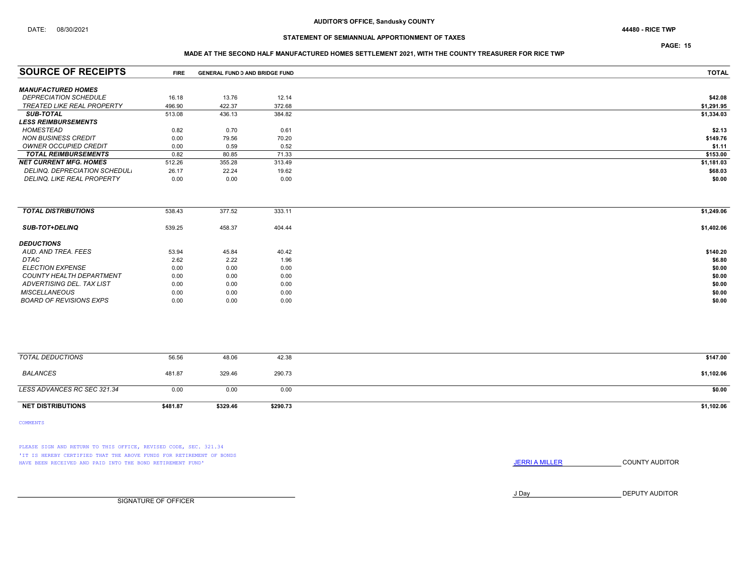PAGE: 15

### MADE AT THE SECOND HALF MANUFACTURED HOMES SETTLEMENT 2021, WITH THE COUNTY TREASURER FOR RICE TWP

| <b>SOURCE OF RECEIPTS</b>         | <b>FIRE</b> | <b>GENERAL FUND D AND BRIDGE FUND</b> |        | <b>TOTAL</b> |
|-----------------------------------|-------------|---------------------------------------|--------|--------------|
| <b>MANUFACTURED HOMES</b>         |             |                                       |        |              |
| <b>DEPRECIATION SCHEDULE</b>      | 16.18       | 13.76                                 | 12.14  | \$42.08      |
| <b>TREATED LIKE REAL PROPERTY</b> | 496.90      | 422.37                                | 372.68 | \$1,291.95   |
| <b>SUB-TOTAL</b>                  | 513.08      | 436.13                                | 384.82 | \$1,334.03   |
| <b>LESS REIMBURSEMENTS</b>        |             |                                       |        |              |
| <b>HOMESTEAD</b>                  | 0.82        | 0.70                                  | 0.61   | \$2.13       |
| <b>NON BUSINESS CREDIT</b>        | 0.00        | 79.56                                 | 70.20  | \$149.76     |
| OWNER OCCUPIED CREDIT             | 0.00        | 0.59                                  | 0.52   | \$1.11       |
| <b>TOTAL REIMBURSEMENTS</b>       | 0.82        | 80.85                                 | 71.33  | \$153.00     |
| <b>NET CURRENT MFG. HOMES</b>     | 512.26      | 355.28                                | 313.49 | \$1,181.03   |
| DELINQ, DEPRECIATION SCHEDUL,     | 26.17       | 22.24                                 | 19.62  | \$68.03      |
| <b>DELINQ. LIKE REAL PROPERTY</b> | 0.00        | 0.00                                  | 0.00   | \$0.00       |

| <b>TOTAL DISTRIBUTIONS</b>     | 538.43 | 377.52 | 333.11 | \$1,249.06 |
|--------------------------------|--------|--------|--------|------------|
| <b>SUB-TOT+DELINQ</b>          | 539.25 | 458.37 | 404.44 | \$1,402.06 |
| <b>DEDUCTIONS</b>              |        |        |        |            |
| AUD, AND TREA, FEES            | 53.94  | 45.84  | 40.42  | \$140.20   |
| <b>DTAC</b>                    | 2.62   | 2.22   | 1.96   | \$6.80     |
| <b>ELECTION EXPENSE</b>        | 0.00   | 0.00   | 0.00   | \$0.00     |
| COUNTY HEALTH DEPARTMENT       | 0.00   | 0.00   | 0.00   | \$0.00     |
| ADVERTISING DEL. TAX LIST      | 0.00   | 0.00   | 0.00   | \$0.00     |
| <b>MISCELLANEOUS</b>           | 0.00   | 0.00   | 0.00   | \$0.00     |
| <b>BOARD OF REVISIONS EXPS</b> | 0.00   | 0.00   | 0.00   | \$0.00     |
|                                |        |        |        |            |

| TOTAL DEDUCTIONS            | 56.56    | 48.06    | 42.38    | \$147.00   |
|-----------------------------|----------|----------|----------|------------|
| <b>BALANCES</b>             | 481.87   | 329.46   | 290.73   | \$1,102.06 |
| LESS ADVANCES RC SEC 321.34 | 0.00     | 0.00     | 0.00     | \$0.00     |
| <b>NET DISTRIBUTIONS</b>    | \$481.87 | \$329.46 | \$290.73 | \$1,102.06 |

COMMENTS

PLEASE SIGN AND RETURN TO THIS OFFICE, REVISED CODE, SEC. 321.34 'IT IS HEREBY CERTIFIED THAT THE ABOVE FUNDS FOR RETIREMENT OF BONDS HAVE BEEN RECEIVED AND PAID INTO THE BOND RETIREMENT FUND' **JERRIA MILLER COUNTY AUDITOR** 

J Day DEPUTY AUDITOR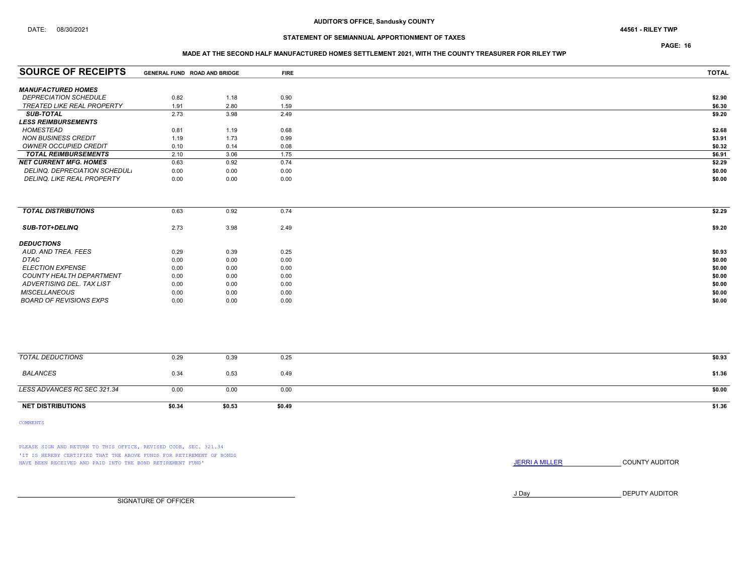PAGE: 16

### MADE AT THE SECOND HALF MANUFACTURED HOMES SETTLEMENT 2021, WITH THE COUNTY TREASURER FOR RILEY TWP

| <b>SOURCE OF RECEIPTS</b>         | GENERAL FUND ROAD AND BRIDGE |      | <b>FIRE</b> | <b>TOTAL</b> |
|-----------------------------------|------------------------------|------|-------------|--------------|
| <b>MANUFACTURED HOMES</b>         |                              |      |             |              |
| <b>DEPRECIATION SCHEDULE</b>      | 0.82                         | 1.18 | 0.90        | \$2.90       |
| TREATED LIKE REAL PROPERTY        | 1.91                         | 2.80 | 1.59        | \$6.30       |
| <b>SUB-TOTAL</b>                  | 2.73                         | 3.98 | 2.49        | \$9.20       |
| <b>LESS REIMBURSEMENTS</b>        |                              |      |             |              |
| HOMESTEAD                         | 0.81                         | 1.19 | 0.68        | \$2.68       |
| NON BUSINESS CREDIT               | 1.19                         | 1.73 | 0.99        | \$3.91       |
| <b>OWNER OCCUPIED CREDIT</b>      | 0.10                         | 0.14 | 0.08        | \$0.32       |
| <b>TOTAL REIMBURSEMENTS</b>       | 2.10                         | 3.06 | 1.75        | \$6.91       |
| <b>NET CURRENT MFG. HOMES</b>     | 0.63                         | 0.92 | 0.74        | \$2.29       |
| DELINQ. DEPRECIATION SCHEDUL.     | 0.00                         | 0.00 | 0.00        | \$0.00       |
| <b>DELINQ. LIKE REAL PROPERTY</b> | 0.00                         | 0.00 | 0.00        | \$0.00       |

| <b>TOTAL DISTRIBUTIONS</b> | 0.63 | 0.92 | 0.74 | \$2.29 |
|----------------------------|------|------|------|--------|
| <b>SUB-TOT+DELINQ</b>      | 2.73 | 3.98 | 2.49 | \$9.20 |
| <b>DEDUCTIONS</b>          |      |      |      |        |
| AUD. AND TREA. FEES        | 0.29 | 0.39 | 0.25 | \$0.93 |
| DTAC                       | 0.00 | 0.00 | 0.00 | \$0.00 |
| <i>ELECTION EXPENSE</i>    | 0.00 | 0.00 | 0.00 | \$0.00 |
| COUNTY HEALTH DEPARTMENT   | 0.00 | 0.00 | 0.00 | \$0.00 |
| ADVERTISING DEL. TAX LIST  | 0.00 | 0.00 | 0.00 | \$0.00 |
| <b>MISCELLANEOUS</b>       | 0.00 | 0.00 | 0.00 | \$0.00 |
| BOARD OF REVISIONS EXPS    | 0.00 | 0.00 | 0.00 | \$0.00 |

| <b>NET DISTRIBUTIONS</b>    | \$0.34 | \$0.53 | \$0.49 | \$1.36 |
|-----------------------------|--------|--------|--------|--------|
| LESS ADVANCES RC SEC 321.34 | 0.00   | 0.00   | 0.00   | \$0.00 |
| BALANCES                    | 0.34   | 0.53   | 0.49   | \$1.36 |
| TOTAL DEDUCTIONS            | 0.29   | 0.39   | 0.25   | \$0.93 |
|                             |        |        |        |        |

COMMENTS

PLEASE SIGN AND RETURN TO THIS OFFICE, REVISED CODE, SEC. 321.34 'IT IS HEREBY CERTIFIED THAT THE ABOVE FUNDS FOR RETIREMENT OF BONDS HAVE BEEN RECEIVED AND PAID INTO THE BOND RETIREMENT FUND' **SECULTS** THE COUNTY AUDITOR

J Day DEPUTY AUDITOR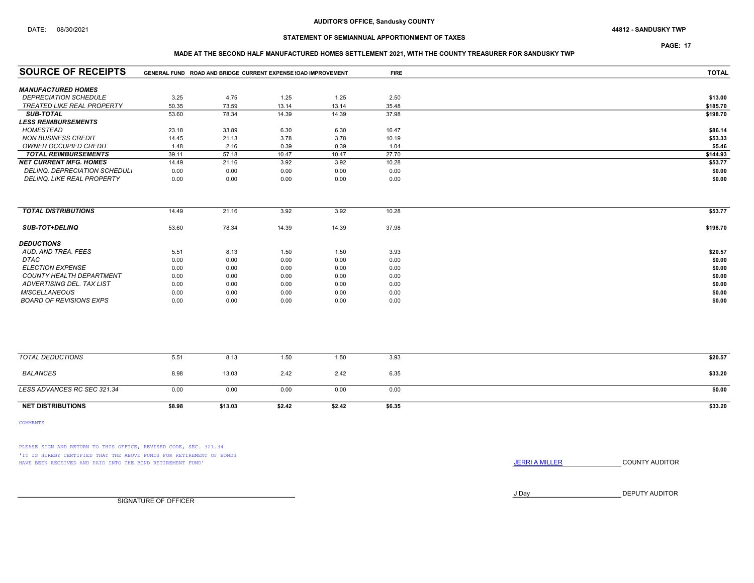## DATE: 08/30/2021 44812 - SANDUSKY TWP

## STATEMENT OF SEMIANNUAL APPORTIONMENT OF TAXES

PAGE: 17

### MADE AT THE SECOND HALF MANUFACTURED HOMES SETTLEMENT 2021, WITH THE COUNTY TREASURER FOR SANDUSKY TWP

| <b>SOURCE OF RECEIPTS</b>       |        | GENERAL FUND ROAD AND BRIDGE CURRENT EXPENSE (OAD IMPROVEMENT |        |        | <b>FIRE</b> | <b>TOTAL</b> |
|---------------------------------|--------|---------------------------------------------------------------|--------|--------|-------------|--------------|
| <b>MANUFACTURED HOMES</b>       |        |                                                               |        |        |             |              |
| <b>DEPRECIATION SCHEDULE</b>    | 3.25   | 4.75                                                          | 1.25   | 1.25   | 2.50        | \$13.00      |
| TREATED LIKE REAL PROPERTY      | 50.35  | 73.59                                                         | 13.14  | 13.14  | 35.48       | \$185.70     |
| <b>SUB-TOTAL</b>                | 53.60  | 78.34                                                         | 14.39  | 14.39  | 37.98       | \$198.70     |
| <b>LESS REIMBURSEMENTS</b>      |        |                                                               |        |        |             |              |
| <b>HOMESTEAD</b>                | 23.18  | 33.89                                                         | 6.30   | 6.30   | 16.47       | \$86.14      |
| <b>NON BUSINESS CREDIT</b>      | 14.45  | 21.13                                                         | 3.78   | 3.78   | 10.19       | \$53.33      |
| OWNER OCCUPIED CREDIT           | 1.48   | 2.16                                                          | 0.39   | 0.39   | 1.04        | \$5.46       |
| <b>TOTAL REIMBURSEMENTS</b>     | 39.11  | 57.18                                                         | 10.47  | 10.47  | 27.70       | \$144.93     |
| <b>NET CURRENT MFG. HOMES</b>   | 14.49  | 21.16                                                         | 3.92   | 3.92   | 10.28       | \$53.77      |
| DELINQ. DEPRECIATION SCHEDUL.   | 0.00   | 0.00                                                          | 0.00   | 0.00   | 0.00        | \$0.00       |
| DELINQ. LIKE REAL PROPERTY      | 0.00   | 0.00                                                          | 0.00   | 0.00   | 0.00        | \$0.00       |
|                                 |        |                                                               |        |        |             |              |
| <b>TOTAL DISTRIBUTIONS</b>      | 14.49  | 21.16                                                         | 3.92   | 3.92   | 10.28       | \$53.77      |
| <b>SUB-TOT+DELINQ</b>           | 53.60  | 78.34                                                         | 14.39  | 14.39  | 37.98       | \$198.70     |
| <b>DEDUCTIONS</b>               |        |                                                               |        |        |             |              |
| AUD. AND TREA. FEES             | 5.51   | 8.13                                                          | 1.50   | 1.50   | 3.93        | \$20.57      |
| <b>DTAC</b>                     | 0.00   | 0.00                                                          | 0.00   | 0.00   | 0.00        | \$0.00       |
| <b>ELECTION EXPENSE</b>         | 0.00   | 0.00                                                          | 0.00   | 0.00   | 0.00        | \$0.00       |
| <b>COUNTY HEALTH DEPARTMENT</b> | 0.00   | 0.00                                                          | 0.00   | 0.00   | 0.00        | \$0.00       |
| ADVERTISING DEL. TAX LIST       | 0.00   | 0.00                                                          | 0.00   | 0.00   | 0.00        | \$0.00       |
| <b>MISCELLANEOUS</b>            | 0.00   | 0.00                                                          | 0.00   | 0.00   | 0.00        | \$0.00       |
| <b>BOARD OF REVISIONS EXPS</b>  | 0.00   | 0.00                                                          | 0.00   | 0.00   | 0.00        | \$0.00       |
|                                 |        |                                                               |        |        |             |              |
| <b>TOTAL DEDUCTIONS</b>         | 5.51   | 8.13                                                          | 1.50   | 1.50   | 3.93        | \$20.57      |
| <b>BALANCES</b>                 | 8.98   | 13.03                                                         | 2.42   | 2.42   | 6.35        | \$33.20      |
| LESS ADVANCES RC SEC 321.34     | 0.00   | 0.00                                                          | 0.00   | 0.00   | 0.00        | \$0.00       |
| <b>NET DISTRIBUTIONS</b>        | \$8.98 | \$13.03                                                       | \$2.42 | \$2.42 | \$6.35      | \$33.20      |

COMMENTS

PLEASE SIGN AND RETURN TO THIS OFFICE, REVISED CODE, SEC. 321.34 'IT IS HEREBY CERTIFIED THAT THE ABOVE FUNDS FOR RETIREMENT OF BONDS HAVE BEEN RECEIVED AND PAID INTO THE BOND RETIREMENT FUND' **SECULTS** THE COUNTY AUDITOR

J Day DEPUTY AUDITOR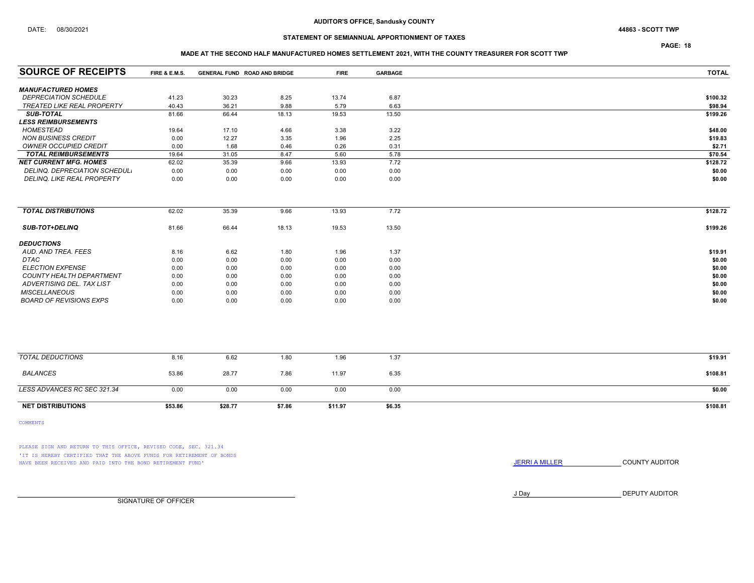PAGE: 18

### MADE AT THE SECOND HALF MANUFACTURED HOMES SETTLEMENT 2021, WITH THE COUNTY TREASURER FOR SCOTT TWP

| <b>SOURCE OF RECEIPTS</b>      | FIRE & E.M.S. | GENERAL FUND ROAD AND BRIDGE |        | <b>FIRE</b> | <b>GARBAGE</b> | <b>TOTAL</b> |
|--------------------------------|---------------|------------------------------|--------|-------------|----------------|--------------|
| <b>MANUFACTURED HOMES</b>      |               |                              |        |             |                |              |
| <b>DEPRECIATION SCHEDULE</b>   | 41.23         | 30.23                        | 8.25   | 13.74       | 6.87           | \$100.32     |
| TREATED LIKE REAL PROPERTY     | 40.43         | 36.21                        | 9.88   | 5.79        | 6.63           | \$98.94      |
| <b>SUB-TOTAL</b>               | 81.66         | 66.44                        | 18.13  | 19.53       | 13.50          | \$199.26     |
| <b>LESS REIMBURSEMENTS</b>     |               |                              |        |             |                |              |
| <b>HOMESTEAD</b>               | 19.64         | 17.10                        | 4.66   | 3.38        | 3.22           | \$48.00      |
| <b>NON BUSINESS CREDIT</b>     | 0.00          | 12.27                        | 3.35   | 1.96        | 2.25           | \$19.83      |
| <b>OWNER OCCUPIED CREDIT</b>   | 0.00          | 1.68                         | 0.46   | 0.26        | 0.31           | \$2.71       |
| <b>TOTAL REIMBURSEMENTS</b>    | 19.64         | 31.05                        | 8.47   | 5.60        | 5.78           | \$70.54      |
| <b>NET CURRENT MFG. HOMES</b>  | 62.02         | 35.39                        | 9.66   | 13.93       | 7.72           | \$128.72     |
| DELINQ. DEPRECIATION SCHEDUL.  | 0.00          | 0.00                         | 0.00   | 0.00        | 0.00           | \$0.00       |
| DELINQ. LIKE REAL PROPERTY     | 0.00          | 0.00                         | 0.00   | 0.00        | 0.00           | \$0.00       |
|                                |               |                              |        |             |                |              |
| <b>TOTAL DISTRIBUTIONS</b>     | 62.02         | 35.39                        | 9.66   | 13.93       | 7.72           | \$128.72     |
| <b>SUB-TOT+DELINQ</b>          | 81.66         | 66.44                        | 18.13  | 19.53       | 13.50          | \$199.26     |
| <b>DEDUCTIONS</b>              |               |                              |        |             |                |              |
| AUD. AND TREA. FEES            | 8.16          | 6.62                         | 1.80   | 1.96        | 1.37           | \$19.91      |
| <b>DTAC</b>                    | 0.00          | 0.00                         | 0.00   | 0.00        | 0.00           | \$0.00       |
| <b>ELECTION EXPENSE</b>        | 0.00          | 0.00                         | 0.00   | 0.00        | 0.00           | \$0.00       |
| COUNTY HEALTH DEPARTMENT       | 0.00          | 0.00                         | 0.00   | 0.00        | 0.00           | \$0.00       |
| ADVERTISING DEL. TAX LIST      | 0.00          | 0.00                         | 0.00   | 0.00        | 0.00           | \$0.00       |
| <b>MISCELLANEOUS</b>           | 0.00          | 0.00                         | 0.00   | 0.00        | 0.00           | \$0.00       |
| <b>BOARD OF REVISIONS EXPS</b> | 0.00          | 0.00                         | 0.00   | 0.00        | 0.00           | \$0.00       |
|                                |               |                              |        |             |                |              |
| <b>TOTAL DEDUCTIONS</b>        | 8.16          | 6.62                         | 1.80   | 1.96        | 1.37           | \$19.91      |
|                                |               |                              |        |             |                |              |
| <b>BALANCES</b>                | 53.86         | 28.77                        | 7.86   | 11.97       | 6.35           | \$108.81     |
| LESS ADVANCES RC SEC 321.34    | 0.00          | 0.00                         | 0.00   | 0.00        | 0.00           | \$0.00       |
| <b>NET DISTRIBUTIONS</b>       | \$53.86       | \$28.77                      | \$7.86 | \$11.97     | \$6.35         | \$108.81     |

COMMENTS

PLEASE SIGN AND RETURN TO THIS OFFICE, REVISED CODE, SEC. 321.34 'IT IS HEREBY CERTIFIED THAT THE ABOVE FUNDS FOR RETIREMENT OF BONDS HAVE BEEN RECEIVED AND PAID INTO THE BOND RETIREMENT FUND' **JERRIA MILLER COUNTY AUDITOR** 

J Day DEPUTY AUDITOR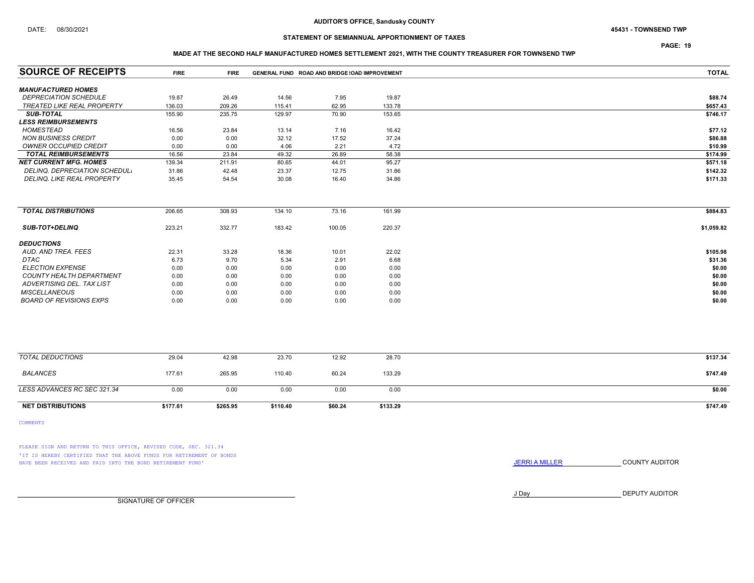PAGE: 19

### MADE AT THE SECOND HALF MANUFACTURED HOMES SETTLEMENT 2021, WITH THE COUNTY TREASURER FOR TOWNSEND TWP

| <b>SOURCE OF RECEIPTS</b>                                 | <b>FIRE</b> | <b>FIRE</b> | GENERAL FUND ROAD AND BRIDGE (OAD IMPROVEMENT |         |          | <b>TOTAL</b> |
|-----------------------------------------------------------|-------------|-------------|-----------------------------------------------|---------|----------|--------------|
|                                                           |             |             |                                               |         |          |              |
| <b>MANUFACTURED HOMES</b><br><b>DEPRECIATION SCHEDULE</b> | 19.87       | 26.49       | 14.56                                         | 7.95    | 19.87    | \$88.74      |
| <b>TREATED LIKE REAL PROPERTY</b>                         | 136.03      | 209.26      | 115.41                                        | 62.95   | 133.78   | \$657.43     |
| <b>SUB-TOTAL</b>                                          | 155.90      | 235.75      | 129.97                                        | 70.90   | 153.65   | \$746.17     |
| <b>LESS REIMBURSEMENTS</b>                                |             |             |                                               |         |          |              |
| HOMESTEAD                                                 | 16.56       | 23.84       | 13.14                                         | 7.16    | 16.42    | \$77.12      |
| <b>NON BUSINESS CREDIT</b>                                | 0.00        | 0.00        | 32.12                                         | 17.52   | 37.24    | \$86.88      |
| <b>OWNER OCCUPIED CREDIT</b>                              | 0.00        | 0.00        | 4.06                                          | 2.21    | 4.72     | \$10.99      |
| <b>TOTAL REIMBURSEMENTS</b>                               | 16.56       | 23.84       | 49.32                                         | 26.89   | 58.38    | \$174.99     |
| <b>NET CURRENT MFG. HOMES</b>                             | 139.34      | 211.91      | 80.65                                         | 44.01   | 95.27    | \$571.18     |
| DELINQ. DEPRECIATION SCHEDUL.                             | 31.86       | 42.48       | 23.37                                         | 12.75   | 31.86    | \$142.32     |
| DELINQ. LIKE REAL PROPERTY                                | 35.45       | 54.54       | 30.08                                         | 16.40   | 34.86    | \$171.33     |
|                                                           |             |             |                                               |         |          |              |
| <b>TOTAL DISTRIBUTIONS</b>                                | 206.65      | 308.93      | 134.10                                        | 73.16   | 161.99   | \$884.83     |
| <b>SUB-TOT+DELINQ</b>                                     | 223.21      | 332.77      | 183.42                                        | 100.05  | 220.37   | \$1,059.82   |
| <b>DEDUCTIONS</b>                                         |             |             |                                               |         |          |              |
| AUD. AND TREA. FEES                                       | 22.31       | 33.28       | 18.36                                         | 10.01   | 22.02    | \$105.98     |
| <b>DTAC</b>                                               | 6.73        | 9.70        | 5.34                                          | 2.91    | 6.68     | \$31.36      |
| <b>ELECTION EXPENSE</b>                                   | 0.00        | 0.00        | 0.00                                          | 0.00    | 0.00     | \$0.00       |
| <b>COUNTY HEALTH DEPARTMENT</b>                           | 0.00        | 0.00        | 0.00                                          | 0.00    | 0.00     | \$0.00       |
| ADVERTISING DEL. TAX LIST                                 | 0.00        | 0.00        | 0.00                                          | 0.00    | 0.00     | \$0.00       |
| <b>MISCELLANEOUS</b>                                      | 0.00        | 0.00        | 0.00                                          | 0.00    | 0.00     | \$0.00       |
| <b>BOARD OF REVISIONS EXPS</b>                            | 0.00        | 0.00        | 0.00                                          | 0.00    | 0.00     | \$0.00       |
|                                                           |             |             |                                               |         |          |              |
| <b>TOTAL DEDUCTIONS</b>                                   | 29.04       | 42.98       | 23.70                                         | 12.92   | 28.70    | \$137.34     |
| <b>BALANCES</b>                                           | 177.61      | 265.95      | 110.40                                        | 60.24   | 133.29   | \$747.49     |
| LESS ADVANCES RC SEC 321.34                               | 0.00        | 0.00        | 0.00                                          | 0.00    | 0.00     | \$0.00       |
| <b>NET DISTRIBUTIONS</b>                                  | \$177.61    | \$265.95    | \$110.40                                      | \$60.24 | \$133.29 | \$747.49     |

COMMENTS

PLEASE SIGN AND RETURN TO THIS OFFICE, REVISED CODE, SEC. 321.34 'IT IS HEREBY CERTIFIED THAT THE ABOVE FUNDS FOR RETIREMENT OF BONDS HAVE BEEN RECEIVED AND PAID INTO THE BOND RETIREMENT FUND' **SECULTS** THE COUNTY AUDITOR

J Day DEPUTY AUDITOR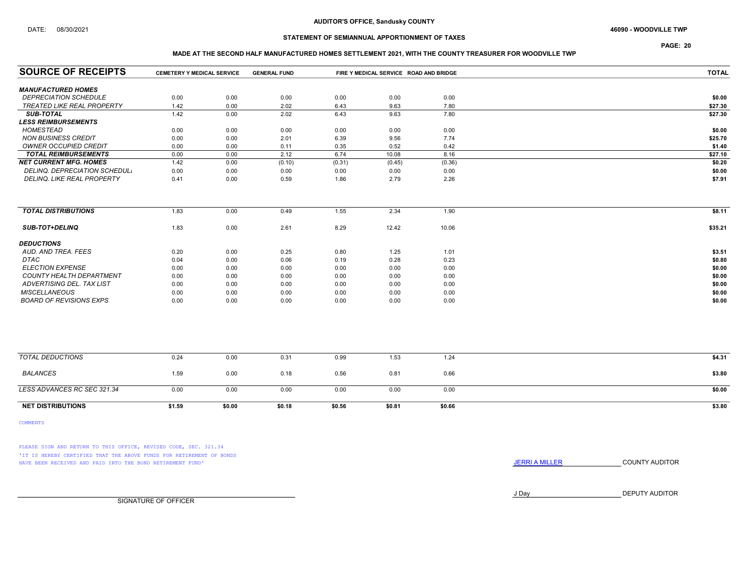## DATE: 08/30/2021 46090 - WOODVILLE TWP

## STATEMENT OF SEMIANNUAL APPORTIONMENT OF TAXES

PAGE: 20

### MADE AT THE SECOND HALF MANUFACTURED HOMES SETTLEMENT 2021, WITH THE COUNTY TREASURER FOR WOODVILLE TWP

| <b>SOURCE OF RECEIPTS</b>       | <b>CEMETERY Y MEDICAL SERVICE</b> |        | <b>GENERAL FUND</b> |        | FIRE Y MEDICAL SERVICE ROAD AND BRIDGE |        | <b>TOTAL</b> |
|---------------------------------|-----------------------------------|--------|---------------------|--------|----------------------------------------|--------|--------------|
| <b>MANUFACTURED HOMES</b>       |                                   |        |                     |        |                                        |        |              |
| <b>DEPRECIATION SCHEDULE</b>    | 0.00                              | 0.00   | 0.00                | 0.00   | 0.00                                   | 0.00   | \$0.00       |
| TREATED LIKE REAL PROPERTY      | 1.42                              | 0.00   | 2.02                | 6.43   | 9.63                                   | 7.80   | \$27.30      |
| <b>SUB-TOTAL</b>                | 1.42                              | 0.00   | 2.02                | 6.43   | 9.63                                   | 7.80   | \$27.30      |
| <b>LESS REIMBURSEMENTS</b>      |                                   |        |                     |        |                                        |        |              |
| <b>HOMESTEAD</b>                | 0.00                              | 0.00   | 0.00                | 0.00   | 0.00                                   | 0.00   | \$0.00       |
| <b>NON BUSINESS CREDIT</b>      | 0.00                              | 0.00   | 2.01                | 6.39   | 9.56                                   | 7.74   | \$25.70      |
| <b>OWNER OCCUPIED CREDIT</b>    | 0.00                              | 0.00   | 0.11                | 0.35   | 0.52                                   | 0.42   | \$1.40       |
| <b>TOTAL REIMBURSEMENTS</b>     | 0.00                              | 0.00   | 2.12                | 6.74   | 10.08                                  | 8.16   | \$27.10      |
| <b>NET CURRENT MFG. HOMES</b>   | 1.42                              | 0.00   | (0.10)              | (0.31) | (0.45)                                 | (0.36) | \$0.20       |
| DELINQ. DEPRECIATION SCHEDUL.   | 0.00                              | 0.00   | 0.00                | 0.00   | 0.00                                   | 0.00   | \$0.00       |
| DELINQ. LIKE REAL PROPERTY      | 0.41                              | 0.00   | 0.59                | 1.86   | 2.79                                   | 2.26   | \$7.91       |
|                                 |                                   |        |                     |        |                                        |        |              |
| <b>TOTAL DISTRIBUTIONS</b>      | 1.83                              | 0.00   | 0.49                | 1.55   | 2.34                                   | 1.90   | \$8.11       |
| <b>SUB-TOT+DELINQ</b>           | 1.83                              | 0.00   | 2.61                | 8.29   | 12.42                                  | 10.06  | \$35.21      |
| <b>DEDUCTIONS</b>               |                                   |        |                     |        |                                        |        |              |
| AUD, AND TREA, FEES             | 0.20                              | 0.00   | 0.25                | 0.80   | 1.25                                   | 1.01   | \$3.51       |
| <b>DTAC</b>                     | 0.04                              | 0.00   | 0.06                | 0.19   | 0.28                                   | 0.23   | \$0.80       |
| <b>ELECTION EXPENSE</b>         | 0.00                              | 0.00   | 0.00                | 0.00   | 0.00                                   | 0.00   | \$0.00       |
| <b>COUNTY HEALTH DEPARTMENT</b> | 0.00                              | 0.00   | 0.00                | 0.00   | 0.00                                   | 0.00   | \$0.00       |
| ADVERTISING DEL. TAX LIST       | 0.00                              | 0.00   | 0.00                | 0.00   | 0.00                                   | 0.00   | \$0.00       |
| <b>MISCELLANEOUS</b>            | 0.00                              | 0.00   | 0.00                | 0.00   | 0.00                                   | 0.00   | \$0.00       |
| <b>BOARD OF REVISIONS EXPS</b>  | 0.00                              | 0.00   | 0.00                | 0.00   | 0.00                                   | 0.00   | \$0.00       |
|                                 |                                   |        |                     |        |                                        |        |              |
| <b>TOTAL DEDUCTIONS</b>         | 0.24                              | 0.00   | 0.31                | 0.99   | 1.53                                   | 1.24   | \$4.31       |
| <b>BALANCES</b>                 | 1.59                              | 0.00   | 0.18                | 0.56   | 0.81                                   | 0.66   | \$3.80       |
| LESS ADVANCES RC SEC 321.34     | 0.00                              | 0.00   | 0.00                | 0.00   | 0.00                                   | 0.00   | \$0.00       |
| <b>NET DISTRIBUTIONS</b>        | \$1.59                            | \$0.00 | \$0.18              | \$0.56 | \$0.81                                 | \$0.66 | \$3.80       |

COMMENTS

PLEASE SIGN AND RETURN TO THIS OFFICE, REVISED CODE, SEC. 321.34 'IT IS HEREBY CERTIFIED THAT THE ABOVE FUNDS FOR RETIREMENT OF BONDS HAVE BEEN RECEIVED AND PAID INTO THE BOND RETIREMENT FUND' **SECULTS** THE COUNTY AUDITOR

J Day DEPUTY AUDITOR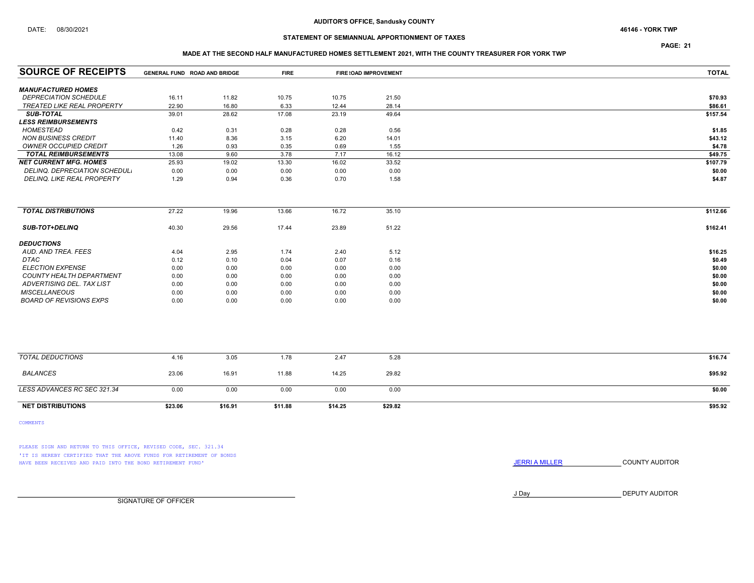PAGE: 21

### MADE AT THE SECOND HALF MANUFACTURED HOMES SETTLEMENT 2021, WITH THE COUNTY TREASURER FOR YORK TWP

| <b>SOURCE OF RECEIPTS</b>            | GENERAL FUND ROAD AND BRIDGE |         | <b>FIRE</b> |         | FIRE (OAD IMPROVEMENT | <b>TOTAL</b> |
|--------------------------------------|------------------------------|---------|-------------|---------|-----------------------|--------------|
| <b>MANUFACTURED HOMES</b>            |                              |         |             |         |                       |              |
| <b>DEPRECIATION SCHEDULE</b>         | 16.11                        | 11.82   | 10.75       | 10.75   | 21.50                 | \$70.93      |
| TREATED LIKE REAL PROPERTY           | 22.90                        | 16.80   | 6.33        | 12.44   | 28.14                 | \$86.61      |
| <b>SUB-TOTAL</b>                     | 39.01                        | 28.62   | 17.08       | 23.19   | 49.64                 | \$157.54     |
| <b>LESS REIMBURSEMENTS</b>           |                              |         |             |         |                       |              |
| <b>HOMESTEAD</b>                     | 0.42                         | 0.31    | 0.28        | 0.28    | 0.56                  | \$1.85       |
| <b>NON BUSINESS CREDIT</b>           | 11.40                        | 8.36    | 3.15        | 6.20    | 14.01                 | \$43.12      |
| <b>OWNER OCCUPIED CREDIT</b>         | 1.26                         | 0.93    | 0.35        | 0.69    | 1.55                  | \$4.78       |
| <b>TOTAL REIMBURSEMENTS</b>          | 13.08                        | 9.60    | 3.78        | 7.17    | 16.12                 | \$49.75      |
| <b>NET CURRENT MFG. HOMES</b>        | 25.93                        | 19.02   | 13.30       | 16.02   | 33.52                 | \$107.79     |
| <b>DELINQ. DEPRECIATION SCHEDUL.</b> | 0.00                         | 0.00    | 0.00        | 0.00    | 0.00                  | \$0.00       |
| DELINQ. LIKE REAL PROPERTY           | 1.29                         | 0.94    | 0.36        | 0.70    | 1.58                  | \$4.87       |
|                                      |                              |         |             |         |                       |              |
| <b>TOTAL DISTRIBUTIONS</b>           | 27.22                        | 19.96   | 13.66       | 16.72   | 35.10                 | \$112.66     |
| <b>SUB-TOT+DELINQ</b>                | 40.30                        | 29.56   | 17.44       | 23.89   | 51.22                 | \$162.41     |
| <b>DEDUCTIONS</b>                    |                              |         |             |         |                       |              |
| AUD. AND TREA. FEES                  | 4.04                         | 2.95    | 1.74        | 2.40    | 5.12                  | \$16.25      |
| <b>DTAC</b>                          | 0.12                         | 0.10    | 0.04        | 0.07    | 0.16                  | \$0.49       |
| <b>ELECTION EXPENSE</b>              | 0.00                         | 0.00    | 0.00        | 0.00    | 0.00                  | \$0.00       |
| COUNTY HEALTH DEPARTMENT             | 0.00                         | 0.00    | 0.00        | 0.00    | 0.00                  | \$0.00       |
| ADVERTISING DEL. TAX LIST            | 0.00                         | 0.00    | 0.00        | 0.00    | 0.00                  | \$0.00       |
| <b>MISCELLANEOUS</b>                 | 0.00                         | 0.00    | 0.00        | 0.00    | 0.00                  | \$0.00       |
| <b>BOARD OF REVISIONS EXPS</b>       | 0.00                         | 0.00    | 0.00        | 0.00    | 0.00                  | \$0.00       |
|                                      |                              |         |             |         |                       |              |
| <b>TOTAL DEDUCTIONS</b>              | 4.16                         | 3.05    | 1.78        | 2.47    | 5.28                  | \$16.74      |
| <b>BALANCES</b>                      | 23.06                        | 16.91   | 11.88       | 14.25   | 29.82                 | \$95.92      |
| LESS ADVANCES RC SEC 321.34          | 0.00                         | 0.00    | 0.00        | 0.00    | 0.00                  | \$0.00       |
| <b>NET DISTRIBUTIONS</b>             | \$23.06                      | \$16.91 | \$11.88     | \$14.25 | \$29.82               | \$95.92      |

COMMENTS

PLEASE SIGN AND RETURN TO THIS OFFICE, REVISED CODE, SEC. 321.34 'IT IS HEREBY CERTIFIED THAT THE ABOVE FUNDS FOR RETIREMENT OF BONDS HAVE BEEN RECEIVED AND PAID INTO THE BOND RETIREMENT FUND' **JERRIA MILLER COUNTY AUDITOR** 

J Day DEPUTY AUDITOR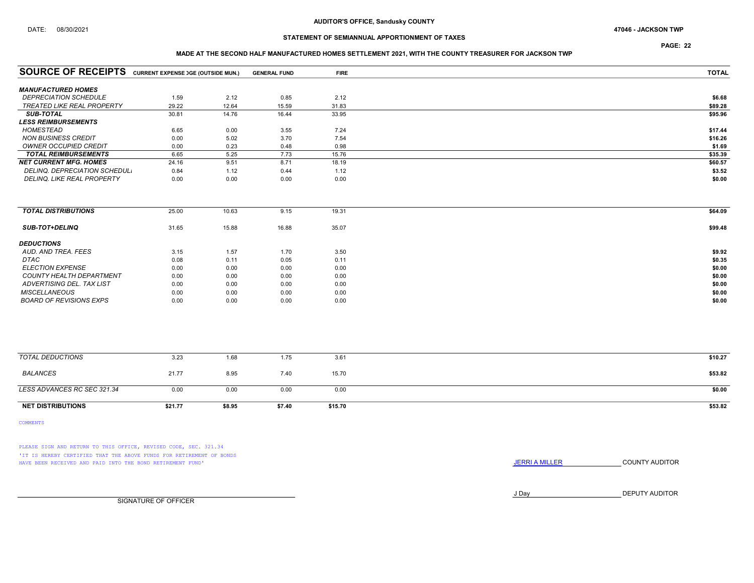PAGE: 22

### MADE AT THE SECOND HALF MANUFACTURED HOMES SETTLEMENT 2021, WITH THE COUNTY TREASURER FOR JACKSON TWP

| <b>SOURCE OF RECEIPTS</b> CURRENT EXPENSE DGE (OUTSIDE MUN.) |         |        | <b>GENERAL FUND</b> | <b>FIRE</b> | <b>TOTAL</b> |
|--------------------------------------------------------------|---------|--------|---------------------|-------------|--------------|
| <b>MANUFACTURED HOMES</b>                                    |         |        |                     |             |              |
| <b>DEPRECIATION SCHEDULE</b>                                 | 1.59    | 2.12   | 0.85                | 2.12        | \$6.68       |
| TREATED LIKE REAL PROPERTY                                   | 29.22   | 12.64  | 15.59               | 31.83       | \$89.28      |
| <b>SUB-TOTAL</b>                                             | 30.81   | 14.76  | 16.44               | 33.95       | \$95.96      |
| <b>LESS REIMBURSEMENTS</b>                                   |         |        |                     |             |              |
| <b>HOMESTEAD</b>                                             | 6.65    | 0.00   | 3.55                | 7.24        | \$17.44      |
| <b>NON BUSINESS CREDIT</b>                                   | 0.00    | 5.02   | 3.70                | 7.54        | \$16.26      |
| OWNER OCCUPIED CREDIT                                        | 0.00    | 0.23   | 0.48                | 0.98        | \$1.69       |
| <b>TOTAL REIMBURSEMENTS</b>                                  | 6.65    | 5.25   | 7.73                | 15.76       | \$35.39      |
| <b>NET CURRENT MFG. HOMES</b>                                | 24.16   | 9.51   | 8.71                | 18.19       | \$60.57      |
| DELINQ. DEPRECIATION SCHEDUL.                                | 0.84    | 1.12   | 0.44                | 1.12        | \$3.52       |
| DELINQ. LIKE REAL PROPERTY                                   | 0.00    | 0.00   | 0.00                | 0.00        | \$0.00       |
|                                                              |         |        |                     |             |              |
| <b>TOTAL DISTRIBUTIONS</b>                                   | 25.00   | 10.63  | 9.15                | 19.31       | \$64.09      |
| SUB-TOT+DELINQ                                               | 31.65   | 15.88  | 16.88               | 35.07       | \$99.48      |
| <b>DEDUCTIONS</b>                                            |         |        |                     |             |              |
| AUD. AND TREA. FEES                                          | 3.15    | 1.57   | 1.70                | 3.50        | \$9.92       |
| <b>DTAC</b>                                                  | 0.08    | 0.11   | 0.05                | 0.11        | \$0.35       |
| <b>ELECTION EXPENSE</b>                                      | 0.00    | 0.00   | 0.00                | 0.00        | \$0.00       |
| <b>COUNTY HEALTH DEPARTMENT</b>                              | 0.00    | 0.00   | 0.00                | 0.00        | \$0.00       |
| ADVERTISING DEL. TAX LIST                                    | 0.00    | 0.00   | 0.00                | 0.00        | \$0.00       |
| <b>MISCELLANEOUS</b>                                         | 0.00    | 0.00   | 0.00                | 0.00        | \$0.00       |
| <b>BOARD OF REVISIONS EXPS</b>                               | 0.00    | 0.00   | 0.00                | 0.00        | \$0.00       |
|                                                              |         |        |                     |             |              |
|                                                              |         |        |                     |             |              |
| <b>TOTAL DEDUCTIONS</b>                                      | 3.23    | 1.68   | 1.75                | 3.61        | \$10.27      |
| <b>BALANCES</b>                                              | 21.77   | 8.95   | 7.40                | 15.70       | \$53.82      |
| LESS ADVANCES RC SEC 321.34                                  | 0.00    | 0.00   | 0.00                | 0.00        | \$0.00       |
| <b>NET DISTRIBUTIONS</b>                                     | \$21.77 | \$8.95 | \$7.40              | \$15.70     | \$53.82      |

COMMENTS

PLEASE SIGN AND RETURN TO THIS OFFICE, REVISED CODE, SEC. 321.34 'IT IS HEREBY CERTIFIED THAT THE ABOVE FUNDS FOR RETIREMENT OF BONDS HAVE BEEN RECEIVED AND PAID INTO THE BOND RETIREMENT FUND' **SECULTS** THE COUNTY AUDITOR

J Day DEPUTY AUDITOR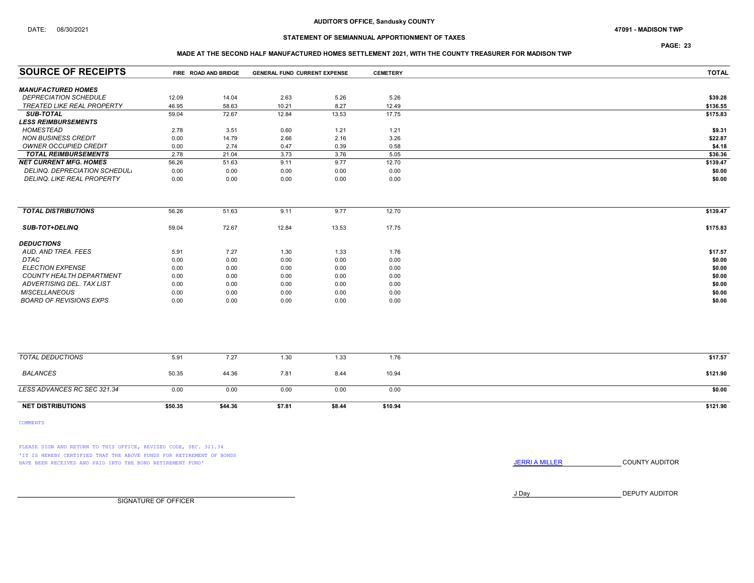PAGE: 23

### MADE AT THE SECOND HALF MANUFACTURED HOMES SETTLEMENT 2021, WITH THE COUNTY TREASURER FOR MADISON TWP

| <b>SOURCE OF RECEIPTS</b>            |         | FIRE ROAD AND BRIDGE | <b>GENERAL FUND CURRENT EXPENSE</b> |        | <b>CEMETERY</b> | <b>TOTAL</b> |
|--------------------------------------|---------|----------------------|-------------------------------------|--------|-----------------|--------------|
| <b>MANUFACTURED HOMES</b>            |         |                      |                                     |        |                 |              |
| <b>DEPRECIATION SCHEDULE</b>         | 12.09   | 14.04                | 2.63                                | 5.26   | 5.26            | \$39.28      |
| <b>TREATED LIKE REAL PROPERTY</b>    | 46.95   | 58.63                | 10.21                               | 8.27   | 12.49           | \$136.55     |
| <b>SUB-TOTAL</b>                     | 59.04   | 72.67                | 12.84                               | 13.53  | 17.75           | \$175.83     |
| <b>LESS REIMBURSEMENTS</b>           |         |                      |                                     |        |                 |              |
| HOMESTEAD                            | 2.78    | 3.51                 | 0.60                                | 1.21   | 1.21            | \$9.31       |
| <b>NON BUSINESS CREDIT</b>           | 0.00    | 14.79                | 2.66                                | 2.16   | 3.26            | \$22.87      |
| <b>OWNER OCCUPIED CREDIT</b>         | 0.00    | 2.74                 | 0.47                                | 0.39   | 0.58            | \$4.18       |
| <b>TOTAL REIMBURSEMENTS</b>          | 2.78    | 21.04                | 3.73                                | 3.76   | 5.05            | \$36.36      |
| <b>NET CURRENT MFG. HOMES</b>        | 56.26   | 51.63                | 9.11                                | 9.77   | 12.70           | \$139.47     |
| <b>DELINQ. DEPRECIATION SCHEDUL.</b> | 0.00    | 0.00                 | 0.00                                | 0.00   | 0.00            | \$0.00       |
| <b>DELINQ. LIKE REAL PROPERTY</b>    | 0.00    | 0.00                 | 0.00                                | 0.00   | 0.00            | \$0.00       |
|                                      |         |                      |                                     |        |                 |              |
| <b>TOTAL DISTRIBUTIONS</b>           | 56.26   | 51.63                | 9.11                                | 9.77   | 12.70           | \$139.47     |
| <b>SUB-TOT+DELINQ</b>                | 59.04   | 72.67                | 12.84                               | 13.53  | 17.75           | \$175.83     |
| <b>DEDUCTIONS</b>                    |         |                      |                                     |        |                 |              |
| AUD. AND TREA. FEES                  | 5.91    | 7.27                 | 1.30                                | 1.33   | 1.76            | \$17.57      |
| <b>DTAC</b>                          | 0.00    | 0.00                 | 0.00                                | 0.00   | 0.00            | \$0.00       |
| <b>ELECTION EXPENSE</b>              | 0.00    | 0.00                 | 0.00                                | 0.00   | 0.00            | \$0.00       |
| COUNTY HEALTH DEPARTMENT             | 0.00    | 0.00                 | 0.00                                | 0.00   | 0.00            | \$0.00       |
| ADVERTISING DEL. TAX LIST            | 0.00    | 0.00                 | 0.00                                | 0.00   | 0.00            | \$0.00       |
| <b>MISCELLANEOUS</b>                 | 0.00    | 0.00                 | 0.00                                | 0.00   | 0.00            | \$0.00       |
| <b>BOARD OF REVISIONS EXPS</b>       | 0.00    | 0.00                 | 0.00                                | 0.00   | 0.00            | \$0.00       |
|                                      |         |                      |                                     |        |                 |              |
|                                      |         |                      |                                     |        |                 |              |
| <b>TOTAL DEDUCTIONS</b>              | 5.91    | 7.27                 | 1.30                                | 1.33   | 1.76            | \$17.57      |
| <b>BALANCES</b>                      | 50.35   | 44.36                | 7.81                                | 8.44   | 10.94           | \$121.90     |
| LESS ADVANCES RC SEC 321.34          | 0.00    | 0.00                 | 0.00                                | 0.00   | 0.00            | \$0.00       |
| <b>NET DISTRIBUTIONS</b>             | \$50.35 | \$44.36              | \$7.81                              | \$8.44 | \$10.94         | \$121.90     |

COMMENTS

PLEASE SIGN AND RETURN TO THIS OFFICE, REVISED CODE, SEC. 321.34 'IT IS HEREBY CERTIFIED THAT THE ABOVE FUNDS FOR RETIREMENT OF BONDS HAVE BEEN RECEIVED AND PAID INTO THE BOND RETIREMENT FUND' **SECULTS** THE COUNTY AUDITOR

J Day DEPUTY AUDITOR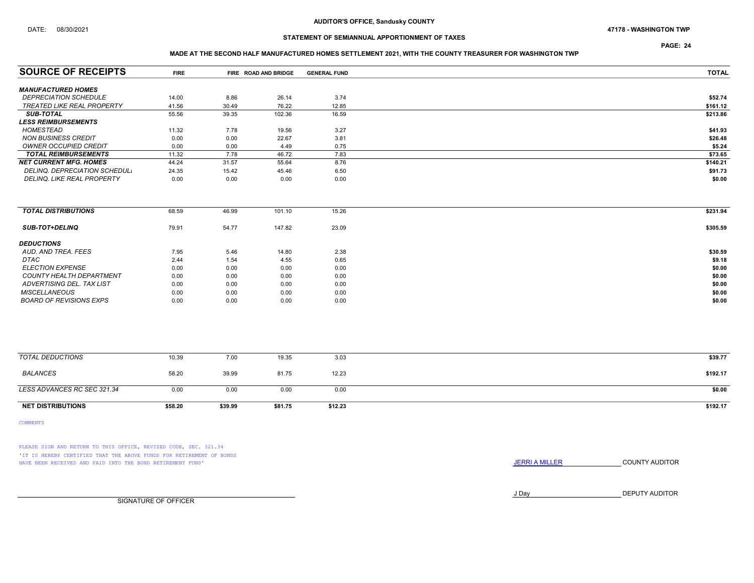### DATE: 08/30/2021 47178 - WASHINGTON TWP

## STATEMENT OF SEMIANNUAL APPORTIONMENT OF TAXES

PAGE: 24

### MADE AT THE SECOND HALF MANUFACTURED HOMES SETTLEMENT 2021, WITH THE COUNTY TREASURER FOR WASHINGTON TWP

| <b>SOURCE OF RECEIPTS</b>         | <b>FIRE</b> |         | FIRE ROAD AND BRIDGE | <b>GENERAL FUND</b> | <b>TOTAL</b> |
|-----------------------------------|-------------|---------|----------------------|---------------------|--------------|
|                                   |             |         |                      |                     |              |
| <b>MANUFACTURED HOMES</b>         |             |         |                      |                     |              |
| <b>DEPRECIATION SCHEDULE</b>      | 14.00       | 8.86    | 26.14                | 3.74                | \$52.74      |
| <b>TREATED LIKE REAL PROPERTY</b> | 41.56       | 30.49   | 76.22                | 12.85               | \$161.12     |
| <b>SUB-TOTAL</b>                  | 55.56       | 39.35   | 102.36               | 16.59               | \$213.86     |
| <b>LESS REIMBURSEMENTS</b>        |             |         |                      |                     |              |
| <b>HOMESTEAD</b>                  | 11.32       | 7.78    | 19.56                | 3.27                | \$41.93      |
| <b>NON BUSINESS CREDIT</b>        | 0.00        | 0.00    | 22.67                | 3.81                | \$26.48      |
| OWNER OCCUPIED CREDIT             | 0.00        | 0.00    | 4.49                 | 0.75                | \$5.24       |
| <b>TOTAL REIMBURSEMENTS</b>       | 11.32       | 7.78    | 46.72                | 7.83                | \$73.65      |
| <b>NET CURRENT MFG. HOMES</b>     | 44.24       | 31.57   | 55.64                | 8.76                | \$140.21     |
| DELINQ. DEPRECIATION SCHEDUL.     | 24.35       | 15.42   | 45.46                | 6.50                | \$91.73      |
| DELINQ. LIKE REAL PROPERTY        | 0.00        | 0.00    | 0.00                 | 0.00                | \$0.00       |
|                                   |             |         |                      |                     |              |
| <b>TOTAL DISTRIBUTIONS</b>        | 68.59       | 46.99   | 101.10               | 15.26               | \$231.94     |
|                                   |             |         |                      |                     |              |
| <b>SUB-TOT+DELINQ</b>             | 79.91       | 54.77   | 147.82               | 23.09               | \$305.59     |
| <b>DEDUCTIONS</b>                 |             |         |                      |                     |              |
| AUD. AND TREA. FEES               | 7.95        | 5.46    | 14.80                | 2.38                | \$30.59      |
| <b>DTAC</b>                       | 2.44        | 1.54    | 4.55                 | 0.65                | \$9.18       |
| <b>ELECTION EXPENSE</b>           | 0.00        | 0.00    | 0.00                 | 0.00                | \$0.00       |
| <b>COUNTY HEALTH DEPARTMENT</b>   | 0.00        | 0.00    | 0.00                 | 0.00                | \$0.00       |
| ADVERTISING DEL. TAX LIST         | 0.00        | 0.00    | 0.00                 | 0.00                | \$0.00       |
| <b>MISCELLANEOUS</b>              | 0.00        | 0.00    | 0.00                 | 0.00                | \$0.00       |
| <b>BOARD OF REVISIONS EXPS</b>    | 0.00        | 0.00    | 0.00                 | 0.00                | \$0.00       |
|                                   |             |         |                      |                     |              |
| <b>TOTAL DEDUCTIONS</b>           | 10.39       | 7.00    | 19.35                | 3.03                | \$39.77      |
|                                   |             |         |                      |                     |              |
| <b>BALANCES</b>                   | 58.20       | 39.99   | 81.75                | 12.23               | \$192.17     |
| LESS ADVANCES RC SEC 321.34       | 0.00        | 0.00    | 0.00                 | 0.00                | \$0.00       |
| <b>NET DISTRIBUTIONS</b>          | \$58.20     | \$39.99 | \$81.75              | \$12.23             | \$192.17     |
|                                   |             |         |                      |                     |              |

COMMENTS

PLEASE SIGN AND RETURN TO THIS OFFICE, REVISED CODE, SEC. 321.34 'IT IS HEREBY CERTIFIED THAT THE ABOVE FUNDS FOR RETIREMENT OF BONDS HAVE BEEN RECEIVED AND PAID INTO THE BOND RETIREMENT FUND' **SECULTS** THE COUNTY AUDITOR

J Day DEPUTY AUDITOR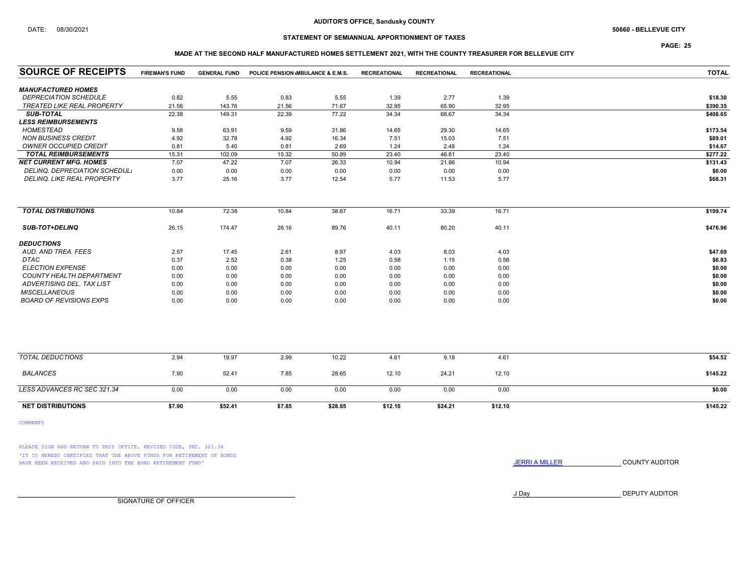### AUDITOR'S OFFICE, Sandusky COUNTY

## STATEMENT OF SEMIANNUAL APPORTIONMENT OF TAXES

PAGE: 25

### MADE AT THE SECOND HALF MANUFACTURED HOMES SETTLEMENT 2021, WITH THE COUNTY TREASURER FOR BELLEVUE CITY

| <b>SOURCE OF RECEIPTS</b>         | <b>FIREMAN'S FUND</b> | <b>GENERAL FUND</b> | POLICE PENSION MBULANCE & E.M.S. |         | <b>RECREATIONAL</b> | <b>RECREATIONAL</b> | <b>RECREATIONAL</b> | <b>TOTAL</b> |
|-----------------------------------|-----------------------|---------------------|----------------------------------|---------|---------------------|---------------------|---------------------|--------------|
| <b>MANUFACTURED HOMES</b>         |                       |                     |                                  |         |                     |                     |                     |              |
| <b>DEPRECIATION SCHEDULE</b>      | 0.82                  | 5.55                | 0.83                             | 5.55    | 1.39                | 2.77                | 1.39                | \$18.30      |
| <b>TREATED LIKE REAL PROPERTY</b> | 21.56                 | 143.76              | 21.56                            | 71.67   | 32.95               | 65.90               | 32.95               | \$390.35     |
| <b>SUB-TOTAL</b>                  | 22.38                 | 149.31              | 22.39                            | 77.22   | 34.34               | 68.67               | 34.34               | \$408.65     |
| <b>LESS REIMBURSEMENTS</b>        |                       |                     |                                  |         |                     |                     |                     |              |
| <b>HOMESTEAD</b>                  | 9.58                  | 63.91               | 9.59                             | 31.86   | 14.65               | 29.30               | 14.65               | \$173.54     |
| <b>NON BUSINESS CREDIT</b>        | 4.92                  | 32.78               | 4.92                             | 16.34   | 7.51                | 15.03               | 7.51                | \$89.01      |
| <b>OWNER OCCUPIED CREDIT</b>      | 0.81                  | 5.40                | 0.81                             | 2.69    | 1.24                | 2.48                | 1.24                | \$14.67      |
| <b>TOTAL REIMBURSEMENTS</b>       | 15.31                 | 102.09              | 15.32                            | 50.89   | 23.40               | 46.81               | 23.40               | \$277.22     |
| <b>NET CURRENT MFG. HOMES</b>     | 7.07                  | 47.22               | 7.07                             | 26.33   | 10.94               | 21.86               | 10.94               | \$131.43     |
| DELINQ. DEPRECIATION SCHEDUL.     | 0.00                  | 0.00                | 0.00                             | 0.00    | 0.00                | 0.00                | 0.00                | \$0.00       |
| DELINQ. LIKE REAL PROPERTY        | 3.77                  | 25.16               | 3.77                             | 12.54   | 5.77                | 11.53               | 5.77                | \$68.31      |
| <b>TOTAL DISTRIBUTIONS</b>        | 10.84                 | 72.38               | 10.84                            | 38.87   | 16.71               | 33.39               | 16.71               | \$199.74     |
|                                   |                       |                     |                                  |         |                     |                     |                     |              |
| <b>SUB-TOT+DELINQ</b>             | 26.15                 | 174.47              | 26.16                            | 89.76   | 40.11               | 80.20               | 40.11               | \$476.96     |
| <b>DEDUCTIONS</b>                 |                       |                     |                                  |         |                     |                     |                     |              |
| AUD. AND TREA. FEES               | 2.57                  | 17.45               | 2.61                             | 8.97    | 4.03                | 8.03                | 4.03                | \$47.69      |
| DTAC                              | 0.37                  | 2.52                | 0.38                             | 1.25    | 0.58                | 1.15                | 0.58                | \$6.83       |
| <b>ELECTION EXPENSE</b>           | 0.00                  | 0.00                | 0.00                             | 0.00    | 0.00                | 0.00                | 0.00                | \$0.00       |
| COUNTY HEALTH DEPARTMENT          | 0.00                  | 0.00                | 0.00                             | 0.00    | 0.00                | 0.00                | 0.00                | \$0.00       |
| ADVERTISING DEL. TAX LIST         | 0.00                  | 0.00                | 0.00                             | 0.00    | 0.00                | 0.00                | 0.00                | \$0.00       |
| <b>MISCELLANEOUS</b>              | 0.00                  | 0.00                | 0.00                             | 0.00    | 0.00                | 0.00                | 0.00                | \$0.00       |
| <b>BOARD OF REVISIONS EXPS</b>    | 0.00                  | 0.00                | 0.00                             | 0.00    | 0.00                | 0.00                | 0.00                | \$0.00       |
|                                   |                       |                     |                                  |         |                     |                     |                     |              |
| <b>TOTAL DEDUCTIONS</b>           | 2.94                  | 19.97               | 2.99                             | 10.22   | 4.61                | 9.18                | 4.61                | \$54.52      |
| <b>BALANCES</b>                   | 7.90                  | 52.41               | 7.85                             | 28.65   | 12.10               | 24.21               | 12.10               | \$145.22     |
| LESS ADVANCES RC SEC 321.34       | 0.00                  | 0.00                | 0.00                             | 0.00    | 0.00                | 0.00                | 0.00                | \$0.00       |
| <b>NET DISTRIBUTIONS</b>          | \$7.90                | \$52.41             | \$7.85                           | \$28.65 | \$12.10             | \$24.21             | \$12.10             | \$145.22     |

COMMENTS

PLEASE SIGN AND RETURN TO THIS OFFICE, REVISED CODE, SEC. 321.34 'IT IS HEREBY CERTIFIED THAT THE ABOVE FUNDS FOR RETIREMENT OF BONDS HAVE BEEN RECEIVED AND PAID INTO THE BOND RETIREMENT FUND' **SECULTS** THE COUNTY AUDITOR

J Day DEPUTY AUDITOR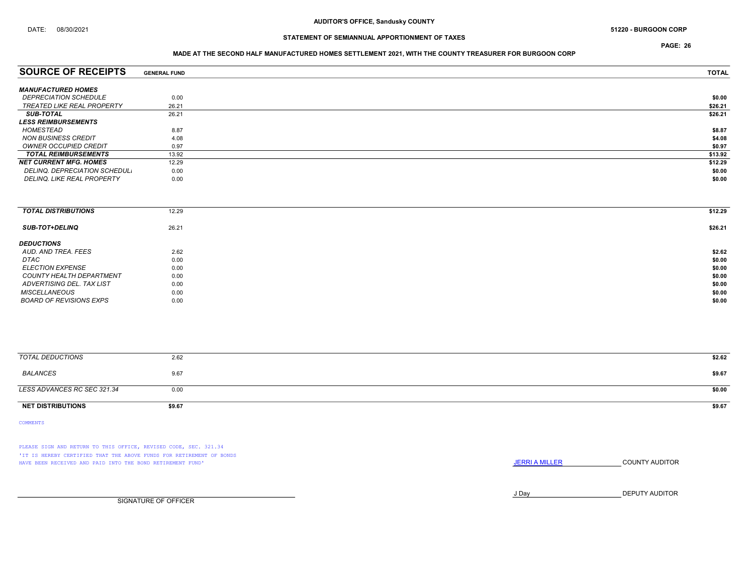PAGE: 26

### MADE AT THE SECOND HALF MANUFACTURED HOMES SETTLEMENT 2021, WITH THE COUNTY TREASURER FOR BURGOON CORP

| <b>SOURCE OF RECEIPTS</b>           | <b>GENERAL FUND</b> | <b>TOTAL</b> |
|-------------------------------------|---------------------|--------------|
| <b>MANUFACTURED HOMES</b>           |                     |              |
| <i><b>DEPRECIATION SCHEDULE</b></i> | 0.00                | \$0.00       |
| TREATED LIKE REAL PROPERTY          | 26.21               | \$26.21      |
| <b>SUB-TOTAL</b>                    | 26.21               | \$26.21      |
| <i><b>LESS REIMBURSEMENTS</b></i>   |                     |              |
| HOMESTEAD                           | 8.87                | \$8.87       |
| <b>NON BUSINESS CREDIT</b>          | 4.08                | \$4.08       |
| OWNER OCCUPIED CREDIT               | 0.97                | \$0.97       |
| <b>TOTAL REIMBURSEMENTS</b>         | 13.92               | \$13.92      |
| NET CURRENT MFG. HOMES              | 12.29               | \$12.29      |
| DELINQ. DEPRECIATION SCHEDUL.       | 0.00                | \$0.00       |
| <b>DELINQ. LIKE REAL PROPERTY</b>   | 0.00                | \$0.00       |
|                                     |                     |              |

| <b>TOTAL DISTRIBUTIONS</b> | 12.29 | \$12.29 |
|----------------------------|-------|---------|
| <b>SUB-TOT+DELINQ</b>      | 26.21 | \$26.21 |
| <b>DEDUCTIONS</b>          |       |         |
| AUD. AND TREA. FEES        | 2.62  | \$2.62  |
| DTAC                       | 0.00  | \$0.00  |
| ELECTION EXPENSE           | 0.00  | \$0.00  |
| COUNTY HEALTH DEPARTMENT   | 0.00  | \$0.00  |
| ADVERTISING DEL. TAX LIST  | 0.00  | \$0.00  |
| <b>MISCELLANEOUS</b>       | 0.00  | \$0.00  |
| BOARD OF REVISIONS EXPS    | 0.00  | \$0.00  |

| <b>TOTAL DEDUCTIONS</b>     | 2.62   | \$2.62 |
|-----------------------------|--------|--------|
| BALANCES                    | 9.67   | \$9.67 |
| LESS ADVANCES RC SEC 321.34 | 0.00   | \$0.00 |
| <b>NET DISTRIBUTIONS</b>    | \$9.67 | \$9.67 |

COMMENTS

PLEASE SIGN AND RETURN TO THIS OFFICE, REVISED CODE, SEC. 321.34 'IT IS HEREBY CERTIFIED THAT THE ABOVE FUNDS FOR RETIREMENT OF BONDS HAVE BEEN RECEIVED AND PAID INTO THE BOND RETIREMENT FUND' **SECULTS** THE COUNTY AUDITOR

J Day DEPUTY AUDITOR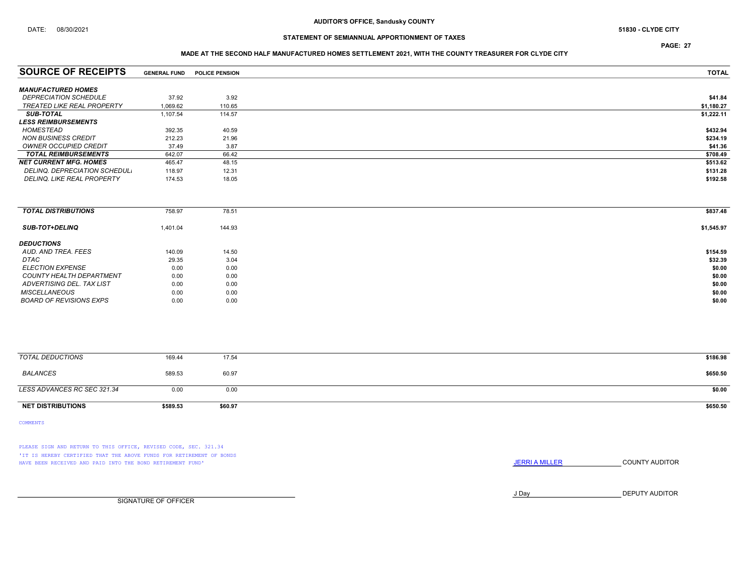PAGE: 27

### MADE AT THE SECOND HALF MANUFACTURED HOMES SETTLEMENT 2021, WITH THE COUNTY TREASURER FOR CLYDE CITY

| <b>SOURCE OF RECEIPTS</b>         | <b>GENERAL FUND</b> | <b>POLICE PENSION</b> | <b>TOTAL</b> |
|-----------------------------------|---------------------|-----------------------|--------------|
|                                   |                     |                       |              |
| <b>MANUFACTURED HOMES</b>         |                     |                       |              |
| <b>DEPRECIATION SCHEDULE</b>      | 37.92               | 3.92                  | \$41.84      |
| TREATED LIKE REAL PROPERTY        | 1.069.62            | 110.65                | \$1,180.27   |
| <b>SUB-TOTAL</b>                  | 1,107.54            | 114.57                | \$1,222.11   |
| <i><b>LESS REIMBURSEMENTS</b></i> |                     |                       |              |
| HOMESTEAD                         | 392.35              | 40.59                 | \$432.94     |
| NON BUSINESS CREDIT               | 212.23              | 21.96                 | \$234.19     |
| OWNER OCCUPIED CREDIT             | 37.49               | 3.87                  | \$41.36      |
| <b>TOTAL REIMBURSEMENTS</b>       | 642.07              | 66.42                 | \$708.49     |
| <b>NET CURRENT MFG. HOMES</b>     | 465.47              | 48.15                 | \$513.62     |
| DELINQ. DEPRECIATION SCHEDUL.     | 118.97              | 12.31                 | \$131.28     |
| DELINQ. LIKE REAL PROPERTY        | 174.53              | 18.05                 | \$192.58     |
|                                   |                     |                       |              |

| <b>TOTAL DISTRIBUTIONS</b>     | 758.97   | 78.51  | \$837.48   |
|--------------------------------|----------|--------|------------|
|                                |          |        |            |
| <b>SUB-TOT+DELINQ</b>          | 1,401.04 | 144.93 | \$1,545.97 |
|                                |          |        |            |
| <b>DEDUCTIONS</b>              |          |        |            |
| AUD. AND TREA. FEES            | 140.09   | 14.50  | \$154.59   |
| DTAC                           | 29.35    | 3.04   | \$32.39    |
|                                |          |        |            |
| <b>ELECTION EXPENSE</b>        | 0.00     | 0.00   | \$0.00     |
| COUNTY HEALTH DEPARTMENT       | 0.00     | 0.00   | \$0.00     |
| ADVERTISING DEL. TAX LIST      | 0.00     | 0.00   | \$0.00     |
| <b>MISCELLANEOUS</b>           | 0.00     | 0.00   | \$0.00     |
| <b>BOARD OF REVISIONS EXPS</b> | 0.00     | 0.00   | \$0.00     |
|                                |          |        |            |

| TOTAL DEDUCTIONS            | 169.44   | 17.54   | \$186.98 |
|-----------------------------|----------|---------|----------|
| <b>BALANCES</b>             | 589.53   | 60.97   | \$650.50 |
| LESS ADVANCES RC SEC 321.34 | 0.00     | 0.00    | \$0.00   |
| <b>NET DISTRIBUTIONS</b>    | \$589.53 | \$60.97 | \$650.50 |

COMMENTS

PLEASE SIGN AND RETURN TO THIS OFFICE, REVISED CODE, SEC. 321.34 'IT IS HEREBY CERTIFIED THAT THE ABOVE FUNDS FOR RETIREMENT OF BONDS HAVE BEEN RECEIVED AND PAID INTO THE BOND RETIREMENT FUND' **SECULTS** THE COUNTY AUDITOR

J Day DEPUTY AUDITOR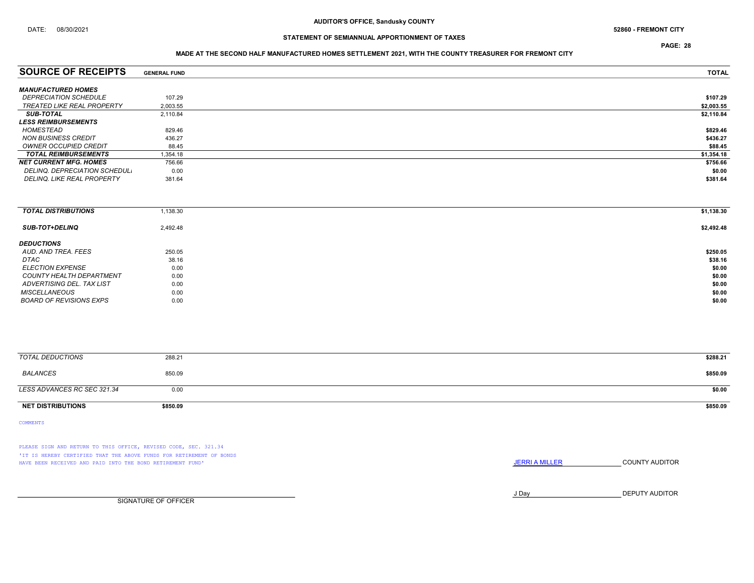PAGE: 28

### MADE AT THE SECOND HALF MANUFACTURED HOMES SETTLEMENT 2021, WITH THE COUNTY TREASURER FOR FREMONT CITY

| <b>GENERAL FUND</b> | <b>TOTAL</b> |
|---------------------|--------------|
|                     |              |
| 107.29              | \$107.29     |
| 2,003.55            | \$2,003.55   |
| 2.110.84            | \$2,110.84   |
|                     |              |
| 829.46              | \$829.46     |
| 436.27              | \$436.27     |
| 88.45               | \$88.45      |
| 1,354.18            | \$1,354.18   |
| 756.66              | \$756.66     |
| 0.00                | \$0.00       |
| 381.64              | \$381.64     |
|                     |              |

| <b>TOTAL DISTRIBUTIONS</b>     | 1,138.30 | \$1,138.30 |
|--------------------------------|----------|------------|
| <b>SUB-TOT+DELINQ</b>          | 2,492.48 | \$2,492.48 |
| <b>DEDUCTIONS</b>              |          |            |
| AUD, AND TREA, FEES            | 250.05   | \$250.05   |
| DTAC                           | 38.16    | \$38.16    |
| <b>ELECTION EXPENSE</b>        | 0.00     | \$0.00     |
| COUNTY HEALTH DEPARTMENT       | 0.00     | \$0.00     |
| ADVERTISING DEL. TAX LIST      | 0.00     | \$0.00     |
| <b>MISCELLANEOUS</b>           | 0.00     | \$0.00     |
| <b>BOARD OF REVISIONS EXPS</b> | 0.00     | \$0.00     |

| TOTAL DEDUCTIONS            | 288.21   | \$288.21 |
|-----------------------------|----------|----------|
| BALANCES                    | 850.09   | \$850.09 |
| LESS ADVANCES RC SEC 321.34 | 0.00     | \$0.00   |
| <b>NET DISTRIBUTIONS</b>    | \$850.09 | \$850.09 |

COMMENTS

PLEASE SIGN AND RETURN TO THIS OFFICE, REVISED CODE, SEC. 321.34 'IT IS HEREBY CERTIFIED THAT THE ABOVE FUNDS FOR RETIREMENT OF BONDS HAVE BEEN RECEIVED AND PAID INTO THE BOND RETIREMENT FUND' **JERRIA MILLER COUNTY AUDITOR** 

J Day DEPUTY AUDITOR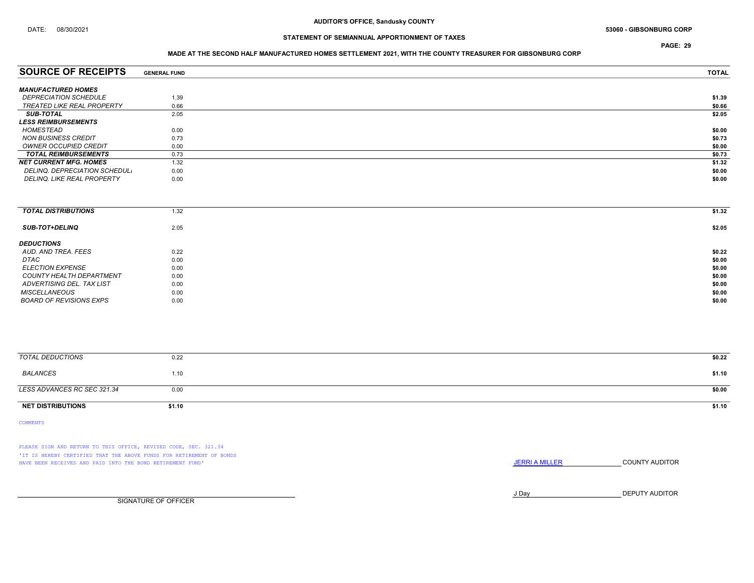PAGE: 29

### MADE AT THE SECOND HALF MANUFACTURED HOMES SETTLEMENT 2021, WITH THE COUNTY TREASURER FOR GIBSONBURG CORP

| <b>SOURCE OF RECEIPTS</b>         | <b>GENERAL FUND</b> | <b>TOTAL</b> |
|-----------------------------------|---------------------|--------------|
| <b>MANUFACTURED HOMES</b>         |                     |              |
| <b>DEPRECIATION SCHEDULE</b>      | 1.39                | \$1.39       |
| <b>TREATED LIKE REAL PROPERTY</b> | 0.66                | \$0.66       |
| <b>SUB-TOTAL</b>                  | 2.05                | \$2.05       |
| <b>LESS REIMBURSEMENTS</b>        |                     |              |
| HOMESTEAD                         | 0.00                | \$0.00       |
| <b>NON BUSINESS CREDIT</b>        | 0.73                | \$0.73       |
| OWNER OCCUPIED CREDIT             | 0.00                | \$0.00       |
| <b>TOTAL REIMBURSEMENTS</b>       | 0.73                | \$0.73       |
| <b>NET CURRENT MFG. HOMES</b>     | 1.32                | \$1.32       |
| DELINQ. DEPRECIATION SCHEDUL.     | 0.00                | \$0.00       |
| DELINQ, LIKE REAL PROPERTY        | 0.00                | \$0.00       |

| <b>TOTAL DISTRIBUTIONS</b> | 1.32 | \$1.32 |
|----------------------------|------|--------|
| <b>SUB-TOT+DELINQ</b>      | 2.05 | \$2.05 |
| <b>DEDUCTIONS</b>          |      |        |
| AUD. AND TREA. FEES        | 0.22 | \$0.22 |
| <b>DTAC</b>                | 0.00 | \$0.00 |
| <b>ELECTION EXPENSE</b>    | 0.00 | \$0.00 |
| COUNTY HEALTH DEPARTMENT   | 0.00 | \$0.00 |
| ADVERTISING DEL. TAX LIST  | 0.00 | \$0.00 |
| <b>MISCELLANEOUS</b>       | 0.00 | \$0.00 |
| BOARD OF REVISIONS EXPS    | 0.00 | \$0.00 |
|                            |      |        |

| TOTAL DEDUCTIONS            | 0.22   | \$0.22 |
|-----------------------------|--------|--------|
| BALANCES                    | 1.10   | \$1.10 |
| LESS ADVANCES RC SEC 321.34 | 0.00   | \$0.00 |
| <b>NET DISTRIBUTIONS</b>    | \$1.10 | \$1.10 |

COMMENTS

PLEASE SIGN AND RETURN TO THIS OFFICE, REVISED CODE, SEC. 321.34 'IT IS HEREBY CERTIFIED THAT THE ABOVE FUNDS FOR RETIREMENT OF BONDS HAVE BEEN RECEIVED AND PAID INTO THE BOND RETIREMENT FUND' **JERRIA MILLER COUNTY AUDITOR** 

J Day DEPUTY AUDITOR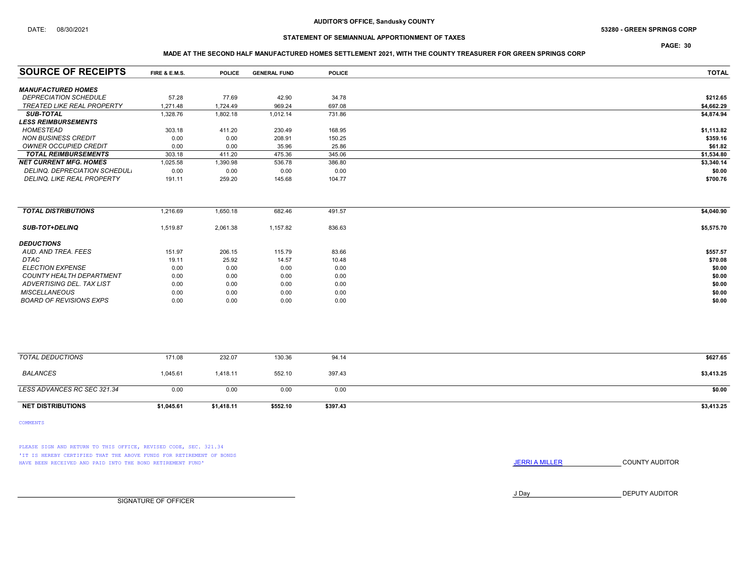### DATE: 08/30/2021 53280 - GREEN SPRINGS CORP

## STATEMENT OF SEMIANNUAL APPORTIONMENT OF TAXES

PAGE: 30

## MADE AT THE SECOND HALF MANUFACTURED HOMES SETTLEMENT 2021, WITH THE COUNTY TREASURER FOR GREEN SPRINGS CORP

| <b>SOURCE OF RECEIPTS</b>            | <b>FIRE &amp; E.M.S.</b> | <b>POLICE</b> | <b>GENERAL FUND</b> | <b>POLICE</b> | <b>TOTAL</b> |
|--------------------------------------|--------------------------|---------------|---------------------|---------------|--------------|
|                                      |                          |               |                     |               |              |
| <b>MANUFACTURED HOMES</b>            |                          |               |                     |               |              |
| <b>DEPRECIATION SCHEDULE</b>         | 57.28                    | 77.69         | 42.90               | 34.78         | \$212.65     |
| <b>TREATED LIKE REAL PROPERTY</b>    | 1,271.48                 | 1,724.49      | 969.24              | 697.08        | \$4,662.29   |
| <b>SUB-TOTAL</b>                     | 1,328.76                 | 1,802.18      | 1,012.14            | 731.86        | \$4,874.94   |
| <b>LESS REIMBURSEMENTS</b>           |                          |               |                     |               |              |
| <b>HOMESTEAD</b>                     | 303.18                   | 411.20        | 230.49              | 168.95        | \$1,113.82   |
| <b>NON BUSINESS CREDIT</b>           | 0.00                     | 0.00          | 208.91              | 150.25        | \$359.16     |
| <b>OWNER OCCUPIED CREDIT</b>         | 0.00                     | 0.00          | 35.96               | 25.86         | \$61.82      |
| <b>TOTAL REIMBURSEMENTS</b>          | 303.18                   | 411.20        | 475.36              | 345.06        | \$1,534.80   |
| <b>NET CURRENT MFG. HOMES</b>        | 1,025.58                 | 1,390.98      | 536.78              | 386.80        | \$3,340.14   |
| <b>DELINQ. DEPRECIATION SCHEDUL.</b> | 0.00                     | 0.00          | 0.00                | 0.00          | \$0.00       |
| DELINQ. LIKE REAL PROPERTY           | 191.11                   | 259.20        | 145.68              | 104.77        | \$700.76     |
|                                      |                          |               |                     |               |              |
| <b>TOTAL DISTRIBUTIONS</b>           | 1,216.69                 | 1,650.18      | 682.46              | 491.57        | \$4,040.90   |
| <b>SUB-TOT+DELINQ</b>                | 1,519.87                 | 2,061.38      | 1,157.82            | 836.63        | \$5,575.70   |
| <b>DEDUCTIONS</b>                    |                          |               |                     |               |              |
| AUD. AND TREA. FEES                  | 151.97                   | 206.15        | 115.79              | 83.66         | \$557.57     |
| <b>DTAC</b>                          | 19.11                    | 25.92         | 14.57               | 10.48         | \$70.08      |
| <b>ELECTION EXPENSE</b>              | 0.00                     | 0.00          | 0.00                | 0.00          | \$0.00       |
| <b>COUNTY HEALTH DEPARTMENT</b>      | 0.00                     | 0.00          | 0.00                | 0.00          | \$0.00       |
| ADVERTISING DEL. TAX LIST            | 0.00                     | 0.00          | 0.00                | 0.00          | \$0.00       |
| <b>MISCELLANEOUS</b>                 | 0.00                     | 0.00          | 0.00                | 0.00          | \$0.00       |
| <b>BOARD OF REVISIONS EXPS</b>       | 0.00                     | 0.00          | 0.00                | 0.00          | \$0.00       |
|                                      |                          |               |                     |               |              |
|                                      |                          |               |                     |               |              |
| <b>TOTAL DEDUCTIONS</b>              |                          |               |                     |               |              |
|                                      | 171.08                   | 232.07        | 130.36              | 94.14         | \$627.65     |
| <b>BALANCES</b>                      | 1,045.61                 | 1,418.11      | 552.10              | 397.43        | \$3,413.25   |

| LESS ADVANCES RC SEC 321.34     | 0.00       | 0.00       | 0.00     | 0.00     | \$0.00     |
|---------------------------------|------------|------------|----------|----------|------------|
|                                 |            |            |          |          |            |
| <b>DISTRIBUTIONS</b><br>NET DIS | \$1,045.61 | \$1,418.11 | \$552.10 | \$397.43 | \$3,413.25 |
|                                 |            |            |          |          |            |

COMMENTS

PLEASE SIGN AND RETURN TO THIS OFFICE, REVISED CODE, SEC. 321.34 'IT IS HEREBY CERTIFIED THAT THE ABOVE FUNDS FOR RETIREMENT OF BONDS HAVE BEEN RECEIVED AND PAID INTO THE BOND RETIREMENT FUND' **SECULTS** THE COUNTY AUDITOR

J Day DEPUTY AUDITOR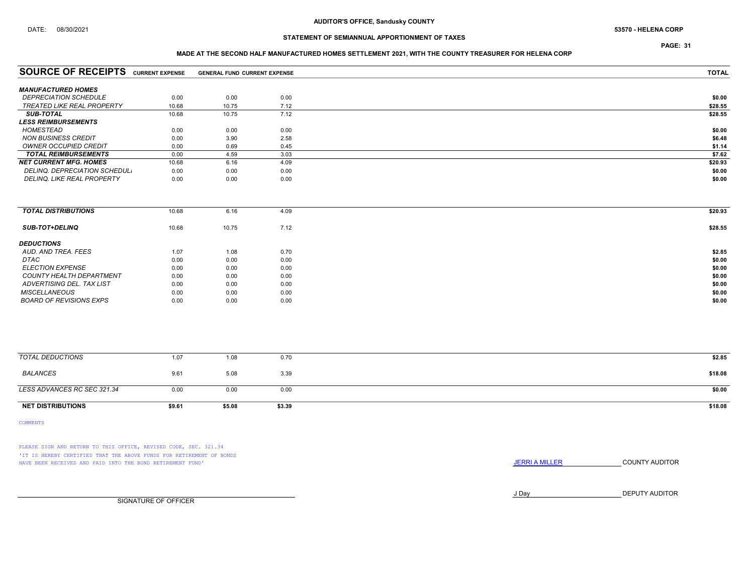PAGE: 31

### MADE AT THE SECOND HALF MANUFACTURED HOMES SETTLEMENT 2021, WITH THE COUNTY TREASURER FOR HELENA CORP

| <b>SOURCE OF RECEIPTS CURRENT EXPENSE</b> |       | <b>GENERAL FUND CURRENT EXPENSE</b> |      | <b>TOTAL</b> |
|-------------------------------------------|-------|-------------------------------------|------|--------------|
| <b>MANUFACTURED HOMES</b>                 |       |                                     |      |              |
| <b>DEPRECIATION SCHEDULE</b>              | 0.00  | 0.00                                | 0.00 | \$0.00       |
| <b>TREATED LIKE REAL PROPERTY</b>         | 10.68 | 10.75                               | 7.12 | \$28.55      |
| <b>SUB-TOTAL</b>                          | 10.68 | 10.75                               | 7.12 | \$28.55      |
| <b>LESS REIMBURSEMENTS</b>                |       |                                     |      |              |
| HOMESTEAD                                 | 0.00  | 0.00                                | 0.00 | \$0.00       |
| <b>NON BUSINESS CREDIT</b>                | 0.00  | 3.90                                | 2.58 | \$6.48       |
| OWNER OCCUPIED CREDIT                     | 0.00  | 0.69                                | 0.45 | \$1.14       |
| <b>TOTAL REIMBURSEMENTS</b>               | 0.00  | 4.59                                | 3.03 | \$7.62       |
| <b>NET CURRENT MFG. HOMES</b>             | 10.68 | 6.16                                | 4.09 | \$20.93      |
| DELINQ. DEPRECIATION SCHEDUL.             | 0.00  | 0.00                                | 0.00 | \$0.00       |
| DELINQ. LIKE REAL PROPERTY                | 0.00  | 0.00                                | 0.00 | \$0.00       |
|                                           |       |                                     |      |              |
| <b>TOTAL DISTRIBUTIONS</b>                | 10.68 | 6.16                                | 4.09 | \$20.93      |
| <b>SUB-TOT+DELINQ</b>                     | 10.68 | 10.75                               | 7.12 | \$28.55      |

| $0000 - 101 - 00000$            | 10.00 | 1 U.I U | 1.14 |  |
|---------------------------------|-------|---------|------|--|
| <b>DEDUCTIONS</b>               |       |         |      |  |
| AUD, AND TREA, FEES             | 1.07  | 1.08    | 0.70 |  |
| <b>DTAC</b>                     | 0.00  | 0.00    | 0.00 |  |
| <b>ELECTION EXPENSE</b>         | 0.00  | 0.00    | 0.00 |  |
| <b>COUNTY HEALTH DEPARTMENT</b> | 0.00  | 0.00    | 0.00 |  |
| ADVERTISING DEL. TAX LIST       | 0.00  | 0.00    | 0.00 |  |
| <b>MISCELLANEOUS</b>            | 0.00  | 0.00    | 0.00 |  |
| <b>BOARD OF REVISIONS EXPS</b>  | 0.00  | 0.00    | 0.00 |  |
|                                 |       |         |      |  |

| <b>NET DISTRIBUTIONS</b>    | \$9.61 | \$5.08 | \$3.39 | \$18.08 |
|-----------------------------|--------|--------|--------|---------|
| LESS ADVANCES RC SEC 321.34 | 0.00   | 0.00   | 0.00   | \$0.00  |
| BALANCES                    | 9.61   | 5.08   | 3.39   | \$18.08 |
| TOTAL DEDUCTIONS            | 1.07   | 1.08   | 0.70   | \$2.85  |
|                             |        |        |        |         |

COMMENTS

PLEASE SIGN AND RETURN TO THIS OFFICE, REVISED CODE, SEC. 321.34 'IT IS HEREBY CERTIFIED THAT THE ABOVE FUNDS FOR RETIREMENT OF BONDS HAVE BEEN RECEIVED AND PAID INTO THE BOND RETIREMENT FUND' **SECULTS** THE COUNTY AUDITOR

J Day DEPUTY AUDITOR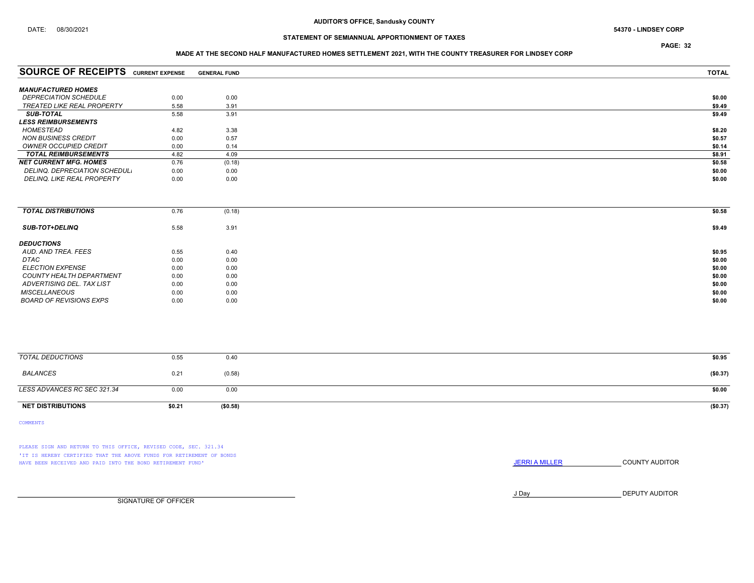PAGE: 32

### MADE AT THE SECOND HALF MANUFACTURED HOMES SETTLEMENT 2021, WITH THE COUNTY TREASURER FOR LINDSEY CORP

| <b>SOURCE OF RECEIPTS</b>           | <b>CURRENT EXPENSE</b> | <b>GENERAL FUND</b> | <b>TOTAL</b> |
|-------------------------------------|------------------------|---------------------|--------------|
| <b>MANUFACTURED HOMES</b>           |                        |                     |              |
|                                     |                        |                     |              |
| <i><b>DEPRECIATION SCHEDULE</b></i> | 0.00                   | 0.00                | \$0.00       |
| TREATED LIKE REAL PROPERTY          | 5.58                   | 3.91                | \$9.49       |
| <b>SUB-TOTAL</b>                    | 5.58                   | 3.91                | \$9.49       |
| <b>LESS REIMBURSEMENTS</b>          |                        |                     |              |
| HOMESTEAD                           | 4.82                   | 3.38                | \$8.20       |
| <b>NON BUSINESS CREDIT</b>          | 0.00                   | 0.57                | \$0.57       |
| OWNER OCCUPIED CREDIT               | 0.00                   | 0.14                | \$0.14       |
| <b>TOTAL REIMBURSEMENTS</b>         | 4.82                   | 4.09                | \$8.91       |
| <b>NET CURRENT MFG. HOMES</b>       | 0.76                   | (0.18)              | \$0.58       |
| DELINQ, DEPRECIATION SCHEDUL.       | 0.00                   | 0.00                | \$0.00       |
| <b>DELINQ. LIKE REAL PROPERTY</b>   | 0.00                   | 0.00                | \$0.00       |
|                                     |                        |                     |              |

| <b>TOTAL DISTRIBUTIONS</b> | 0.76 | (0.18) | \$0.58 |
|----------------------------|------|--------|--------|
| <b>SUB-TOT+DELINQ</b>      | 5.58 | 3.91   | \$9.49 |
| <b>DEDUCTIONS</b>          |      |        |        |
| AUD. AND TREA. FEES        | 0.55 | 0.40   | \$0.95 |
| DTAC                       | 0.00 | 0.00   | \$0.00 |
| <b>ELECTION EXPENSE</b>    | 0.00 | 0.00   | \$0.00 |
| COUNTY HEALTH DEPARTMENT   | 0.00 | 0.00   | \$0.00 |
| ADVERTISING DEL. TAX LIST  | 0.00 | 0.00   | \$0.00 |
| <b>MISCELLANEOUS</b>       | 0.00 | 0.00   | \$0.00 |
| BOARD OF REVISIONS EXPS    | 0.00 | 0.00   | \$0.00 |

| TOTAL DEDUCTIONS            | 0.55   | 0.40     | \$0.95   |
|-----------------------------|--------|----------|----------|
| BALANCES                    | 0.21   | (0.58)   | (\$0.37) |
| LESS ADVANCES RC SEC 321.34 | 0.00   | 0.00     | \$0.00   |
| <b>NET DISTRIBUTIONS</b>    | \$0.21 | (\$0.58) | (\$0.37) |

COMMENTS

PLEASE SIGN AND RETURN TO THIS OFFICE, REVISED CODE, SEC. 321.34 'IT IS HEREBY CERTIFIED THAT THE ABOVE FUNDS FOR RETIREMENT OF BONDS HAVE BEEN RECEIVED AND PAID INTO THE BOND RETIREMENT FUND' **SECULTS** THE COUNTY AUDITOR

J Day DEPUTY AUDITOR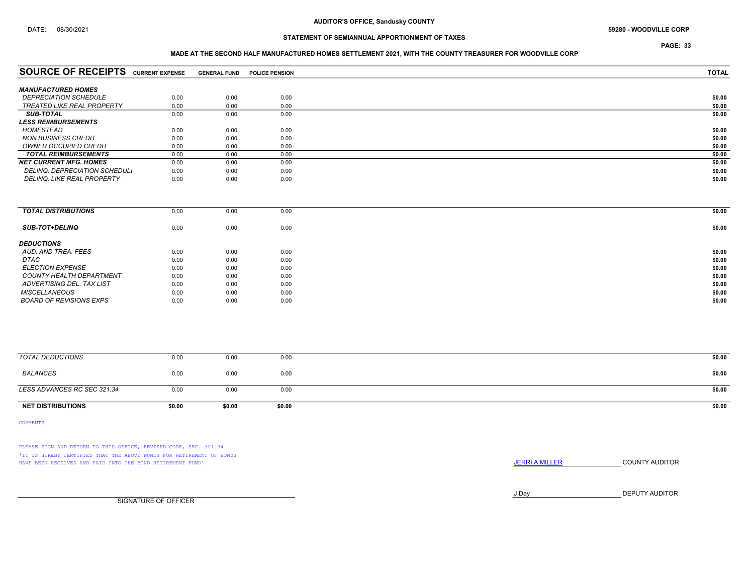## DATE: 08/30/2021 59280 - WOODVILLE CORP

## STATEMENT OF SEMIANNUAL APPORTIONMENT OF TAXES

PAGE: 33

### MADE AT THE SECOND HALF MANUFACTURED HOMES SETTLEMENT 2021, WITH THE COUNTY TREASURER FOR WOODVILLE CORP

| <b>SOURCE OF RECEIPTS</b>         | <b>CURRENT EXPENSE</b> | <b>GENERAL FUND</b> | <b>POLICE PENSION</b> | <b>TOTAL</b> |
|-----------------------------------|------------------------|---------------------|-----------------------|--------------|
|                                   |                        |                     |                       |              |
| <b>MANUFACTURED HOMES</b>         |                        |                     |                       |              |
| <b>DEPRECIATION SCHEDULE</b>      | 0.00                   | 0.00                | 0.00                  | \$0.00       |
| <b>TREATED LIKE REAL PROPERTY</b> | 0.00                   | 0.00                | 0.00                  | \$0.00       |
| <b>SUB-TOTAL</b>                  | 0.00                   | 0.00                | 0.00                  | \$0.00       |
| <b>LESS REIMBURSEMENTS</b>        |                        |                     |                       |              |
| <b>HOMESTEAD</b>                  | 0.00                   | 0.00                | 0.00                  | \$0.00       |
| <b>NON BUSINESS CREDIT</b>        | 0.00                   | 0.00                | 0.00                  | \$0.00       |
| <b>OWNER OCCUPIED CREDIT</b>      | 0.00                   | 0.00                | 0.00                  | \$0.00       |
| <b>TOTAL REIMBURSEMENTS</b>       | 0.00                   | 0.00                | 0.00                  | \$0.00       |
| <b>NET CURRENT MFG. HOMES</b>     | 0.00                   | 0.00                | 0.00                  | \$0.00       |
| DELINQ, DEPRECIATION SCHEDUL,     | 0.00                   | 0.00                | 0.00                  | \$0.00       |
| <b>DELINQ. LIKE REAL PROPERTY</b> | 0.00                   | 0.00                | 0.00                  | \$0.00       |

| 0.00 | 0.00 | 0.00 | \$0.00 |
|------|------|------|--------|
| 0.00 | 0.00 | 0.00 | \$0.00 |
|      |      |      |        |
| 0.00 | 0.00 | 0.00 | \$0.00 |
| 0.00 | 0.00 | 0.00 | \$0.00 |
| 0.00 | 0.00 | 0.00 | \$0.00 |
| 0.00 | 0.00 | 0.00 | \$0.00 |
| 0.00 | 0.00 | 0.00 | \$0.00 |
| 0.00 | 0.00 | 0.00 | \$0.00 |
| 0.00 | 0.00 | 0.00 | \$0.00 |
|      |      |      |        |

| <b>NET DISTRIBUTIONS</b>    | \$0.00 | \$0.00 | \$0.00 | \$0.00 |
|-----------------------------|--------|--------|--------|--------|
| LESS ADVANCES RC SEC 321.34 | 0.00   | 0.00   | 0.00   | \$0.00 |
| BALANCES                    | 0.00   | 0.00   | 0.00   | \$0.00 |
| TOTAL DEDUCTIONS            | 0.00   | 0.00   | 0.00   | \$0.00 |
|                             |        |        |        |        |

COMMENTS

PLEASE SIGN AND RETURN TO THIS OFFICE, REVISED CODE, SEC. 321.34 'IT IS HEREBY CERTIFIED THAT THE ABOVE FUNDS FOR RETIREMENT OF BONDS HAVE BEEN RECEIVED AND PAID INTO THE BOND RETIREMENT FUND' **SECULTS** THE COUNTY AUDITOR

J Day DEPUTY AUDITOR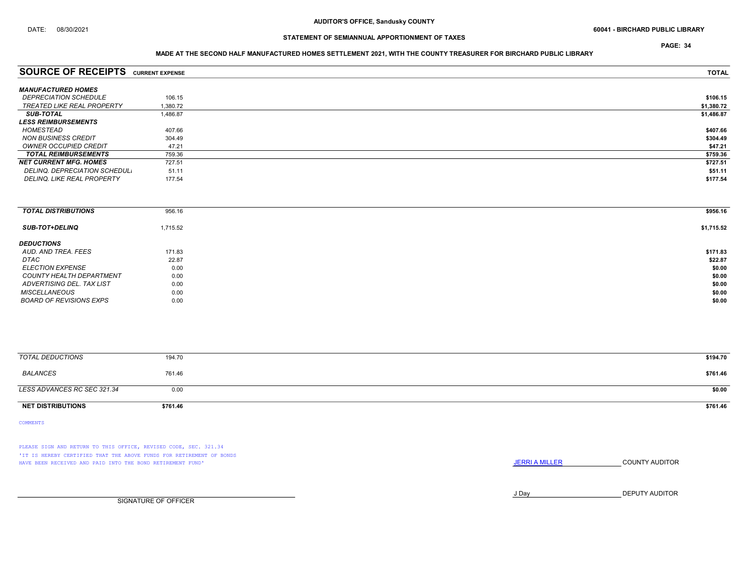PAGE: 34

### MADE AT THE SECOND HALF MANUFACTURED HOMES SETTLEMENT 2021, WITH THE COUNTY TREASURER FOR BIRCHARD PUBLIC LIBRARY

| <b>SOURCE OF RECEIPTS</b>         | <b>CURRENT EXPENSE</b> | <b>TOTAL</b> |
|-----------------------------------|------------------------|--------------|
| <b>MANUFACTURED HOMES</b>         |                        |              |
|                                   |                        |              |
| <b>DEPRECIATION SCHEDULE</b>      | 106.15                 | \$106.15     |
| TREATED LIKE REAL PROPERTY        | 1.380.72               | \$1,380.72   |
| <b>SUB-TOTAL</b>                  | 1,486.87               | \$1,486.87   |
| <i><b>LESS REIMBURSEMENTS</b></i> |                        |              |
| HOMESTEAD                         | 407.66                 | \$407.66     |
| <b>NON BUSINESS CREDIT</b>        | 304.49                 | \$304.49     |
| OWNER OCCUPIED CREDIT             | 47.21                  | \$47.21      |
| <b>TOTAL REIMBURSEMENTS</b>       | 759.36                 | \$759.36     |
| <b>NET CURRENT MFG. HOMES</b>     | 727.51                 | \$727.51     |
| DELINQ. DEPRECIATION SCHEDUL.     | 51.11                  | \$51.11      |
| <b>DELINQ. LIKE REAL PROPERTY</b> | 177.54                 | \$177.54     |
|                                   |                        |              |

| <b>TOTAL DISTRIBUTIONS</b> | 956.16   | \$956.16   |
|----------------------------|----------|------------|
|                            |          |            |
| <b>SUB-TOT+DELINQ</b>      | 1,715.52 | \$1,715.52 |
|                            |          |            |
| <b>DEDUCTIONS</b>          |          |            |
| AUD. AND TREA. FEES        | 171.83   | \$171.83   |
| DTAC                       | 22.87    | \$22.87    |
| <b>ELECTION EXPENSE</b>    | 0.00     | \$0.00     |
| COUNTY HEALTH DEPARTMENT   | 0.00     | \$0.00     |
| ADVERTISING DEL. TAX LIST  | 0.00     | \$0.00     |
| <b>MISCELLANEOUS</b>       | 0.00     | \$0.00     |
| BOARD OF REVISIONS EXPS    | 0.00     | \$0.00     |
|                            |          |            |

| <b>TOTAL DEDUCTIONS</b>     | 194.70   | \$194.70 |
|-----------------------------|----------|----------|
| BALANCES                    | 761.46   | \$761.46 |
| LESS ADVANCES RC SEC 321.34 | 0.00     | \$0.00   |
| <b>NET DISTRIBUTIONS</b>    | \$761.46 | \$761.46 |

COMMENTS

PLEASE SIGN AND RETURN TO THIS OFFICE, REVISED CODE, SEC. 321.34 'IT IS HEREBY CERTIFIED THAT THE ABOVE FUNDS FOR RETIREMENT OF BONDS HAVE BEEN RECEIVED AND PAID INTO THE BOND RETIREMENT FUND' **SECULTS** THE COUNTY AUDITOR

J Day DEPUTY AUDITOR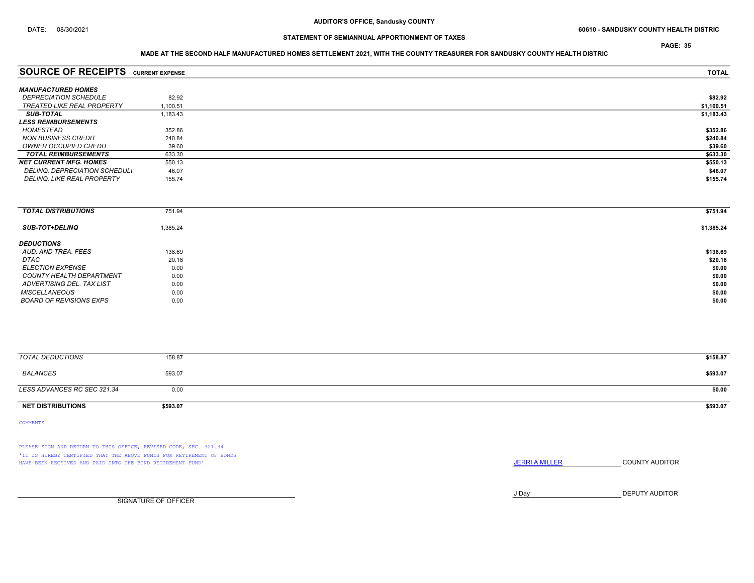## STATEMENT OF SEMIANNUAL APPORTIONMENT OF TAXES

### MADE AT THE SECOND HALF MANUFACTURED HOMES SETTLEMENT 2021, WITH THE COUNTY TREASURER FOR SANDUSKY COUNTY HEALTH DISTRIC

| <b>SOURCE OF RECEIPTS</b>           | <b>CURRENT EXPENSE</b> | <b>TOTAL</b> |
|-------------------------------------|------------------------|--------------|
|                                     |                        |              |
| <b>MANUFACTURED HOMES</b>           |                        |              |
| <i><b>DEPRECIATION SCHEDULE</b></i> | 82.92                  | \$82.92      |
| TREATED LIKE REAL PROPERTY          | 1.100.51               | \$1,100.51   |
| <b>SUB-TOTAL</b>                    | 1,183.43               | \$1,183.43   |
| <b>LESS REIMBURSEMENTS</b>          |                        |              |
| HOMESTEAD                           | 352.86                 | \$352.86     |
| NON BUSINESS CREDIT                 | 240.84                 | \$240.84     |
| OWNER OCCUPIED CREDIT               | 39.60                  | \$39.60      |
| <b>TOTAL REIMBURSEMENTS</b>         | 633.30                 | \$633.30     |
| <b>NET CURRENT MFG. HOMES</b>       | 550.13                 | \$550.13     |
| DELINQ. DEPRECIATION SCHEDUL.       | 46.07                  | \$46.07      |
| DELINQ, LIKE REAL PROPERTY          | 155.74                 | \$155.74     |
|                                     |                        |              |

| <b>TOTAL DISTRIBUTIONS</b> | 751.94   | \$751.94   |
|----------------------------|----------|------------|
| <b>SUB-TOT+DELINQ</b>      | 1,385.24 | \$1,385.24 |
| <b>DEDUCTIONS</b>          |          |            |
| AUD. AND TREA. FEES        | 138.69   | \$138.69   |
| DTAC                       | 20.18    | \$20.18    |
| <i>ELECTION EXPENSE</i>    | 0.00     | \$0.00     |
| COUNTY HEALTH DEPARTMENT   | 0.00     | \$0.00     |
| ADVERTISING DEL. TAX LIST  | 0.00     | \$0.00     |
| <b>MISCELLANEOUS</b>       | 0.00     | \$0.00     |
| BOARD OF REVISIONS EXPS    | 0.00     | \$0.00     |

| <b>TOTAL DEDUCTIONS</b>     | 158.87   | \$158.87 |
|-----------------------------|----------|----------|
| BALANCES                    | 593.07   | \$593.07 |
| LESS ADVANCES RC SEC 321.34 | 0.00     | \$0.00   |
| <b>NET DISTRIBUTIONS</b>    | \$593.07 | \$593.07 |

COMMENTS

PLEASE SIGN AND RETURN TO THIS OFFICE, REVISED CODE, SEC. 321.34 'IT IS HEREBY CERTIFIED THAT THE ABOVE FUNDS FOR RETIREMENT OF BONDS HAVE BEEN RECEIVED AND PAID INTO THE BOND RETIREMENT FUND' **SECULTS** THE COUNTY AUDITOR

J Day DEPUTY AUDITOR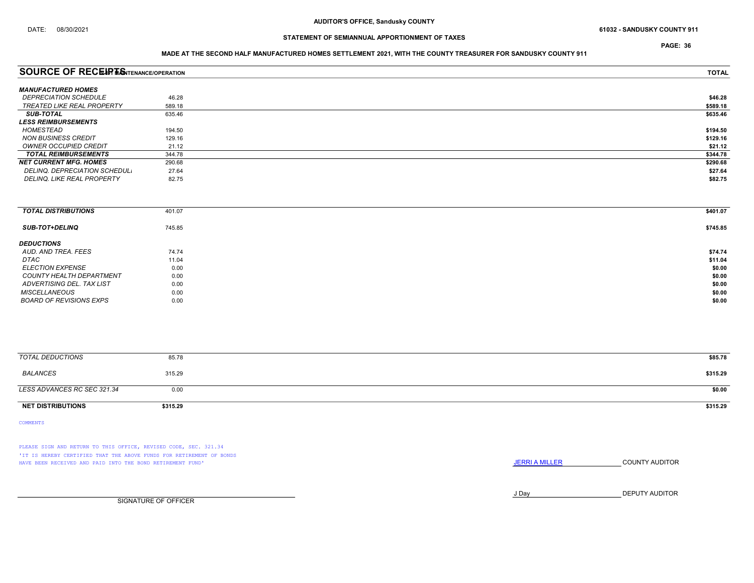PAGE: 36

### MADE AT THE SECOND HALF MANUFACTURED HOMES SETTLEMENT 2021, WITH THE COUNTY TREASURER FOR SANDUSKY COUNTY 911

| <b>SOURCE OF RECEIPT SOTENANCE/OPERATION</b> | <b>TOTAL</b> |          |
|----------------------------------------------|--------------|----------|
| <b>MANUFACTURED HOMES</b>                    |              |          |
| <b>DEPRECIATION SCHEDULE</b>                 | 46.28        | \$46.28  |
| <b>TREATED LIKE REAL PROPERTY</b>            | 589.18       | \$589.18 |
| <b>SUB-TOTAL</b>                             | 635.46       | \$635.46 |
| <i><b>LESS REIMBURSEMENTS</b></i>            |              |          |
| HOMESTEAD                                    | 194.50       | \$194.50 |
| <b>NON BUSINESS CREDIT</b>                   | 129.16       | \$129.16 |
| OWNER OCCUPIED CREDIT                        | 21.12        | \$21.12  |
| <b>TOTAL REIMBURSEMENTS</b>                  | 344.78       | \$344.78 |
| <b>NET CURRENT MFG. HOMES</b>                | 290.68       | \$290.68 |
| DELINQ. DEPRECIATION SCHEDUL.                | 27.64        | \$27.64  |
| <b>DELINQ. LIKE REAL PROPERTY</b>            | 82.75        | \$82.75  |
|                                              |              |          |

| <b>TOTAL DISTRIBUTIONS</b> | 401.07 | \$401.07 |
|----------------------------|--------|----------|
|                            |        |          |
| <b>SUB-TOT+DELINQ</b>      | 745.85 | \$745.85 |
|                            |        |          |
| <b>DEDUCTIONS</b>          |        |          |
| AUD. AND TREA. FEES        | 74.74  | \$74.74  |
| DTAC                       | 11.04  | \$11.04  |
| <i>ELECTION EXPENSE</i>    | 0.00   | \$0.00   |
| COUNTY HEALTH DEPARTMENT   | 0.00   | \$0.00   |
| ADVERTISING DEL. TAX LIST  | 0.00   | \$0.00   |
| <b>MISCELLANEOUS</b>       | 0.00   | \$0.00   |
| BOARD OF REVISIONS EXPS    | 0.00   | \$0.00   |
|                            |        |          |

| TOTAL DEDUCTIONS            | 85.78    | \$85.78  |
|-----------------------------|----------|----------|
| BALANCES                    | 315.29   | \$315.29 |
| LESS ADVANCES RC SEC 321.34 | 0.00     | \$0.00   |
| <b>NET DISTRIBUTIONS</b>    | \$315.29 | \$315.29 |

COMMENTS

PLEASE SIGN AND RETURN TO THIS OFFICE, REVISED CODE, SEC. 321.34 'IT IS HEREBY CERTIFIED THAT THE ABOVE FUNDS FOR RETIREMENT OF BONDS HAVE BEEN RECEIVED AND PAID INTO THE BOND RETIREMENT FUND' **SECULTS** THE COUNTY AUDITOR

J Day DEPUTY AUDITOR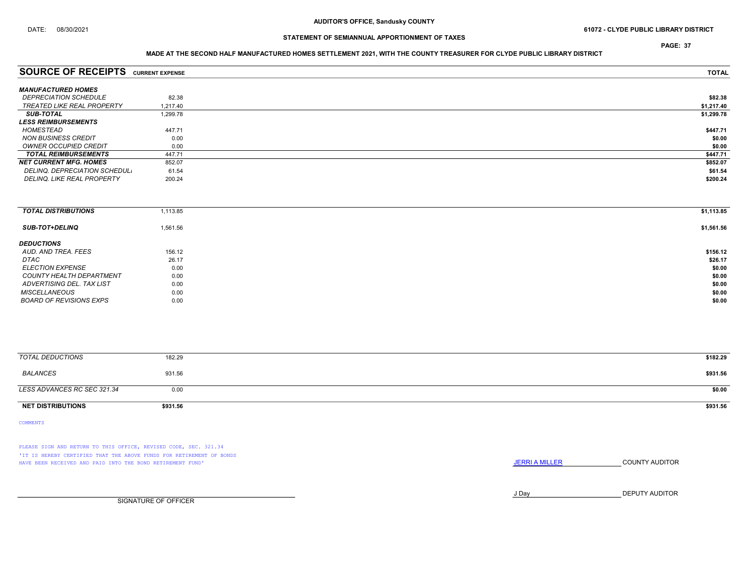## STATEMENT OF SEMIANNUAL APPORTIONMENT OF TAXES

# MADE AT THE SECOND HALF MANUFACTURED HOMES SETTLEMENT 2021, WITH THE COUNTY TREASURER FOR CLYDE PUBLIC LIBRARY DISTRICT

| <b>SOURCE OF RECEIPTS</b> CURRENT EXPENSE |          | <b>TOTAL</b> |
|-------------------------------------------|----------|--------------|
| <b>MANUFACTURED HOMES</b>                 |          |              |
| <b>DEPRECIATION SCHEDULE</b>              | 82.38    | \$82.38      |
| TREATED LIKE REAL PROPERTY                | 1.217.40 | \$1,217.40   |
| <b>SUB-TOTAL</b>                          | 1,299.78 | \$1,299.78   |
| <b>LESS REIMBURSEMENTS</b>                |          |              |
| HOMESTEAD                                 | 447.71   | \$447.71     |
| <b>NON BUSINESS CREDIT</b>                | 0.00     | \$0.00       |
| OWNER OCCUPIED CREDIT                     | 0.00     | \$0.00       |
| <b>TOTAL REIMBURSEMENTS</b>               | 447.71   | \$447.71     |
| <b>NET CURRENT MFG. HOMES</b>             | 852.07   | \$852.07     |
| DELINQ. DEPRECIATION SCHEDUL.             | 61.54    | \$61.54      |
| <b>DELINQ. LIKE REAL PROPERTY</b>         | 200.24   | \$200.24     |

| <b>TOTAL DISTRIBUTIONS</b>     | 1,113.85 | \$1,113.85 |
|--------------------------------|----------|------------|
| <b>SUB-TOT+DELINQ</b>          | 1,561.56 | \$1,561.56 |
| <b>DEDUCTIONS</b>              |          |            |
| AUD. AND TREA. FEES            | 156.12   | \$156.12   |
| DTAC                           | 26.17    | \$26.17    |
| <b>ELECTION EXPENSE</b>        | 0.00     | \$0.00     |
| COUNTY HEALTH DEPARTMENT       | 0.00     | \$0.00     |
| ADVERTISING DEL. TAX LIST      | 0.00     | \$0.00     |
| <b>MISCELLANEOUS</b>           | 0.00     | \$0.00     |
| <b>BOARD OF REVISIONS EXPS</b> | 0.00     | \$0.00     |

| TOTAL DEDUCTIONS            | 182.29   | \$182.29 |
|-----------------------------|----------|----------|
| BALANCES                    | 931.56   | \$931.56 |
| LESS ADVANCES RC SEC 321.34 | 0.00     | \$0.00   |
| <b>NET DISTRIBUTIONS</b>    | \$931.56 | \$931.56 |

COMMENTS

PLEASE SIGN AND RETURN TO THIS OFFICE, REVISED CODE, SEC. 321.34 'IT IS HEREBY CERTIFIED THAT THE ABOVE FUNDS FOR RETIREMENT OF BONDS HAVE BEEN RECEIVED AND PAID INTO THE BOND RETIREMENT FUND' **SECULTS** THE COUNTY AUDITOR

J Day DEPUTY AUDITOR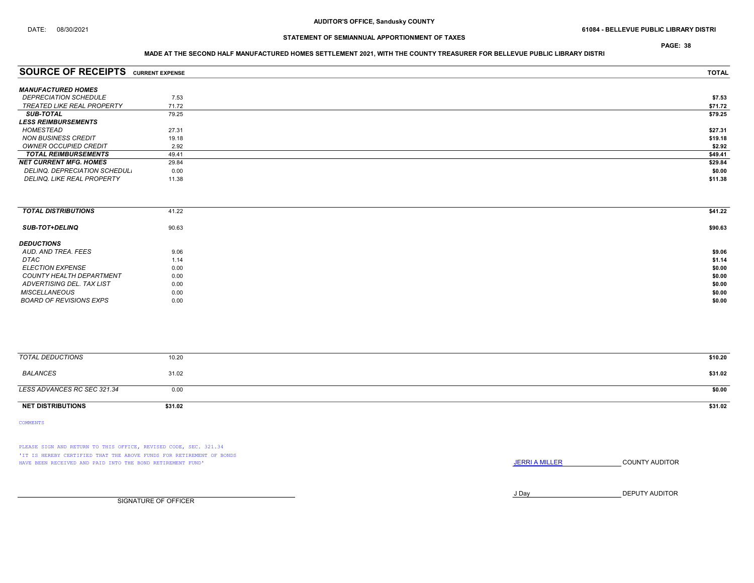## STATEMENT OF SEMIANNUAL APPORTIONMENT OF TAXES

### MADE AT THE SECOND HALF MANUFACTURED HOMES SETTLEMENT 2021, WITH THE COUNTY TREASURER FOR BELLEVUE PUBLIC LIBRARY DISTRI

| <b>SOURCE OF RECEIPTS CURRENT EXPENSE</b> |       | <b>TOTAL</b> |
|-------------------------------------------|-------|--------------|
| <b>MANUFACTURED HOMES</b>                 |       |              |
| <i><b>DEPRECIATION SCHEDULE</b></i>       | 7.53  | \$7.53       |
| <b>TREATED LIKE REAL PROPERTY</b>         | 71.72 | \$71.72      |
| <b>SUB-TOTAL</b>                          | 79.25 | \$79.25      |
| <b>LESS REIMBURSEMENTS</b>                |       |              |
| HOMESTEAD                                 | 27.31 | \$27.31      |
| <b>NON BUSINESS CREDIT</b>                | 19.18 | \$19.18      |
| OWNER OCCUPIED CREDIT                     | 2.92  | \$2.92       |
| <b>TOTAL REIMBURSEMENTS</b>               | 49.41 | \$49.41      |
| <b>NET CURRENT MFG. HOMES</b>             | 29.84 | \$29.84      |
| DELINQ. DEPRECIATION SCHEDUL.             | 0.00  | \$0.00       |
| <b>DELINQ. LIKE REAL PROPERTY</b>         | 11.38 | \$11.38      |
|                                           |       |              |

| <b>TOTAL DISTRIBUTIONS</b> | 41.22 | \$41.22 |
|----------------------------|-------|---------|
| <b>SUB-TOT+DELINQ</b>      | 90.63 | \$90.63 |
| <b>DEDUCTIONS</b>          |       |         |
| AUD. AND TREA. FEES        | 9.06  | \$9.06  |
| DTAC                       | 1.14  | \$1.14  |
| <b>ELECTION EXPENSE</b>    | 0.00  | \$0.00  |
| COUNTY HEALTH DEPARTMENT   | 0.00  | \$0.00  |
| ADVERTISING DEL. TAX LIST  | 0.00  | \$0.00  |
| <b>MISCELLANEOUS</b>       | 0.00  | \$0.00  |
| BOARD OF REVISIONS EXPS    | 0.00  | \$0.00  |
|                            |       |         |

| TOTAL DEDUCTIONS            | 10.20   | \$10.20 |
|-----------------------------|---------|---------|
| BALANCES                    | 31.02   | \$31.02 |
| LESS ADVANCES RC SEC 321.34 | 0.00    | \$0.00  |
| <b>NET DISTRIBUTIONS</b>    | \$31.02 | \$31.02 |

COMMENTS

PLEASE SIGN AND RETURN TO THIS OFFICE, REVISED CODE, SEC. 321.34 'IT IS HEREBY CERTIFIED THAT THE ABOVE FUNDS FOR RETIREMENT OF BONDS HAVE BEEN RECEIVED AND PAID INTO THE BOND RETIREMENT FUND' **SECULTS** THE COUNTY AUDITOR

J Day DEPUTY AUDITOR